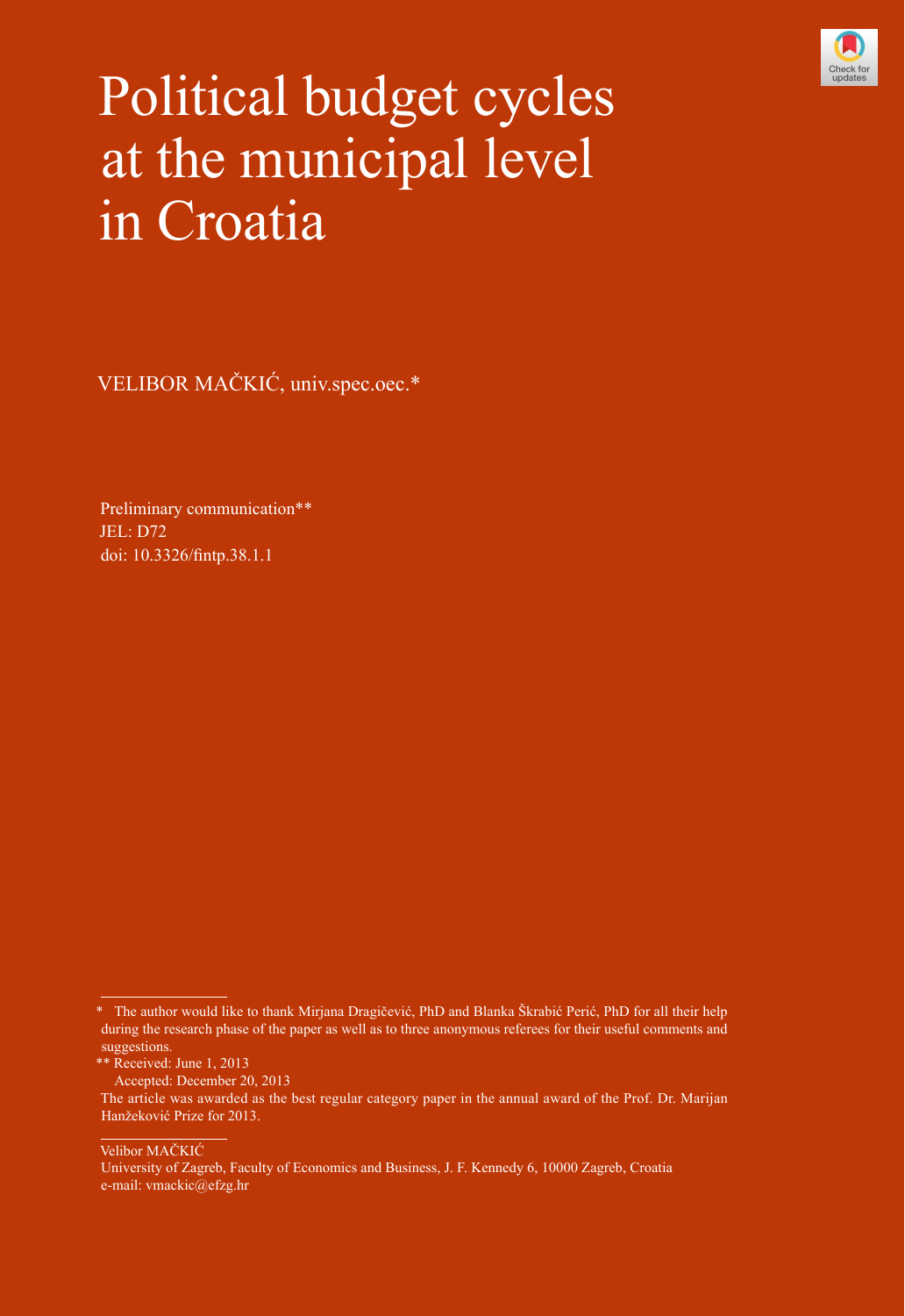

# Political budget cycles at the municipal level in Croatia

VELIBOR MAČKIĆ, univ.spec.oec.\*

Preliminary communication\*\* JEL: D72 doi: [10.3326/fintp.38.1.1](http://dx.doi.org/10.3326/fintp.38.1.1)

Velibor MAČKIĆ

<sup>\*</sup> The author would like to thank Mirjana Dragičević, PhD and Blanka Škrabić Perić, PhD for all their help during the research phase of the paper as well as to three anonymous referees for their useful comments and suggestions.

<sup>\*\*</sup> Received: June 1, 2013

Accepted: December 20, 2013

The article was awarded as the best regular category paper in the annual award of the Prof. Dr. Marijan Hanžeković Prize for 2013.

University of Zagreb, Faculty of Economics and Business, J. F. Kennedy 6, 10000 Zagreb, Croatia e-mail: vmackic@efzg.hr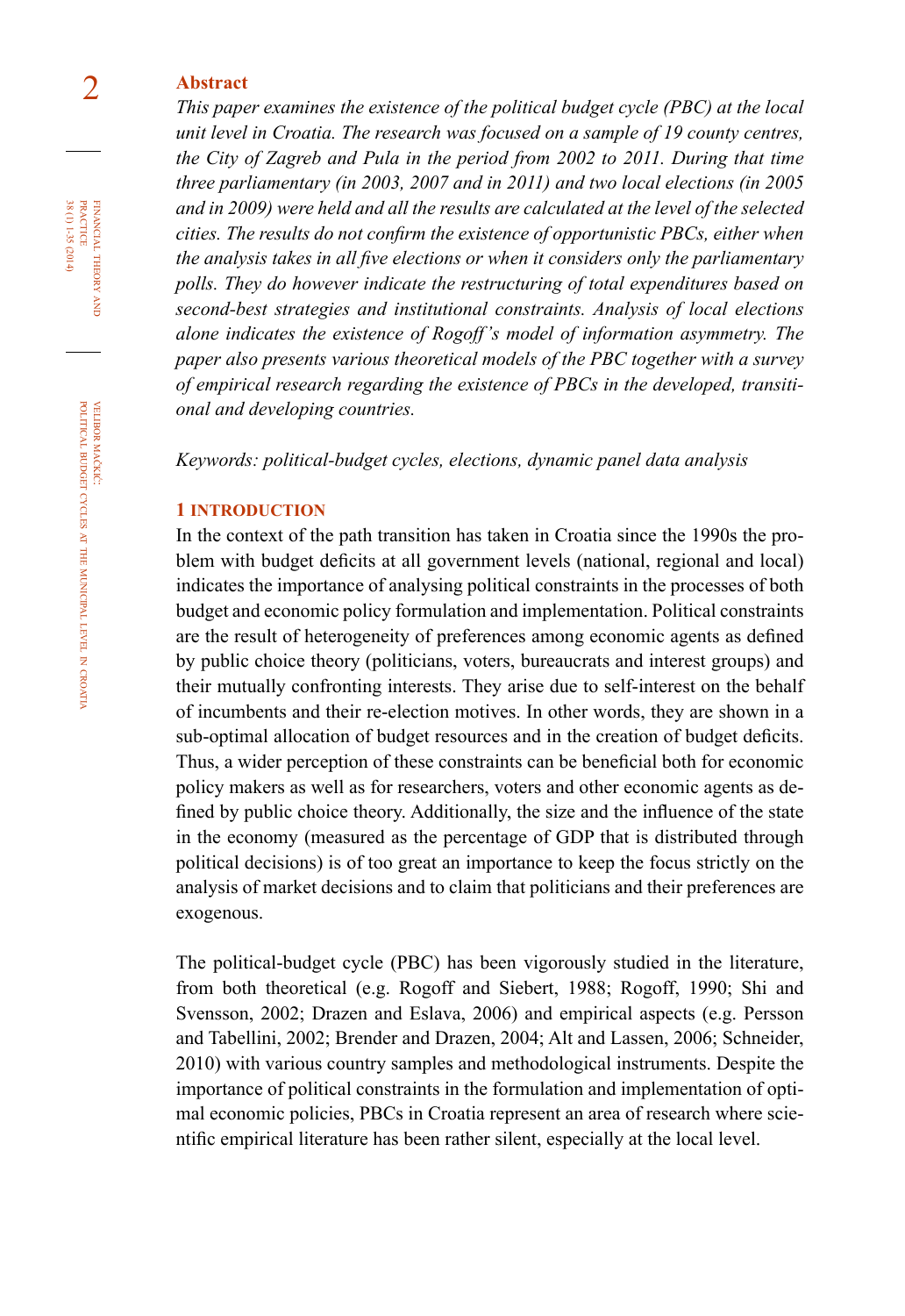# 2 **abstract**

*This paper examines the existence of the political budget cycle (PBC) at the local unit level in Croatia. The research was focused on a sample of 19 county centres, the City of Zagreb and Pula in the period from 2002 to 2011. During that time three parliamentary (in 2003, 2007 and in 2011) and two local elections (in 2005 and in 2009) were held and all the results are calculated at the level of the selected cities. The results do not confirm the existence of opportunistic PBCs, either when the analysis takes in all five elections or when it considers only the parliamentary polls. They do however indicate the restructuring of total expenditures based on second-best strategies and institutional constraints. Analysis of local elections alone indicates the existence of Rogoff's model of information asymmetry. The paper also presents various theoretical models of the PBC together with a survey of empirical research regarding the existence of PBCs in the developed, transitional and developing countries.* 

*Keywords: political-budget cycles, elections, dynamic panel data analysis* 

#### **1 introduction**

In the context of the path transition has taken in Croatia since the 1990s the problem with budget deficits at all government levels (national, regional and local) indicates the importance of analysing political constraints in the processes of both budget and economic policy formulation and implementation. Political constraints are the result of heterogeneity of preferences among economic agents as defined by public choice theory (politicians, voters, bureaucrats and interest groups) and their mutually confronting interests. They arise due to self-interest on the behalf of incumbents and their re-election motives. In other words, they are shown in a sub-optimal allocation of budget resources and in the creation of budget deficits. Thus, a wider perception of these constraints can be beneficial both for economic policy makers as well as for researchers, voters and other economic agents as defined by public choice theory. Additionally, the size and the influence of the state in the economy (measured as the percentage of GDP that is distributed through political decisions) is of too great an importance to keep the focus strictly on the analysis of market decisions and to claim that politicians and their preferences are exogenous.

The political-budget cycle (PBC) has been vigorously studied in the literature, from both theoretical (e.g. Rogoff and Siebert, 1988; Rogoff, 1990; Shi and Svensson, 2002; Drazen and Eslava, 2006) and empirical aspects (e.g. Persson and Tabellini, 2002; Brender and Drazen, 2004; Alt and Lassen, 2006; Schneider, 2010) with various country samples and methodological instruments. Despite the importance of political constraints in the formulation and implementation of optimal economic policies, PBCs in Croatia represent an area of research where scientific empirical literature has been rather silent, especially at the local level.

FINANCIAL THEORY PRACTICE 38 (1) 1-35 (2014) 38 (1) 1-35 (2014) practice financial theory and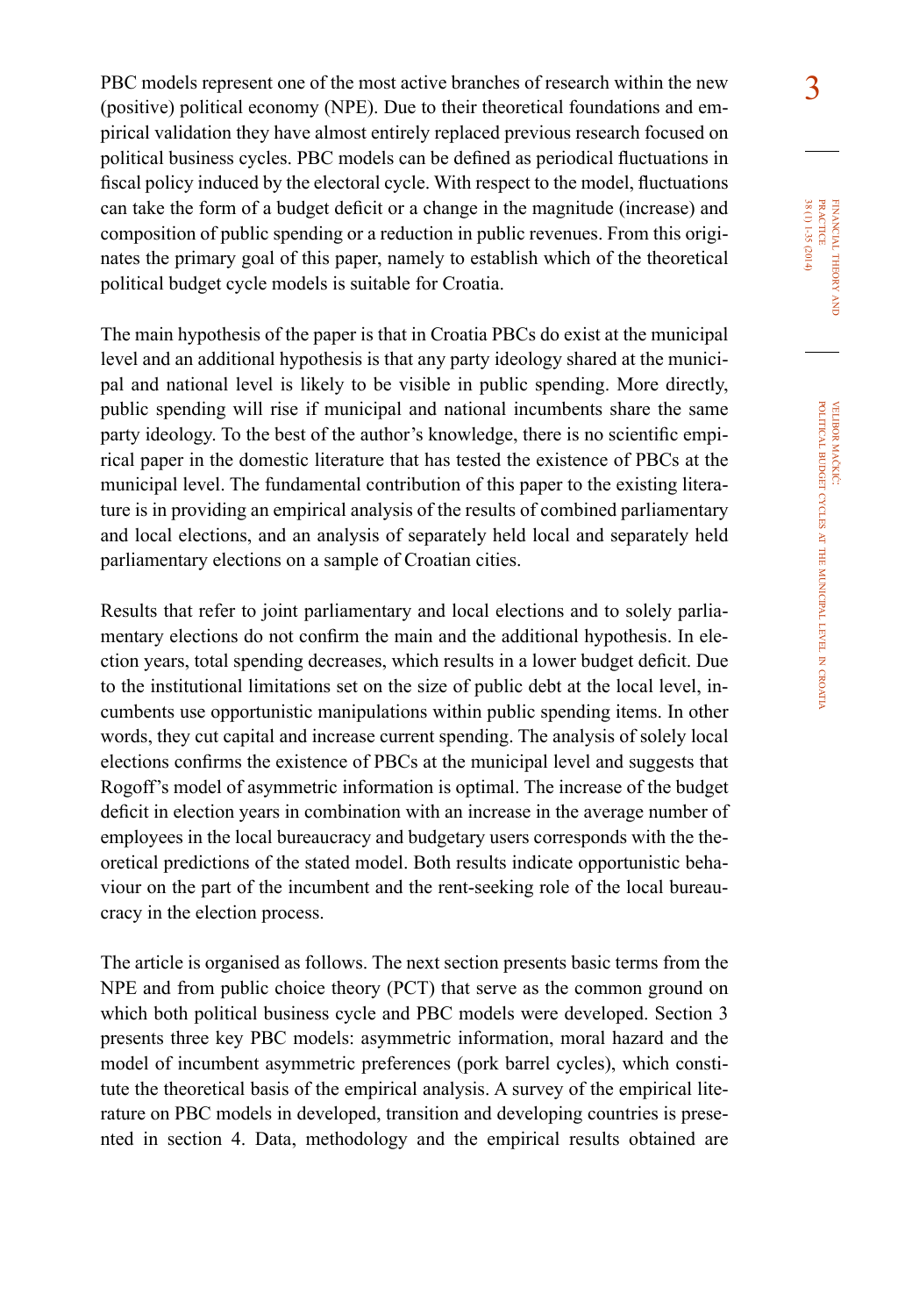PBC models represent one of the most active branches of research within the new 3 (positive) political economy (NPE). Due to their theoretical foundations and empirical validation they have almost entirely replaced previous research focused on political business cycles. PBC models can be defined as periodical fluctuations in fiscal policy induced by the electoral cycle. With respect to the model, fluctuations can take the form of a budget deficit or a change in the magnitude (increase) and composition of public spending or a reduction in public revenues. From this originates the primary goal of this paper, namely to establish which of the theoretical political budget cycle models is suitable for Croatia.

The main hypothesis of the paper is that in Croatia PBCs do exist at the municipal level and an additional hypothesis is that any party ideology shared at the municipal and national level is likely to be visible in public spending. More directly, public spending will rise if municipal and national incumbents share the same party ideology. To the best of the author's knowledge, there is no scientific empirical paper in the domestic literature that has tested the existence of PBCs at the municipal level. The fundamental contribution of this paper to the existing literature is in providing an empirical analysis of the results of combined parliamentary and local elections, and an analysis of separately held local and separately held parliamentary elections on a sample of Croatian cities.

Results that refer to joint parliamentary and local elections and to solely parliamentary elections do not confirm the main and the additional hypothesis. In election years, total spending decreases, which results in a lower budget deficit. Due to the institutional limitations set on the size of public debt at the local level, incumbents use opportunistic manipulations within public spending items. In other words, they cut capital and increase current spending. The analysis of solely local elections confirms the existence of PBCs at the municipal level and suggests that Rogoff's model of asymmetric information is optimal. The increase of the budget deficit in election years in combination with an increase in the average number of employees in the local bureaucracy and budgetary users corresponds with the theoretical predictions of the stated model. Both results indicate opportunistic behaviour on the part of the incumbent and the rent-seeking role of the local bureaucracy in the election process.

The article is organised as follows. The next section presents basic terms from the NPE and from public choice theory (PCT) that serve as the common ground on which both political business cycle and PBC models were developed. Section 3 presents three key PBC models: asymmetric information, moral hazard and the model of incumbent asymmetric preferences (pork barrel cycles), which constitute the theoretical basis of the empirical analysis. A survey of the empirical literature on PBC models in developed, transition and developing countries is presented in section 4. Data, methodology and the empirical results obtained are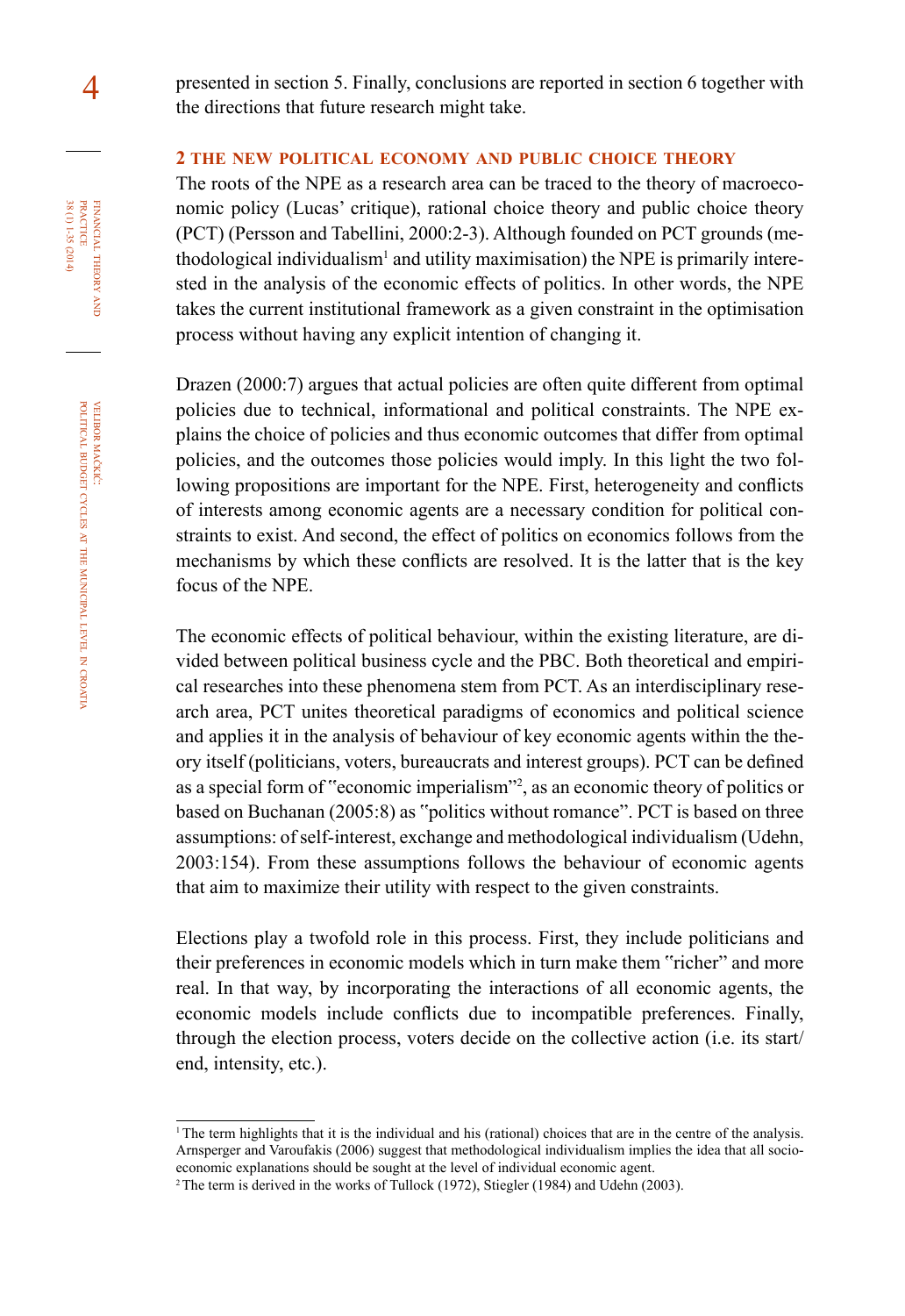## **2 the new political economy and public choice theory**

The roots of the NPE as a research area can be traced to the theory of macroeconomic policy (Lucas' critique), rational choice theory and public choice theory (PCT) (Persson and Tabellini, 2000:2-3). Although founded on PCT grounds (methodological individualism<sup>1</sup> and utility maximisation) the NPE is primarily interested in the analysis of the economic effects of politics. In other words, the NPE takes the current institutional framework as a given constraint in the optimisation process without having any explicit intention of changing it.

Drazen (2000:7) argues that actual policies are often quite different from optimal policies due to technical, informational and political constraints. The NPE explains the choice of policies and thus economic outcomes that differ from optimal policies, and the outcomes those policies would imply. In this light the two following propositions are important for the NPE. First, heterogeneity and conflicts of interests among economic agents are a necessary condition for political constraints to exist. And second, the effect of politics on economics follows from the mechanisms by which these conflicts are resolved. It is the latter that is the key focus of the NPE.

The economic effects of political behaviour, within the existing literature, are divided between political business cycle and the PBC. Both theoretical and empirical researches into these phenomena stem from PCT. As an interdisciplinary research area, PCT unites theoretical paradigms of economics and political science and applies it in the analysis of behaviour of key economic agents within the theory itself (politicians, voters, bureaucrats and interest groups). PCT can be defined as a special form of "economic imperialism"<sup>2</sup> , as an economic theory of politics or based on Buchanan (2005:8) as "politics without romance". PCT is based on three assumptions: of self-interest, exchange and methodological individualism (Udehn, 2003:154). From these assumptions follows the behaviour of economic agents that aim to maximize their utility with respect to the given constraints.

Elections play a twofold role in this process. First, they include politicians and their preferences in economic models which in turn make them "richer" and more real. In that way, by incorporating the interactions of all economic agents, the economic models include conflicts due to incompatible preferences. Finally, through the election process, voters decide on the collective action (i.e. its start/ end, intensity, etc.).

<sup>&</sup>lt;sup>1</sup>The term highlights that it is the individual and his (rational) choices that are in the centre of the analysis. Arnsperger and Varoufakis (2006) suggest that methodological individualism implies the idea that all socioeconomic explanations should be sought at the level of individual economic agent.

<sup>&</sup>lt;sup>2</sup> The term is derived in the works of Tullock (1972), Stiegler (1984) and Udehn (2003).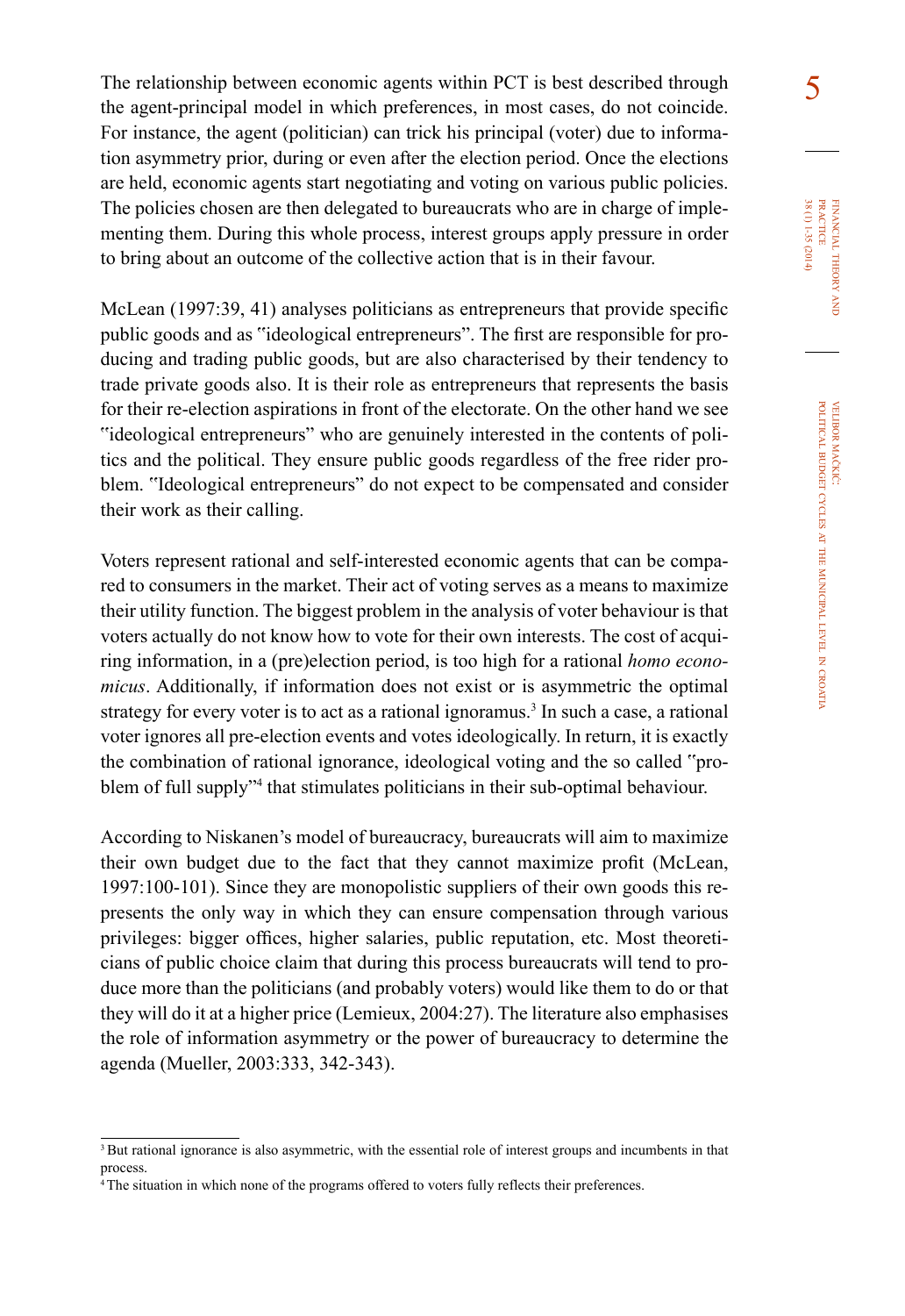The relationship between economic agents within PCT is best described through  $\overline{5}$ the agent-principal model in which preferences, in most cases, do not coincide. For instance, the agent (politician) can trick his principal (voter) due to information asymmetry prior, during or even after the election period. Once the elections are held, economic agents start negotiating and voting on various public policies. The policies chosen are then delegated to bureaucrats who are in charge of implementing them. During this whole process, interest groups apply pressure in order to bring about an outcome of the collective action that is in their favour.

McLean (1997:39, 41) analyses politicians as entrepreneurs that provide specific public goods and as "ideological entrepreneurs". The first are responsible for producing and trading public goods, but are also characterised by their tendency to trade private goods also. It is their role as entrepreneurs that represents the basis for their re-election aspirations in front of the electorate. On the other hand we see "ideological entrepreneurs" who are genuinely interested in the contents of politics and the political. They ensure public goods regardless of the free rider problem. "Ideological entrepreneurs" do not expect to be compensated and consider their work as their calling.

Voters represent rational and self-interested economic agents that can be compared to consumers in the market. Their act of voting serves as a means to maximize their utility function. The biggest problem in the analysis of voter behaviour is that voters actually do not know how to vote for their own interests. The cost of acquiring information, in a (pre)election period, is too high for a rational *homo economicus*. Additionally, if information does not exist or is asymmetric the optimal strategy for every voter is to act as a rational ignoramus.<sup>3</sup> In such a case, a rational voter ignores all pre-election events and votes ideologically. In return, it is exactly the combination of rational ignorance, ideological voting and the so called "problem of full supply"4 that stimulates politicians in their sub-optimal behaviour.

According to Niskanen's model of bureaucracy, bureaucrats will aim to maximize their own budget due to the fact that they cannot maximize profit (McLean, 1997:100-101). Since they are monopolistic suppliers of their own goods this represents the only way in which they can ensure compensation through various privileges: bigger offices, higher salaries, public reputation, etc. Most theoreticians of public choice claim that during this process bureaucrats will tend to produce more than the politicians (and probably voters) would like them to do or that they will do it at a higher price (Lemieux, 2004:27). The literature also emphasises the role of information asymmetry or the power of bureaucracy to determine the agenda (Mueller, 2003:333, 342-343).

<sup>&</sup>lt;sup>3</sup>But rational ignorance is also asymmetric, with the essential role of interest groups and incumbents in that process.

<sup>&</sup>lt;sup>4</sup>The situation in which none of the programs offered to voters fully reflects their preferences.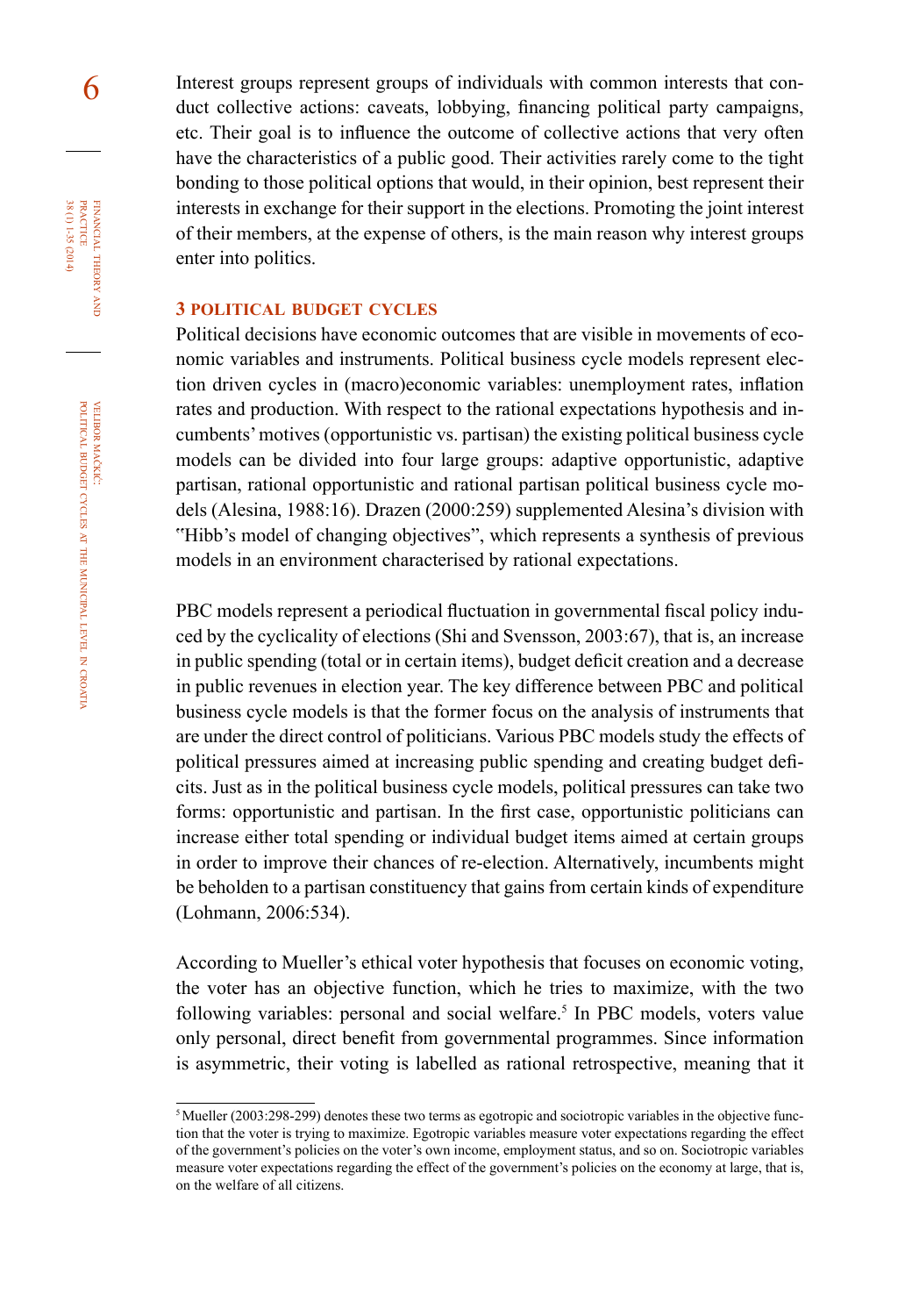6 Interest groups represent groups of individuals with common interests that conduct collective actions: caveats, lobbying, financing political party campaigns, etc. Their goal is to influence the outcome of collective actions that very often have the characteristics of a public good. Their activities rarely come to the tight bonding to those political options that would, in their opinion, best represent their interests in exchange for their support in the elections. Promoting the joint interest of their members, at the expense of others, is the main reason why interest groups enter into politics.

#### **3 political budget cycles**

Political decisions have economic outcomes that are visible in movements of economic variables and instruments. Political business cycle models represent election driven cycles in (macro)economic variables: unemployment rates, inflation rates and production. With respect to the rational expectations hypothesis and incumbents' motives (opportunistic vs. partisan) the existing political business cycle models can be divided into four large groups: adaptive opportunistic, adaptive partisan, rational opportunistic and rational partisan political business cycle models (Alesina, 1988:16). Drazen (2000:259) supplemented Alesina's division with "Hibb's model of changing objectives", which represents a synthesis of previous models in an environment characterised by rational expectations.

PBC models represent a periodical fluctuation in governmental fiscal policy induced by the cyclicality of elections (Shi and Svensson, 2003:67), that is, an increase in public spending (total or in certain items), budget deficit creation and a decrease in public revenues in election year. The key difference between PBC and political business cycle models is that the former focus on the analysis of instruments that are under the direct control of politicians. Various PBC models study the effects of political pressures aimed at increasing public spending and creating budget deficits. Just as in the political business cycle models, political pressures can take two forms: opportunistic and partisan. In the first case, opportunistic politicians can increase either total spending or individual budget items aimed at certain groups in order to improve their chances of re-election. Alternatively, incumbents might be beholden to a partisan constituency that gains from certain kinds of expenditure (Lohmann, 2006:534).

According to Mueller's ethical voter hypothesis that focuses on economic voting, the voter has an objective function, which he tries to maximize, with the two following variables: personal and social welfare.<sup>5</sup> In PBC models, voters value only personal, direct benefit from governmental programmes. Since information is asymmetric, their voting is labelled as rational retrospective, meaning that it

financial

FINANCIAL THEORY PRACTICE 38 (1) 1-35 (2014)

38 (1) 1-35 (2014) practice

theory and in the set

<sup>&</sup>lt;sup>5</sup> Mueller (2003:298-299) denotes these two terms as egotropic and sociotropic variables in the objective function that the voter is trying to maximize. Egotropic variables measure voter expectations regarding the effect of the government's policies on the voter's own income, employment status, and so on. Sociotropic variables measure voter expectations regarding the effect of the government's policies on the economy at large, that is, on the welfare of all citizens.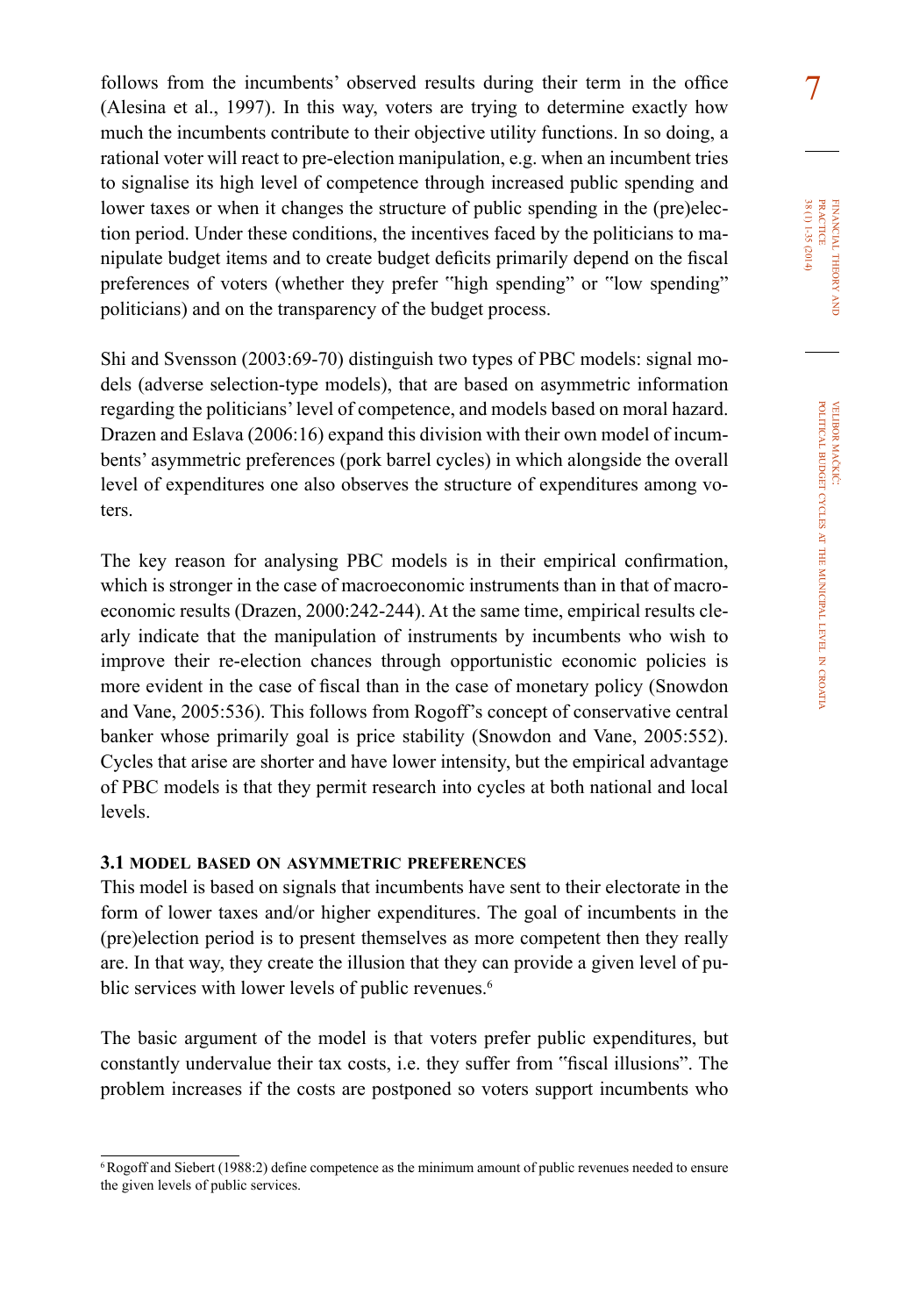follows from the incumbents' observed results during their term in the office  $\frac{7}{7}$  (Alesina et al., 1997). In this way, voters are trying to determine exactly how much the incumbents contribute to their objective utility functions. In so doing, a rational voter will react to pre-election manipulation, e.g. when an incumbent tries to signalise its high level of competence through increased public spending and lower taxes or when it changes the structure of public spending in the (pre)election period. Under these conditions, the incentives faced by the politicians to manipulate budget items and to create budget deficits primarily depend on the fiscal preferences of voters (whether they prefer "high spending" or "low spending" politicians) and on the transparency of the budget process.

Shi and Svensson (2003:69-70) distinguish two types of PBC models: signal models (adverse selection-type models), that are based on asymmetric information regarding the politicians' level of competence, and models based on moral hazard. Drazen and Eslava (2006:16) expand this division with their own model of incumbents' asymmetric preferences (pork barrel cycles) in which alongside the overall level of expenditures one also observes the structure of expenditures among voters.

The key reason for analysing PBC models is in their empirical confirmation, which is stronger in the case of macroeconomic instruments than in that of macroeconomic results (Drazen, 2000:242-244). At the same time, empirical results clearly indicate that the manipulation of instruments by incumbents who wish to improve their re-election chances through opportunistic economic policies is more evident in the case of fiscal than in the case of monetary policy (Snowdon and Vane, 2005:536). This follows from Rogoff's concept of conservative central banker whose primarily goal is price stability (Snowdon and Vane, 2005:552). Cycles that arise are shorter and have lower intensity, but the empirical advantage of PBC models is that they permit research into cycles at both national and local levels.

#### **3.1 model based on asymmetric preferences**

This model is based on signals that incumbents have sent to their electorate in the form of lower taxes and/or higher expenditures. The goal of incumbents in the (pre)election period is to present themselves as more competent then they really are. In that way, they create the illusion that they can provide a given level of public services with lower levels of public revenues.<sup>6</sup>

The basic argument of the model is that voters prefer public expenditures, but constantly undervalue their tax costs, i.e. they suffer from "fiscal illusions". The problem increases if the costs are postponed so voters support incumbents who financial

38 (1) 1-35 (2014) practice

38 (1) 1-35 (2014)

theory

at the

municipal

level in

croatia

<sup>6</sup>Rogoff and Siebert (1988:2) define competence as the minimum amount of public revenues needed to ensure the given levels of public services.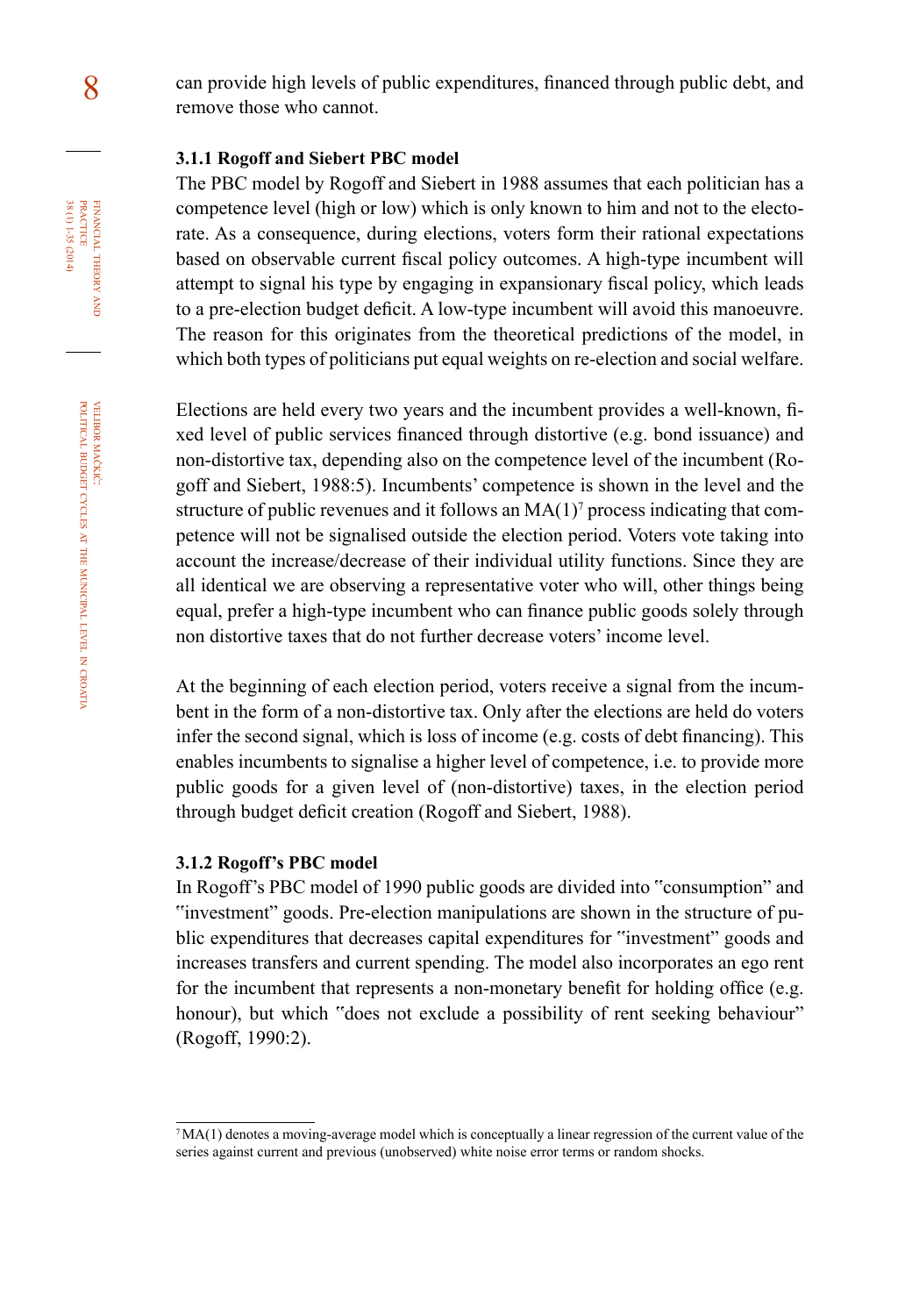8 can provide high levels of public expenditures, financed through public debt, and remove those who cannot.

## **3.1.1 Rogoff and siebert Pbc model**

The PBC model by Rogoff and Siebert in 1988 assumes that each politician has a competence level (high or low) which is only known to him and not to the electorate. As a consequence, during elections, voters form their rational expectations based on observable current fiscal policy outcomes. A high-type incumbent will attempt to signal his type by engaging in expansionary fiscal policy, which leads to a pre-election budget deficit. A low-type incumbent will avoid this manoeuvre. The reason for this originates from the theoretical predictions of the model, in which both types of politicians put equal weights on re-election and social welfare.

Elections are held every two years and the incumbent provides a well-known, fixed level of public services financed through distortive (e.g. bond issuance) and non-distortive tax, depending also on the competence level of the incumbent (Rogoff and Siebert, 1988:5). Incumbents' competence is shown in the level and the structure of public revenues and it follows an  $MA(1)<sup>7</sup>$  process indicating that competence will not be signalised outside the election period. Voters vote taking into account the increase/decrease of their individual utility functions. Since they are all identical we are observing a representative voter who will, other things being equal, prefer a high-type incumbent who can finance public goods solely through non distortive taxes that do not further decrease voters' income level.

At the beginning of each election period, voters receive a signal from the incumbent in the form of a non-distortive tax. Only after the elections are held do voters infer the second signal, which is loss of income (e.g. costs of debt financing). This enables incumbents to signalise a higher level of competence, i.e. to provide more public goods for a given level of (non-distortive) taxes, in the election period through budget deficit creation (Rogoff and Siebert, 1988).

#### **3.1.2 Rogoff's Pbc model**

In Rogoff's PBC model of 1990 public goods are divided into "consumption" and "investment" goods. Pre-election manipulations are shown in the structure of public expenditures that decreases capital expenditures for "investment" goods and increases transfers and current spending. The model also incorporates an ego rent for the incumbent that represents a non-monetary benefit for holding office (e.g. honour), but which "does not exclude a possibility of rent seeking behaviour" (Rogoff, 1990:2).

croatia

financial

FINANCIAL THEORY PRACTICE  $38(1)1-35(2014)$ 

38 (1) 1-35 (2014) practice

theory and

<sup>7</sup>MA(1) denotes a moving-average model which is conceptually a linear regression of the current value of the series against current and previous (unobserved) white noise error terms or random shocks.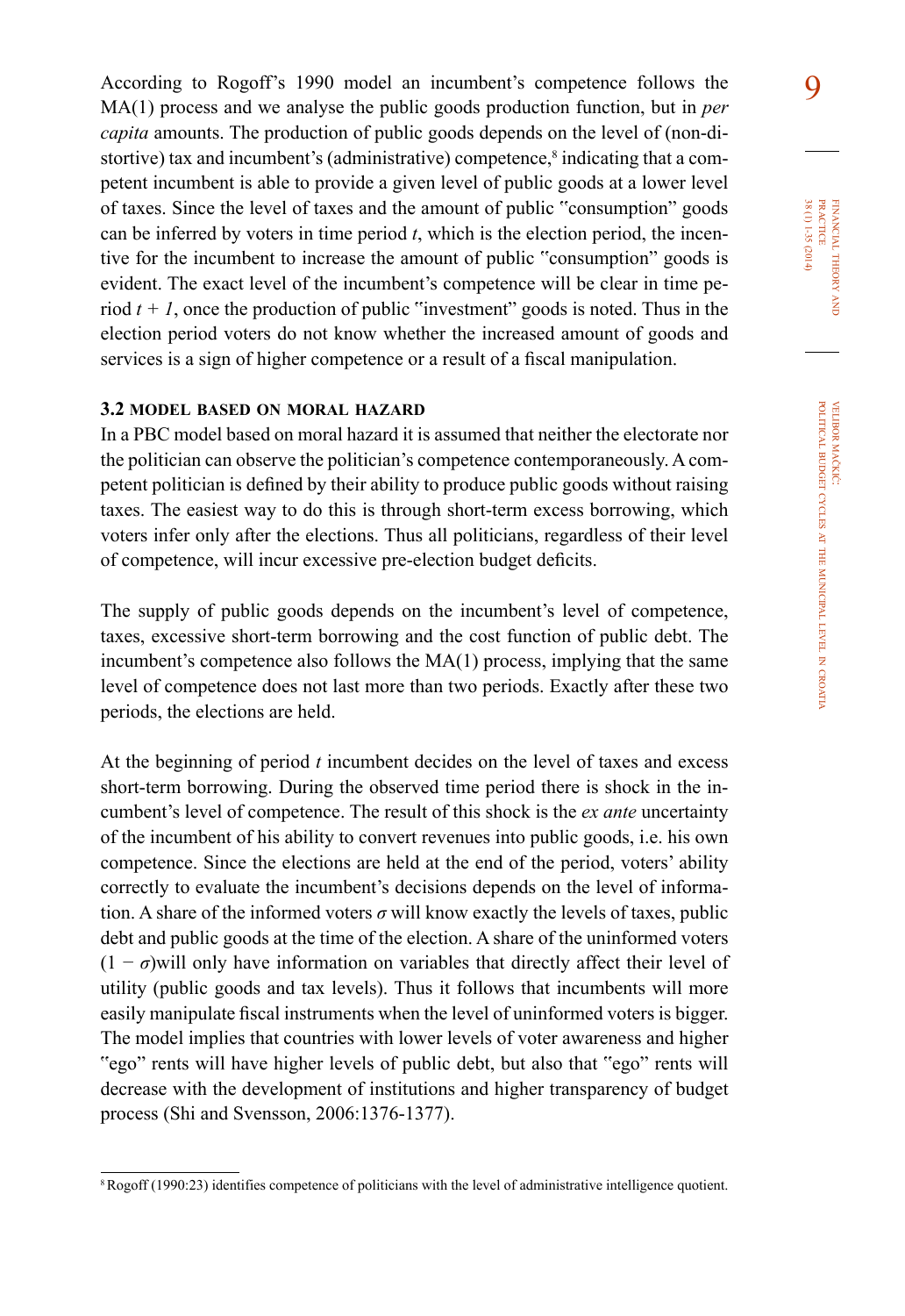According to Rogoff's 1990 model an incumbent's competence follows the 9 MA(1) process and we analyse the public goods production function, but in *per capita* amounts. The production of public goods depends on the level of (non-distortive) tax and incumbent's (administrative) competence,<sup>8</sup> indicating that a competent incumbent is able to provide a given level of public goods at a lower level of taxes. Since the level of taxes and the amount of public "consumption" goods can be inferred by voters in time period  $t$ , which is the election period, the incentive for the incumbent to increase the amount of public "consumption" goods is evident. The exact level of the incumbent's competence will be clear in time period  $t + I$ , once the production of public "investment" goods is noted. Thus in the election period voters do not know whether the increased amount of goods and services is a sign of higher competence or a result of a fiscal manipulation.

## **3.2 model based on moral hazard**

In a PBC model based on moral hazard it is assumed that neither the electorate nor the politician can observe the politician's competence contemporaneously. A competent politician is defined by their ability to produce public goods without raising taxes. The easiest way to do this is through short-term excess borrowing, which voters infer only after the elections. Thus all politicians, regardless of their level of competence, will incur excessive pre-election budget deficits.

The supply of public goods depends on the incumbent's level of competence, taxes, excessive short-term borrowing and the cost function of public debt. The incumbent's competence also follows the MA(1) process, implying that the same level of competence does not last more than two periods. Exactly after these two periods, the elections are held.

At the beginning of period *t* incumbent decides on the level of taxes and excess short-term borrowing. During the observed time period there is shock in the incumbent's level of competence. The result of this shock is the *ex ante* uncertainty of the incumbent of his ability to convert revenues into public goods, i.e. his own competence. Since the elections are held at the end of the period, voters' ability correctly to evaluate the incumbent's decisions depends on the level of information. A share of the informed voters  $\sigma$  will know exactly the levels of taxes, public debt and public goods at the time of the election. A share of the uninformed voters  $(1 - \sigma)$  will only have information on variables that directly affect their level of utility (public goods and tax levels). Thus it follows that incumbents will more easily manipulate fiscal instruments when the level of uninformed voters is bigger. The model implies that countries with lower levels of voter awareness and higher "ego" rents will have higher levels of public debt, but also that "ego" rents will decrease with the development of institutions and higher transparency of budget process (Shi and Svensson, 2006:1376-1377).

<sup>8</sup> Rogoff (1990:23) identifies competence of politicians with the level of administrative intelligence quotient.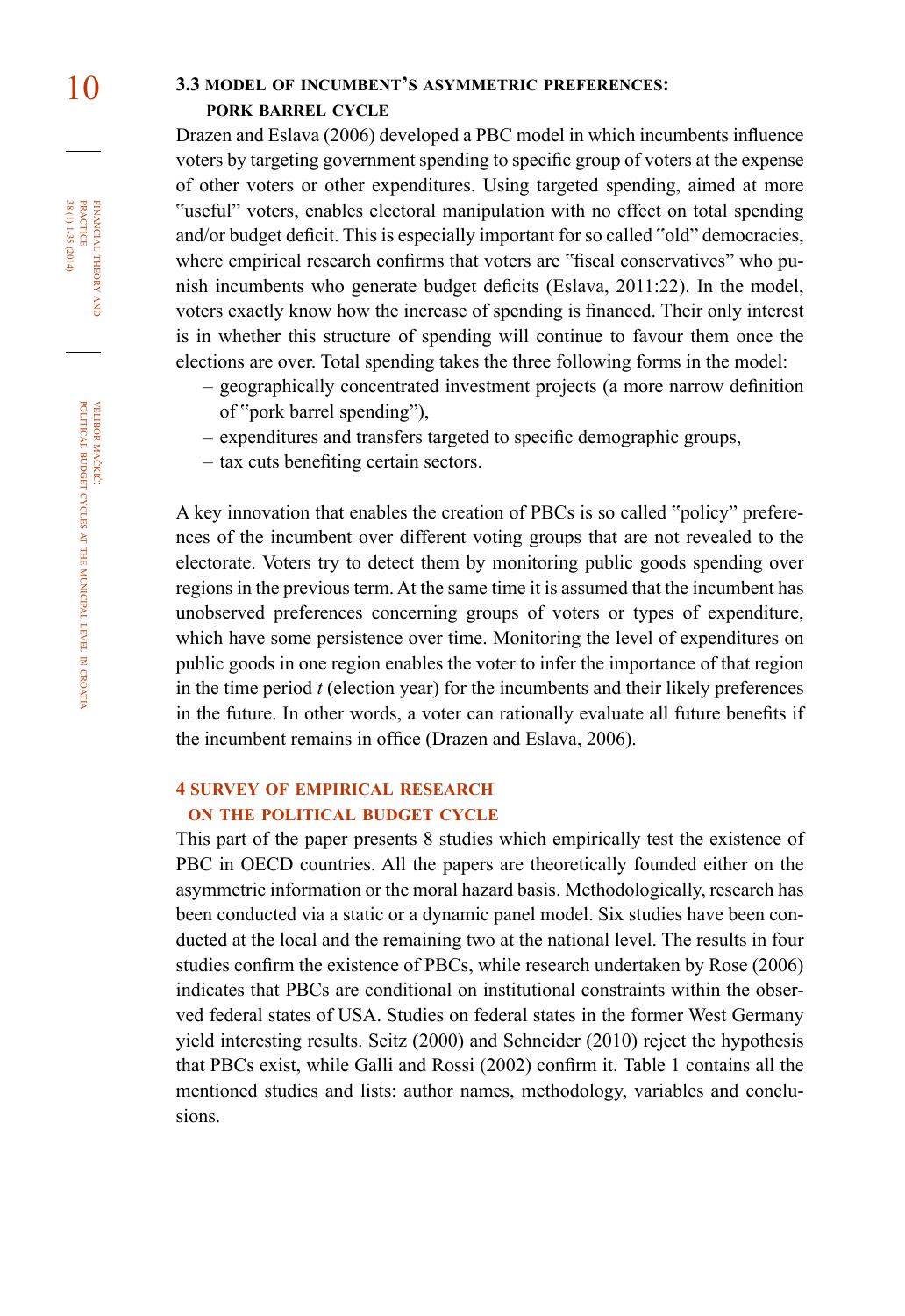# 10 **3.3 model of incumbent's asymmetric preferences: pork barrel cycle**

Drazen and Eslava (2006) developed a PBC model in which incumbents influence voters by targeting government spending to specific group of voters at the expense of other voters or other expenditures. Using targeted spending, aimed at more "useful" voters, enables electoral manipulation with no effect on total spending and/or budget deficit. This is especially important for so called "old" democracies, where empirical research confirms that voters are "fiscal conservatives" who punish incumbents who generate budget deficits (Eslava, 2011:22). In the model, voters exactly know how the increase of spending is financed. Their only interest is in whether this structure of spending will continue to favour them once the elections are over. Total spending takes the three following forms in the model:

- geographically concentrated investment projects (a more narrow definition of "pork barrel spending"),
- expenditures and transfers targeted to specific demographic groups,
- tax cuts benefiting certain sectors.

A key innovation that enables the creation of PBCs is so called "policy" preferences of the incumbent over different voting groups that are not revealed to the electorate. Voters try to detect them by monitoring public goods spending over regions in the previous term. At the same time it is assumed that the incumbent has unobserved preferences concerning groups of voters or types of expenditure, which have some persistence over time. Monitoring the level of expenditures on public goods in one region enables the voter to infer the importance of that region in the time period *t* (election year) for the incumbents and their likely preferences in the future. In other words, a voter can rationally evaluate all future benefits if the incumbent remains in office (Drazen and Eslava, 2006).

## **4 survey of empirical research on the political budget cycle**

This part of the paper presents 8 studies which empirically test the existence of PBC in OECD countries. All the papers are theoretically founded either on the asymmetric information or the moral hazard basis. Methodologically, research has been conducted via a static or a dynamic panel model. Six studies have been conducted at the local and the remaining two at the national level. The results in four studies confirm the existence of PBCs, while research undertaken by Rose (2006) indicates that PBCs are conditional on institutional constraints within the observed federal states of USA. Studies on federal states in the former West Germany yield interesting results. Seitz (2000) and Schneider (2010) reject the hypothesis that PBCs exist, while Galli and Rossi (2002) confirm it. Table 1 contains all the mentioned studies and lists: author names, methodology, variables and conclusions.

FINANCIAL THEORY PRACTICE 38 (1) 1-35 (2014) 38 (1) 1-35 (2014) practice financial theory and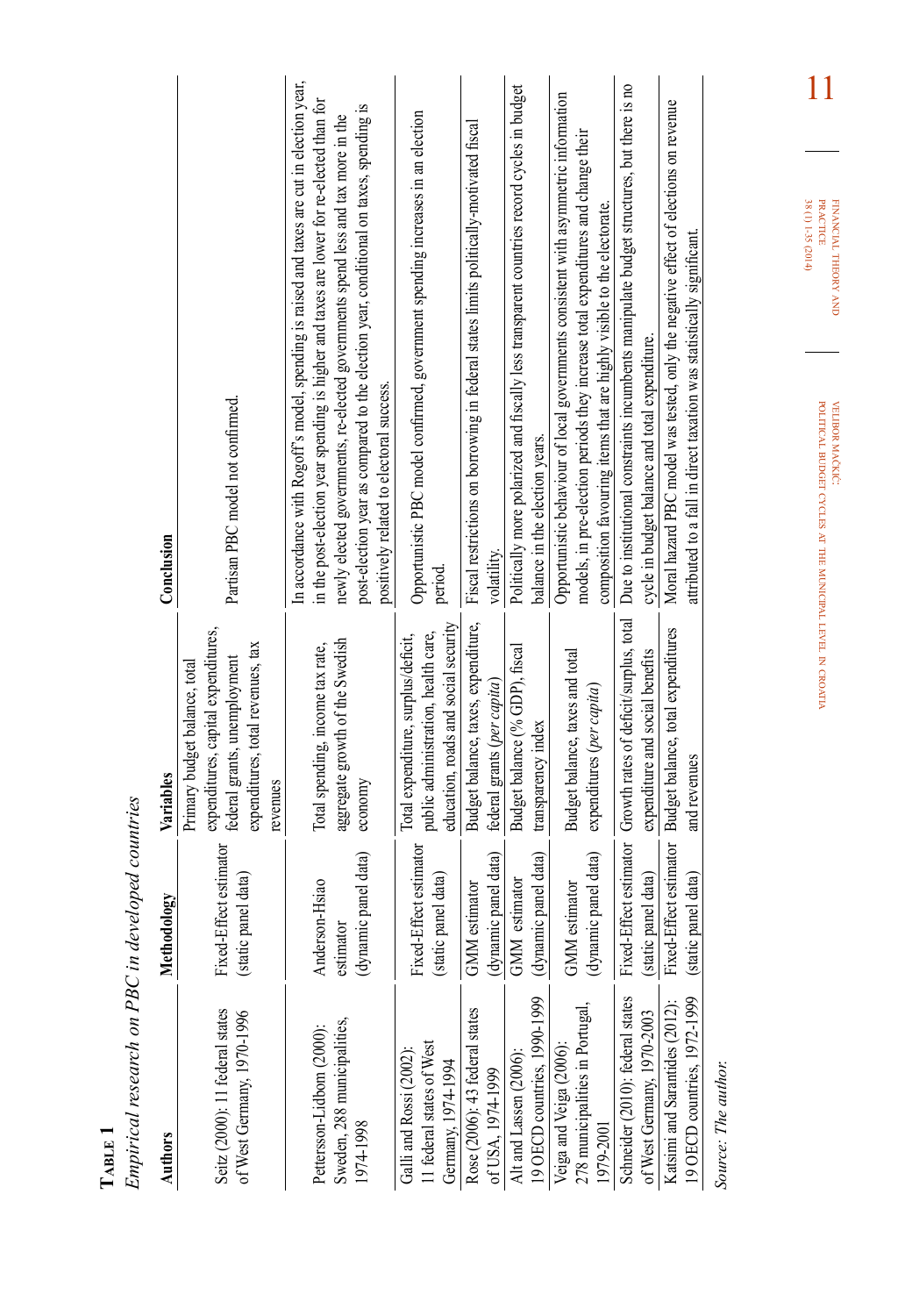| $T_{ABLE}$ 1                                                              |                                                     |                                                                                                                                                       |                                                                                                                                                                                                                                                                                                                                                                                                                 |
|---------------------------------------------------------------------------|-----------------------------------------------------|-------------------------------------------------------------------------------------------------------------------------------------------------------|-----------------------------------------------------------------------------------------------------------------------------------------------------------------------------------------------------------------------------------------------------------------------------------------------------------------------------------------------------------------------------------------------------------------|
| Empirical research on PBC in developed countries                          |                                                     |                                                                                                                                                       |                                                                                                                                                                                                                                                                                                                                                                                                                 |
| <b>Authors</b>                                                            | Methodology                                         | Variables                                                                                                                                             | Conclusion                                                                                                                                                                                                                                                                                                                                                                                                      |
| Seitz (2000): 11 federal states<br>of West Germany, 1970-1996             | ffect estimator<br>static panel data)<br>Fixed-E    | expenditures, capital expenditures,<br>expenditures, total revenues, tax<br>federal grants, unemployment<br>Primary budget balance, total<br>revenues | Partisan PBC model not confirmed.                                                                                                                                                                                                                                                                                                                                                                               |
| Sweden, 288 municipalities,<br>Pettersson-Lidbom (2000):<br>1974-1998     | (dynamic panel data)<br>Anderson-Hsiao<br>estimator | aggregate growth of the Swedish<br>Total spending, income tax rate,<br>economy                                                                        | In accordance with Rogoff's model, spending is raised and taxes are cut in election year,<br>in the post-election year spending is higher and taxes are lower for re-elected than for<br>post-election year as compared to the election year, conditional on taxes, spending is<br>newly elected governments, re-elected governments spend less and tax more in the<br>positively related to electoral success. |
| 11 federal states of West<br>Galli and Rossi (2002)<br>Germany, 1974-1994 | Fixed-Effect estimator<br>(static panel data)       | education, roads and social security<br>public administration, health care,<br>Total expenditure, surplus/deficit,                                    | Opportunistic PBC model confirmed, government spending increases in an election<br>period.                                                                                                                                                                                                                                                                                                                      |
| Rose (2006): 43 federal states<br>of USA, 1974-1999                       | (dynamic panel data)<br>GMM estimator               | Budget balance, taxes, expenditure,<br>federal grants (per capita)                                                                                    | Fiscal restrictions on borrowing in federal states limits politically-motivated fiscal<br>volatility.                                                                                                                                                                                                                                                                                                           |
| 19 OECD countries, 1990-1999<br>Alt and Lassen (2006):                    | (dynamic panel data)<br>estimator<br><b>GMM</b>     | Budget balance (% GDP), fiscal<br>transparency index                                                                                                  | Politically more polarized and fiscally less transparent countries record cycles in budget<br>balance in the election years.                                                                                                                                                                                                                                                                                    |
| 278 municipalities in Portugal,<br>Veiga and Veiga (2006):<br>1979-2001   | (dynamic panel data)<br>GMM estimator               | Budget balance, taxes and total<br>expenditures (per capita)                                                                                          | Opportunistic behaviour of local governments consistent with asymmetric information<br>models, in pre-election periods they increase total expenditures and change their<br>composition favouring items that are highly visible to the electorate.                                                                                                                                                              |
| Schneider (2010): federal states<br>of West Germany, 1970-2003            | (static panel data)                                 | Fixed-Effect estimator Growth rates of deficit/surplus, total<br>expenditure and social benefits                                                      | Due to institutional constraints incumbents manipulate budget structures, but there is no<br>cycle in budget balance and total expenditure.                                                                                                                                                                                                                                                                     |
| 19 OECD countries, 1972-1999<br>Katsimi and Sarantides (2012):            | Fixed-Effect estimator<br>panel data)<br>static     | Budget balance, total expenditures<br>and revenues                                                                                                    | Moral hazard PBC model was tested, only the negative effect of elections on revenue<br>attributed to a fall in direct taxation was statistically significant.                                                                                                                                                                                                                                                   |
| Source: The author.                                                       |                                                     |                                                                                                                                                       |                                                                                                                                                                                                                                                                                                                                                                                                                 |

mačkić: budget cycles at the municipal level in croatia

velibor

political

11

financial

theory FINANCIAL THEORY AND<br>PRACTICE<br>38 (1) 1-35 (2014) 38 (1) 1-35 (2014) practice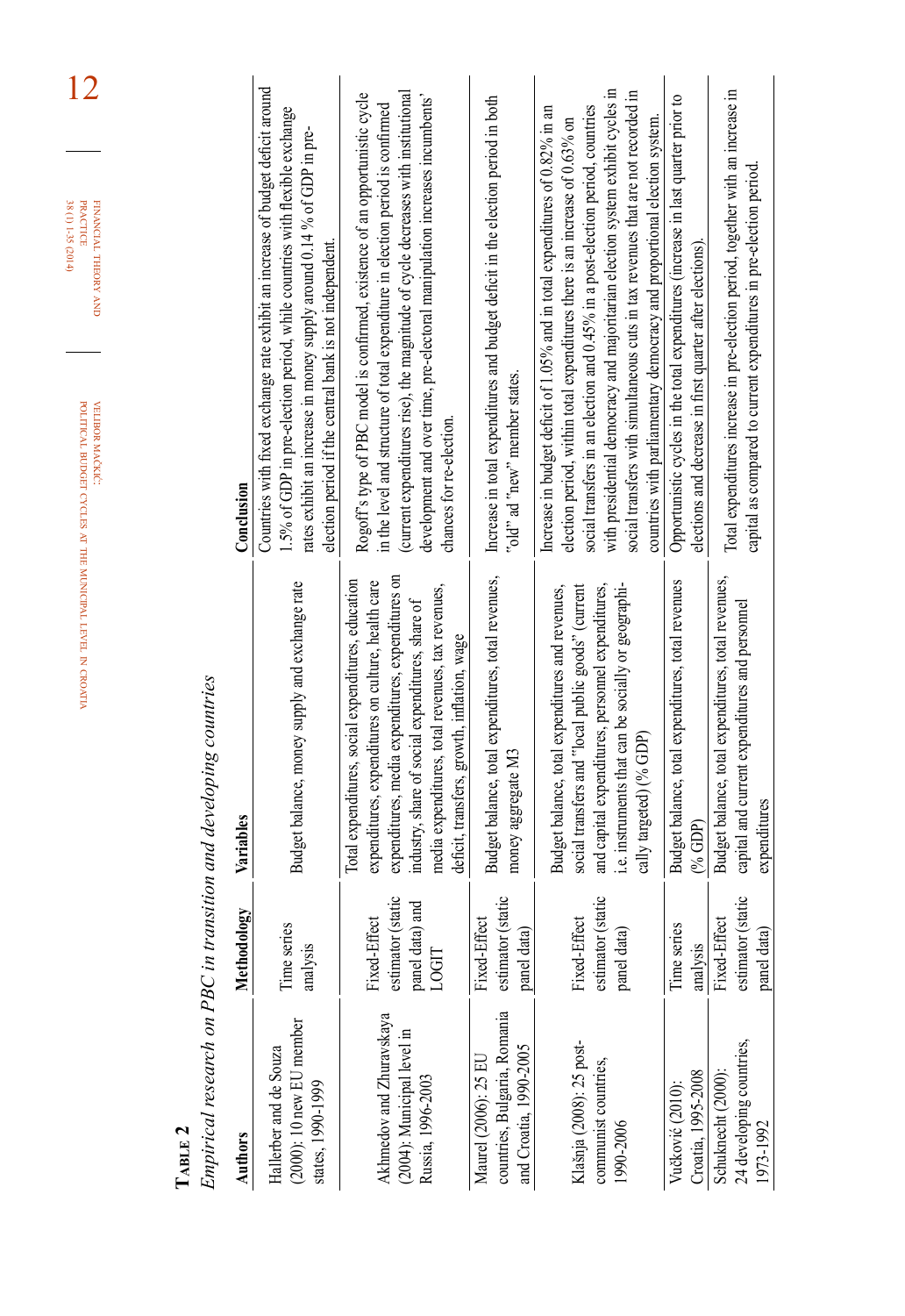|                                                                                |                                                                  |                                                                                                                                                                                                                                                                                                                       | 12<br>38 (1) 1-35 (2014)<br>FINANCIAL THEORY AND<br><b>PRACTICE</b><br>POLITICAL BUDGET CYCLES AT THE MUNICIPAL LEVEL IN CROATIA<br>VELIBOR MAČKIĆ:                                                                                                                                                                                                                                                                                                                                             |
|--------------------------------------------------------------------------------|------------------------------------------------------------------|-----------------------------------------------------------------------------------------------------------------------------------------------------------------------------------------------------------------------------------------------------------------------------------------------------------------------|-------------------------------------------------------------------------------------------------------------------------------------------------------------------------------------------------------------------------------------------------------------------------------------------------------------------------------------------------------------------------------------------------------------------------------------------------------------------------------------------------|
| $T_{ABLE}$ 2                                                                   |                                                                  | Empirical research on PBC in transition and developing countries                                                                                                                                                                                                                                                      |                                                                                                                                                                                                                                                                                                                                                                                                                                                                                                 |
| <b>Authors</b>                                                                 | Methodology                                                      | Variables                                                                                                                                                                                                                                                                                                             | Conclusion                                                                                                                                                                                                                                                                                                                                                                                                                                                                                      |
| $(2000)$ : 10 new EU member<br>Hallerber and de Souza<br>states, 1990-1999     | Time series<br>analysis                                          | Budget balance, money supply and exchange rate                                                                                                                                                                                                                                                                        | Countries with fixed exchange rate exhibit an increase of budget deficit around<br>1.5% of GDP in pre-election period, while countries with flexible exchange<br>rates exhibit an increase in money supply around 0.14 % of GDP in pre-<br>election period if the central bank is not independent.                                                                                                                                                                                              |
| Akhmedov and Zhuravskaya<br>(2004): Municipal level in<br>Russia, 1996-2003    | estimator (static<br>and<br>Fixed-Effect<br>panel data)<br>LOGIT | expenditures, media expenditures, expenditures on<br>Total expenditures, social expenditures, education<br>expenditures, expenditures on culture, health care<br>media expenditures, total revenues, tax revenues,<br>industry, share of social expenditures, share of<br>deficit, transfers, growth, inflation, wage | (current expenditures rise), the magnitude of cycle decreases with institutional<br>Rogoff's type of PBC model is confirmed, existence of an opportunistic cycle<br>development and over time, pre-electoral manipulation increases incumbents'<br>in the level and structure of total expenditure in election period is confirmed<br>chances for re-election.                                                                                                                                  |
| countries, Bulgaria, Romania<br>and Croatia, 1990-2005<br>Maurel (2006): 25 EU | estimator (static<br>Fixed-Effect<br>panel data)                 | Budget balance, total expenditures, total revenues,<br>money aggregate M3                                                                                                                                                                                                                                             | Increase in total expenditures and budget deficit in the election period in both<br>"old" ad "new" member states.                                                                                                                                                                                                                                                                                                                                                                               |
| Klašnja (2008): 25 post-<br>communist countries,<br>1990-2006                  | static<br>Fixed-Effect<br>panel data)<br>estimator (             | i.e. instruments that can be socially or geographi-<br>and capital expenditures, personnel expenditures,<br>Budget balance, total expenditures and revenues,<br>social transfers and "local public goods" (current<br>cally targeted) (% GDP)                                                                         | with presidential democracy and majoritarian election system exhibit cycles in<br>social transfers with simultaneous cuts in tax revenues that are not recorded in<br>social transfers in an election and 0.45% in a post-election period, countries<br>Increase in budget deficit of 1.05% and in total expenditures of 0.82% in an<br>countries with parliamentary democracy and proportional election system.<br>election period, within total expenditures there is an increase of 0.63% on |
| Croatia, 1995-2008<br>Vučković (2010):                                         | Time series<br>analysis                                          | Budget balance, total expenditures, total revenues<br>% GDP                                                                                                                                                                                                                                                           | Opportunistic cycles in the total expenditures (increase in last quarter prior to<br>elections and decrease in first quarter after elections).                                                                                                                                                                                                                                                                                                                                                  |
| 24 developing countries,<br>Schuknecht (2000)<br>1973-1992                     | estimator (static<br>Fixed-Effect<br>panel data)                 | Budget balance, total expenditures, total revenues,<br>capital and current expenditures and personnel<br>expenditures                                                                                                                                                                                                 | Total expenditures increase in pre-election period, together with an increase in<br>capital as compared to current expenditures in pre-election period                                                                                                                                                                                                                                                                                                                                          |
|                                                                                |                                                                  |                                                                                                                                                                                                                                                                                                                       |                                                                                                                                                                                                                                                                                                                                                                                                                                                                                                 |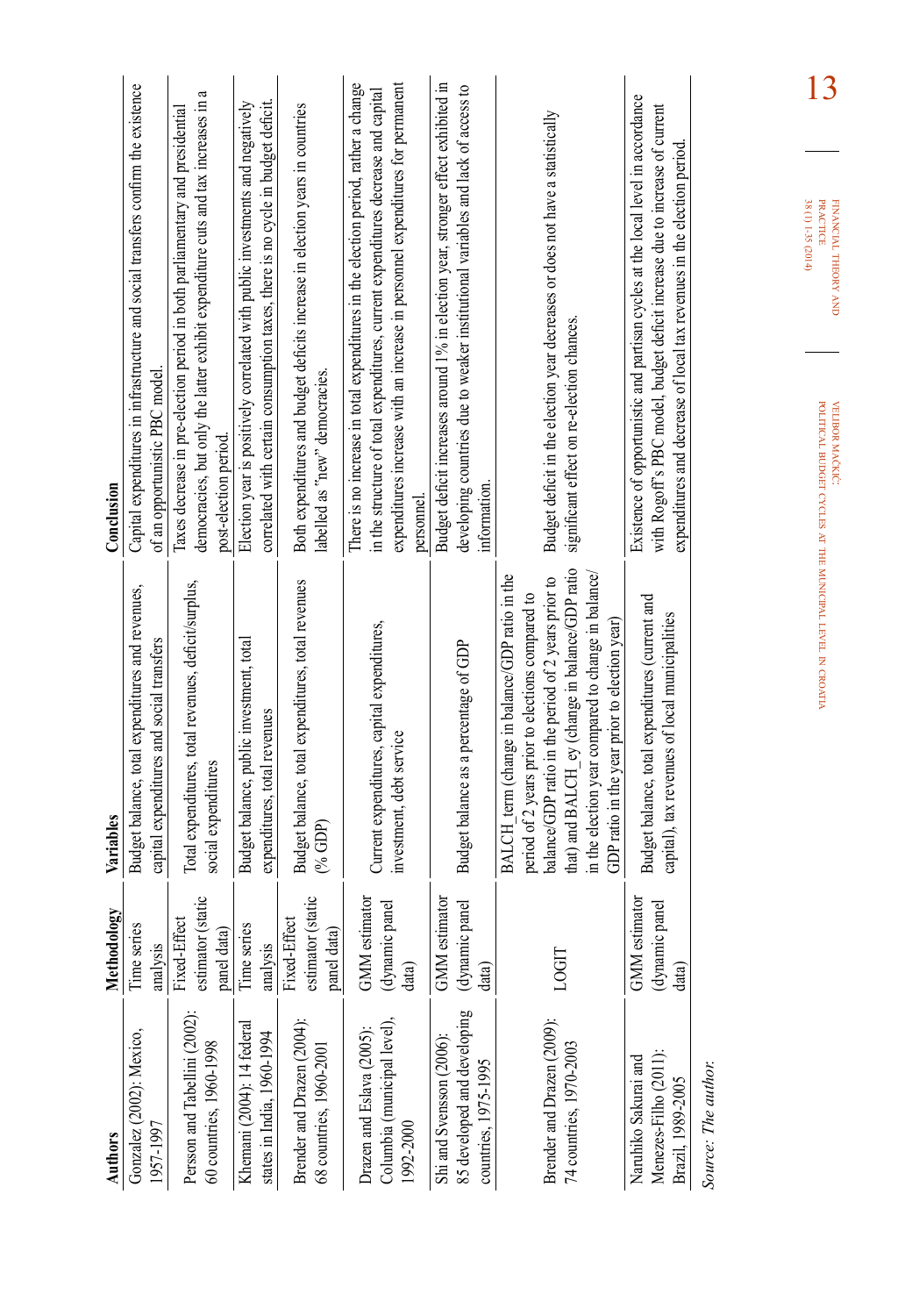| Authors                                                                         | <b>Methodology</b>                                 | Variables                                                                                                                                                                                                                                                                                                            | Conclusion                                                                                                                                                                                                                                                             |
|---------------------------------------------------------------------------------|----------------------------------------------------|----------------------------------------------------------------------------------------------------------------------------------------------------------------------------------------------------------------------------------------------------------------------------------------------------------------------|------------------------------------------------------------------------------------------------------------------------------------------------------------------------------------------------------------------------------------------------------------------------|
| Gonzalez (2002): Mexico,<br>1957-1997                                           | Time series<br>analysis                            | Budget balance, total expenditures and revenues,<br>capital expenditures and social transfers                                                                                                                                                                                                                        | Capital expenditures in infrastructure and social transfers confirm the existence<br>of an opportunistic PBC model                                                                                                                                                     |
| Persson and Tabellini (2002):<br>60 countries, 1960-1998                        | estimator (static<br>Fixed-Effect<br>panel data)   | Total expenditures, total revenues, deficit/surplus,<br>social expenditures                                                                                                                                                                                                                                          | ß<br>democracies, but only the latter exhibit expenditure cuts and tax increases in<br>laxes decrease in pre-election period in both parliamentary and presidential<br>post-election period                                                                            |
| Khemani (2004): 14 federal<br>states in India, 1960-1994                        | Time series<br>analysis                            | Budget balance, public investment, total<br>expenditures, total revenues                                                                                                                                                                                                                                             | correlated with certain consumption taxes, there is no cycle in budget deficit.<br>Election year is positively correlated with public investments and negatively                                                                                                       |
| Brender and Drazen (2004):<br>68 countries, 1960-2001                           | estimator (static<br>Fixed-Effect<br>panel data    | Budget balance, total expenditures, total revenues<br>$(*GDP)$                                                                                                                                                                                                                                                       | Both expenditures and budget deficits increase in election years in countries<br>labelled as "new" democracies.                                                                                                                                                        |
| Columbia (municipal level),<br>Drazen and Eslava (2005):<br>1992-2000           | <b>GMM</b> estimator<br>panel<br>(dynamic<br>data) | Current expenditures, capital expenditures,<br>investment, debt service                                                                                                                                                                                                                                              | There is no increase in total expenditures in the election period, rather a change<br>expenditures increase with an increase in personnel expenditures for permanent<br>in the structure of total expenditures, current expenditures decrease and capital<br>personnel |
| 85 developed and developing<br>Shi and Svensson (2006):<br>countries, 1975-1995 | GMM estimator<br>panel<br>(dynamic<br>data)        | Budget balance as a percentage of GDP                                                                                                                                                                                                                                                                                | Budget deficit increases around 1% in election year, stronger effect exhibited in<br>developing countries due to weaker institutional variables and lack of access to<br>information                                                                                   |
| Brender and Drazen (2009):<br>74 countries, 1970-2003                           |                                                    | that) and BALCH ey (change in balance/GDP ratio<br>in the election year compared to change in balance/<br>BALCH term (change in balance/GDP ratio in the<br>balance/GDP ratio in the period of 2 years prior to<br>period of 2 years prior to elections compared to<br>GDP ratio in the year prior to election year) | Budget deficit in the election year decreases or does not have a statistically<br>significant effect on re-election chances.                                                                                                                                           |
| Menezes-Filho (2011).<br>Naruhiko Sakurai and<br>Brazil, 1989-2005              | GMM estimator<br>panel<br>(dynamic<br>data)        | Budget balance, total expenditures (current and<br>capital), tax revenues of local municipalities                                                                                                                                                                                                                    | Existence of opportunistic and partisan cycles at the local level in accordance<br>with Rogoff's PBC model, budget deficit increase due to increase of current<br>expenditures and decrease of local tax revenues in the election period                               |
| Source: The author.                                                             |                                                    |                                                                                                                                                                                                                                                                                                                      | 13<br>38 (1) 1-35 (2014)<br><b>PRACTICE</b><br>FINANCIAL THEORY AND<br>POLITICAL BUDGET CYCLES AT THE MUNICIPAL LEVEL IN CROATIA<br>VELIBOR MACKIC:                                                                                                                    |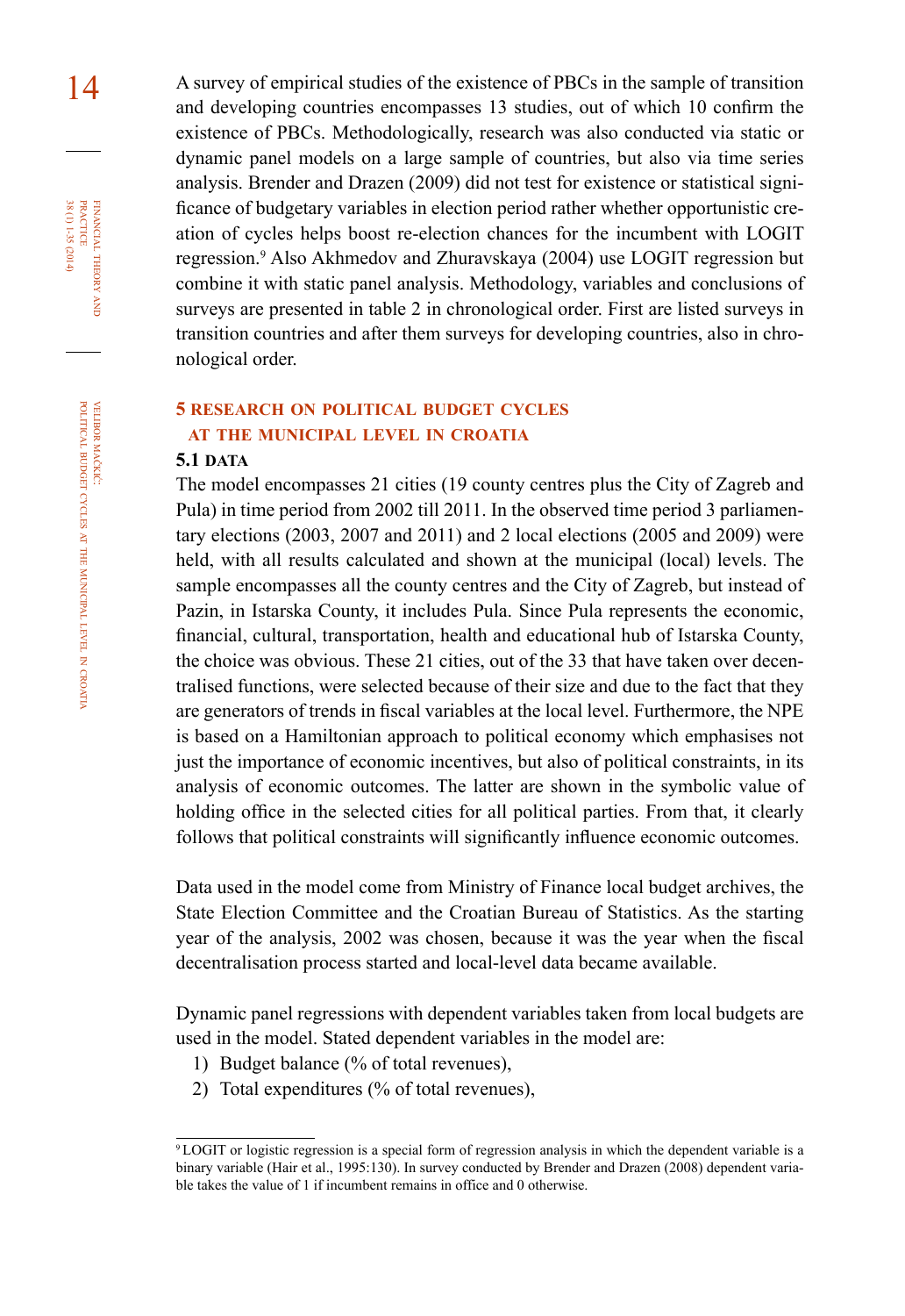14 A survey of empirical studies of the existence of PBCs in the sample of transition and developing countries encompasses 13 studies, out of which 10 confirm the existence of PBCs. Methodologically, research was also conducted via static or dynamic panel models on a large sample of countries, but also via time series analysis. Brender and Drazen (2009) did not test for existence or statistical significance of budgetary variables in election period rather whether opportunistic creation of cycles helps boost re-election chances for the incumbent with LOGIT regression.<sup>9</sup> Also Akhmedov and Zhuravskaya (2004) use LOGIT regression but combine it with static panel analysis. Methodology, variables and conclusions of surveys are presented in table 2 in chronological order. First are listed surveys in transition countries and after them surveys for developing countries, also in chronological order.

# **5 research on political budget cycles at the municipal level in croatia**

#### **5.1 DATA**

The model encompasses 21 cities (19 county centres plus the City of Zagreb and Pula) in time period from 2002 till 2011. In the observed time period 3 parliamentary elections (2003, 2007 and 2011) and 2 local elections (2005 and 2009) were held, with all results calculated and shown at the municipal (local) levels. The sample encompasses all the county centres and the City of Zagreb, but instead of Pazin, in Istarska County, it includes Pula. Since Pula represents the economic, financial, cultural, transportation, health and educational hub of Istarska County, the choice was obvious. These 21 cities, out of the 33 that have taken over decentralised functions, were selected because of their size and due to the fact that they are generators of trends in fiscal variables at the local level. Furthermore, the NPE is based on a Hamiltonian approach to political economy which emphasises not just the importance of economic incentives, but also of political constraints, in its analysis of economic outcomes. The latter are shown in the symbolic value of holding office in the selected cities for all political parties. From that, it clearly follows that political constraints will significantly influence economic outcomes.

Data used in the model come from Ministry of Finance local budget archives, the State Election Committee and the Croatian Bureau of Statistics. As the starting year of the analysis, 2002 was chosen, because it was the year when the fiscal decentralisation process started and local-level data became available.

Dynamic panel regressions with dependent variables taken from local budgets are used in the model. Stated dependent variables in the model are:

- 1) Budget balance (% of total revenues),
- 2) Total expenditures (% of total revenues),

financial

FINANCIAL THEORY<br>PRACTICE  $38(1)1-35(2014)$ 

38 (1) 1-35 (2014) practice

theory and

<sup>9</sup>LOGIT or logistic regression is a special form of regression analysis in which the dependent variable is a binary variable (Hair et al., 1995:130). In survey conducted by Brender and Drazen (2008) dependent variable takes the value of 1 if incumbent remains in office and 0 otherwise.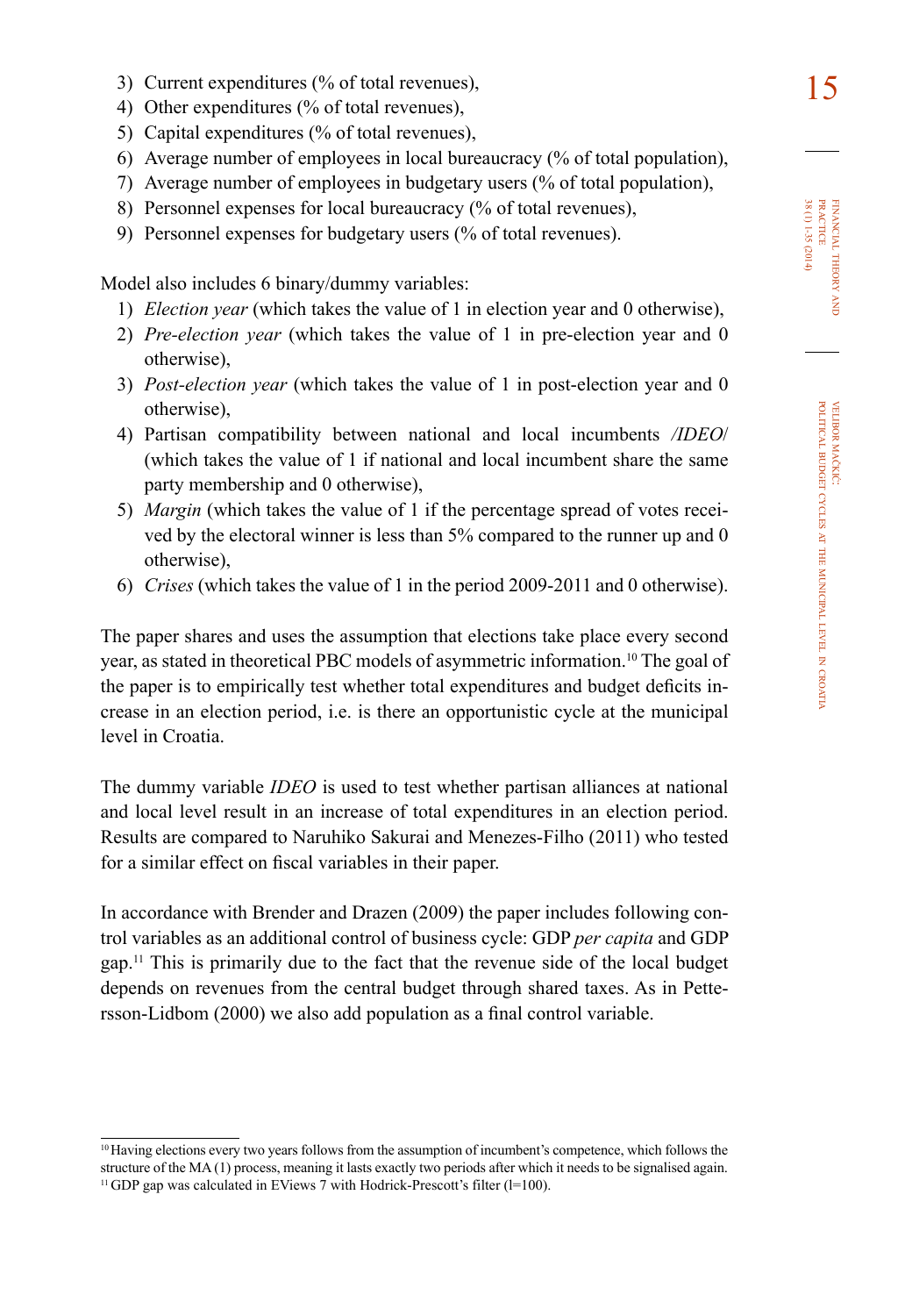- 3) Current expenditures (% of total revenues),  $15$
- 4) Other expenditures (% of total revenues),
- 5) Capital expenditures (% of total revenues),
- 6) Average number of employees in local bureaucracy (% of total population),
- 7) Average number of employees in budgetary users (% of total population),
- 8) Personnel expenses for local bureaucracy (% of total revenues),
- 9) Personnel expenses for budgetary users (% of total revenues).

Model also includes 6 binary/dummy variables:

- 1) *Election year* (which takes the value of 1 in election year and 0 otherwise),
- 2) *Pre-election year* (which takes the value of 1 in pre-election year and 0 otherwise),
- 3) *Post-election year* (which takes the value of 1 in post-election year and 0 otherwise),
- 4) Partisan compatibility between national and local incumbents */IDEO*/ (which takes the value of 1 if national and local incumbent share the same party membership and 0 otherwise),
- 5) *Margin* (which takes the value of 1 if the percentage spread of votes received by the electoral winner is less than 5% compared to the runner up and 0 otherwise),
- 6) *Crises* (which takes the value of 1 in the period 2009-2011 and 0 otherwise).

The paper shares and uses the assumption that elections take place every second year, as stated in theoretical PBC models of asymmetric information.<sup>10</sup> The goal of the paper is to empirically test whether total expenditures and budget deficits increase in an election period, i.e. is there an opportunistic cycle at the municipal level in Croatia.

The dummy variable *IDEO* is used to test whether partisan alliances at national and local level result in an increase of total expenditures in an election period. Results are compared to Naruhiko Sakurai and Menezes-Filho (2011) who tested for a similar effect on fiscal variables in their paper.

In accordance with Brender and Drazen (2009) the paper includes following control variables as an additional control of business cycle: GDP *per capita* and GDP gap.<sup>11</sup> This is primarily due to the fact that the revenue side of the local budget depends on revenues from the central budget through shared taxes. As in Pettersson-Lidbom (2000) we also add population as a final control variable.

<sup>10</sup>Having elections every two years follows from the assumption of incumbent's competence, which follows the structure of the MA (1) process, meaning it lasts exactly two periods after which it needs to be signalised again.  $11$  GDP gap was calculated in EViews 7 with Hodrick-Prescott's filter ( $I=100$ ).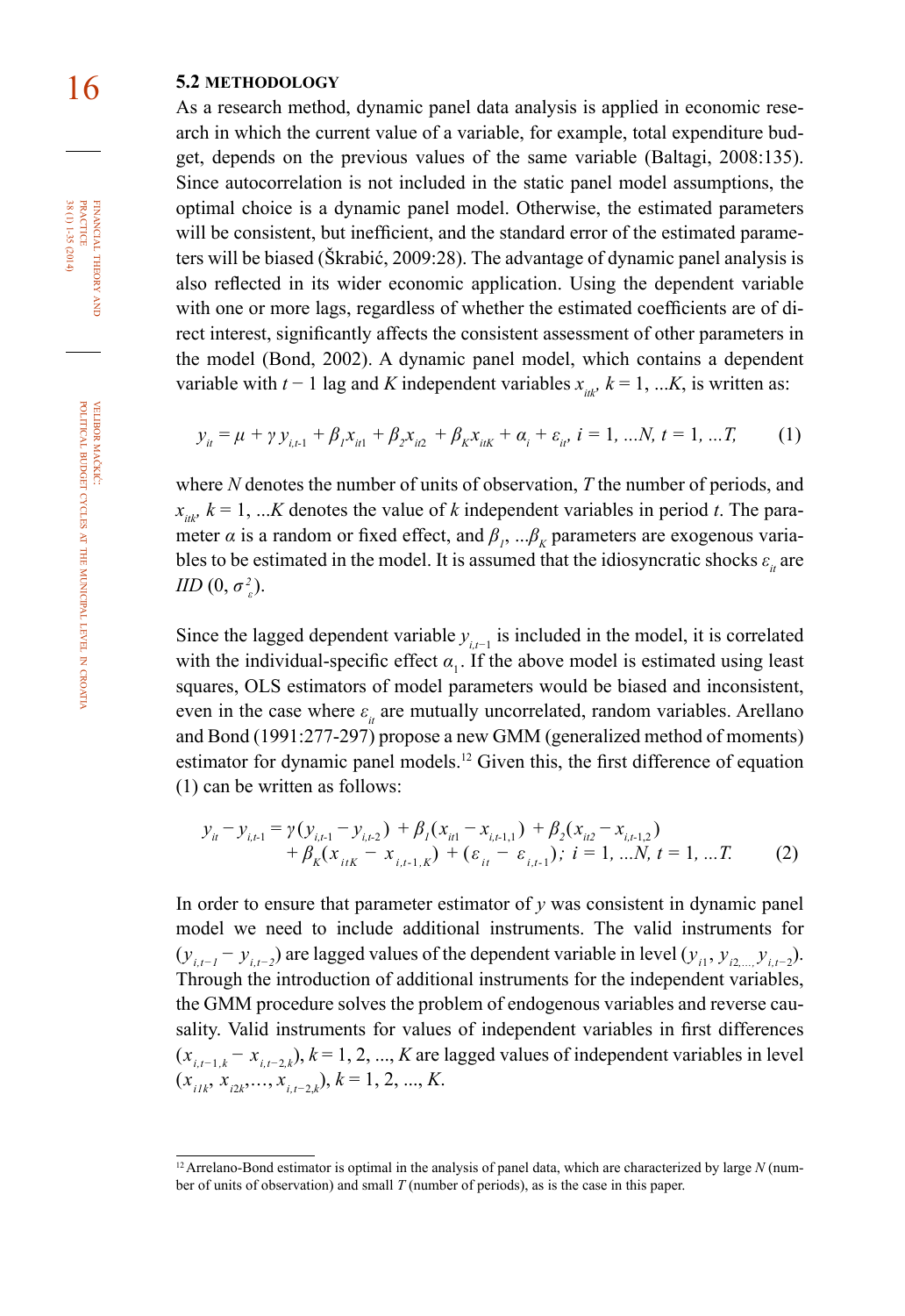# 16 **5.2 methodology**

As a research method, dynamic panel data analysis is applied in economic research in which the current value of a variable, for example, total expenditure budget, depends on the previous values of the same variable (Baltagi, 2008:135). Since autocorrelation is not included in the static panel model assumptions, the optimal choice is a dynamic panel model. Otherwise, the estimated parameters will be consistent, but inefficient, and the standard error of the estimated parameters will be biased (Škrabić, 2009:28). The advantage of dynamic panel analysis is also reflected in its wider economic application. Using the dependent variable with one or more lags, regardless of whether the estimated coefficients are of direct interest, significantly affects the consistent assessment of other parameters in the model (Bond, 2002). A dynamic panel model, which contains a dependent variable with  $t - 1$  lag and K independent variables  $x_{ik}$ ,  $k = 1, \dots K$ , is written as:

$$
y_{ii} = \mu + \gamma y_{i,t-1} + \beta_1 x_{i,t} + \beta_2 x_{i,t} + \beta_k x_{i,t} + \alpha_i + \varepsilon_{ii}, i = 1, ...N, t = 1, ...T,
$$
 (1)

where *N* denotes the number of units of observation, *T* the number of periods, and  $x_{i,t}$ ,  $k = 1$ , ...*K* denotes the value of *k* independent variables in period *t*. The parameter *α* is a random or fixed effect, and  $\beta_1$ , ... $\beta_k$  parameters are exogenous variables to be estimated in the model. It is assumed that the idiosyncratic shocks  $\varepsilon$ <sub>*it*</sub> are *IID*  $(0, \sigma_z^2)$ .

Since the lagged dependent variable  $y_{i,t-1}$  is included in the model, it is correlated with the individual-specific effect  $\alpha$ <sub>1</sub>. If the above model is estimated using least squares, OLS estimators of model parameters would be biased and inconsistent, even in the case where  $\varepsilon$ <sub>*i*</sub> are mutually uncorrelated, random variables. Arellano and Bond (1991:277-297) propose a new GMM (generalized method of moments) estimator for dynamic panel models.<sup>12</sup> Given this, the first difference of equation (1) can be written as follows:

$$
y_{it} - y_{i,t-1} = \gamma (y_{i,t-1} - y_{i,t-2}) + \beta_1 (x_{it-1} - x_{i,t-1,1}) + \beta_2 (x_{it-1} - x_{i,t-1,2}) + \beta_k (x_{it-1} - x_{i,t-1,0}) + (\varepsilon_{it} - \varepsilon_{i,t-1}), \quad i = 1, \dots, N, t = 1, \dots, T. \tag{2}
$$

In order to ensure that parameter estimator of  $\gamma$  was consistent in dynamic panel model we need to include additional instruments. The valid instruments for (*y*<sub>*i*,t−1</sub> − *y*<sub>*i*,t−2</sub>) are lagged values of the dependent variable in level (*y*<sub>*i*1</sub>, *y*<sub>*i*2,..., *y*<sub>*i*</sub>, -2</sub>). Through the introduction of additional instruments for the independent variables, the GMM procedure solves the problem of endogenous variables and reverse causality. Valid instruments for values of independent variables in first differences (*xi,t−*1*,k − xi,t−*2*,k*), *k* = 1, 2, ..., *K* are lagged values of independent variables in level (*xi1k*, *xi*2*<sup>k</sup>* ,..., *xi,t−*2,*<sup>k</sup>* ), *k* = 1, 2, ..., *K*.

 $38(1)1-35(2014)$ FINANCIAL THEORY PRACTICE 38 (1) 1-35 (2014) practice financial theory and

<sup>&</sup>lt;sup>12</sup> Arrelano-Bond estimator is optimal in the analysis of panel data, which are characterized by large  $N$  (number of units of observation) and small *T* (number of periods), as is the case in this paper.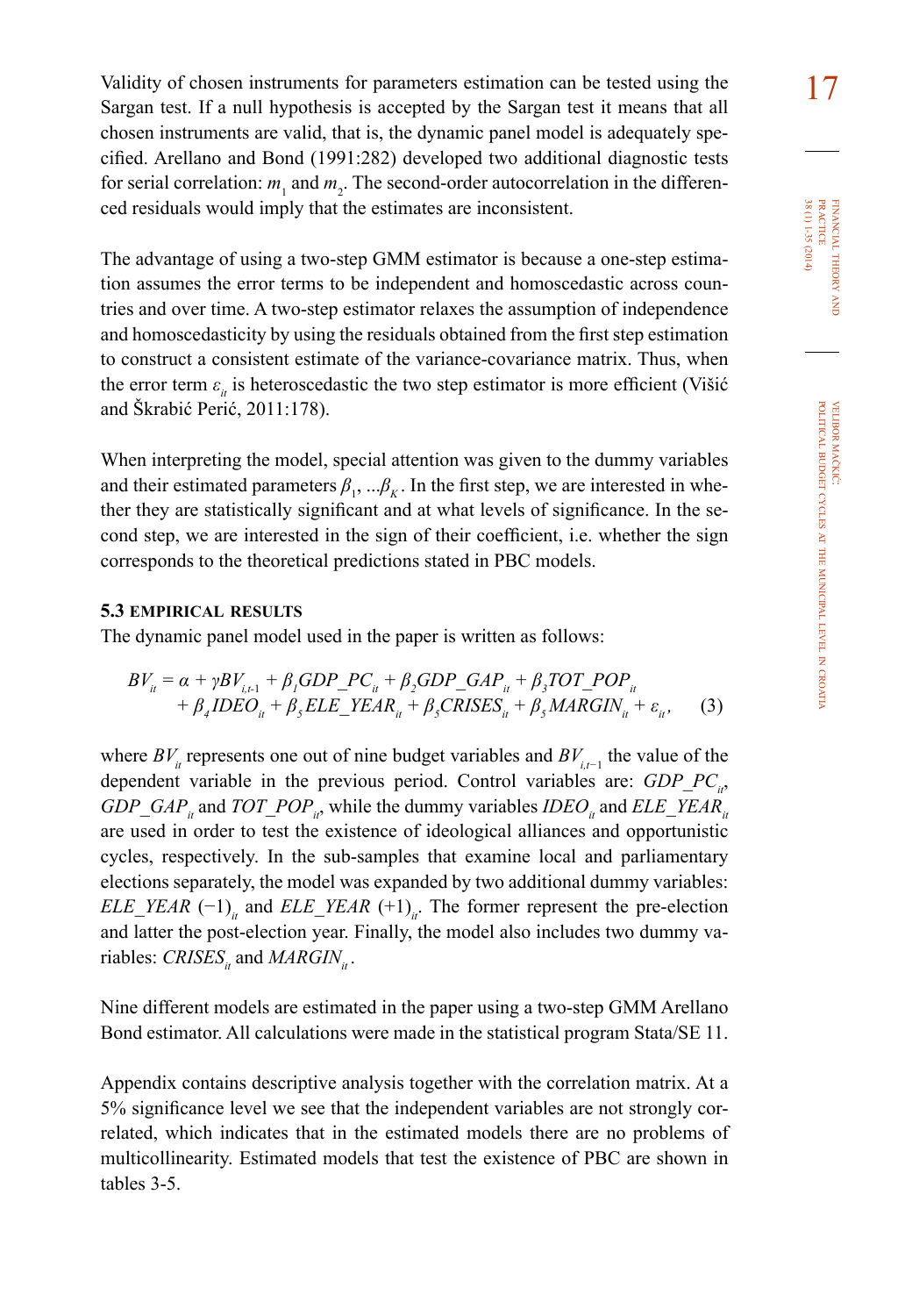Validity of chosen instruments for parameters estimation can be tested using the 17 Sargan test. If a null hypothesis is accepted by the Sargan test it means that all chosen instruments are valid, that is, the dynamic panel model is adequately specified. Arellano and Bond (1991:282) developed two additional diagnostic tests for serial correlation:  $m_1$  and  $m_2$ . The second-order autocorrelation in the differenced residuals would imply that the estimates are inconsistent.

The advantage of using a two-step GMM estimator is because a one-step estimation assumes the error terms to be independent and homoscedastic across countries and over time. A two-step estimator relaxes the assumption of independence and homoscedasticity by using the residuals obtained from the first step estimation to construct a consistent estimate of the variance-covariance matrix. Thus, when the error term  $\varepsilon$ <sub>*ii*</sub> is heteroscedastic the two step estimator is more efficient (Višić and Škrabić Perić, 2011:178).

When interpreting the model, special attention was given to the dummy variables and their estimated parameters  $\beta_1$ , ... $\beta_k$ . In the first step, we are interested in whether they are statistically significant and at what levels of significance. In the second step, we are interested in the sign of their coefficient, i.e. whether the sign corresponds to the theoretical predictions stated in PBC models.

#### **5.3 empirical results**

The dynamic panel model used in the paper is written as follows:

$$
BV_{ii} = \alpha + \gamma BV_{i,t-1} + \beta_1 GDP\_PC_{ii} + \beta_2 GDP\_GAP_{ii} + \beta_3 TOT\_POP_{ii}
$$
  
+  $\beta_4 IDEO_{ii} + \beta_5 ELE\_YEAR_{ii} + \beta_5 CRISES_{ii} + \beta_5 MARGIN_{ii} + \varepsilon_{ii}$ , (3)

where *BV<sub>it</sub>* represents one out of nine budget variables and *BV*<sub>*i*,t−1</sub> the value of the dependent variable in the previous period. Control variables are: *GDP PC<sub>it</sub>*, *GDP\_GAP<sub>it</sub>* and *TOT\_POP<sub>it</sub>*, while the dummy variables *IDEO<sub>it</sub>* and *ELE\_YEAR<sub>it</sub>* are used in order to test the existence of ideological alliances and opportunistic cycles, respectively. In the sub-samples that examine local and parliamentary elections separately, the model was expanded by two additional dummy variables: *ELE\_YEAR*  $(-1)$ <sub>*it*</sub> and *ELE\_YEAR*  $(+1)$ <sub>*it*</sub>. The former represent the pre-election and latter the post-election year. Finally, the model also includes two dummy variables: *CRISES<sub>it</sub>* and *MARGIN<sub>it</sub>*.

Nine different models are estimated in the paper using a two-step GMM Arellano Bond estimator. All calculations were made in the statistical program Stata/SE 11.

Appendix contains descriptive analysis together with the correlation matrix. At a 5% significance level we see that the independent variables are not strongly correlated, which indicates that in the estimated models there are no problems of multicollinearity. Estimated models that test the existence of PBC are shown in tables 3-5.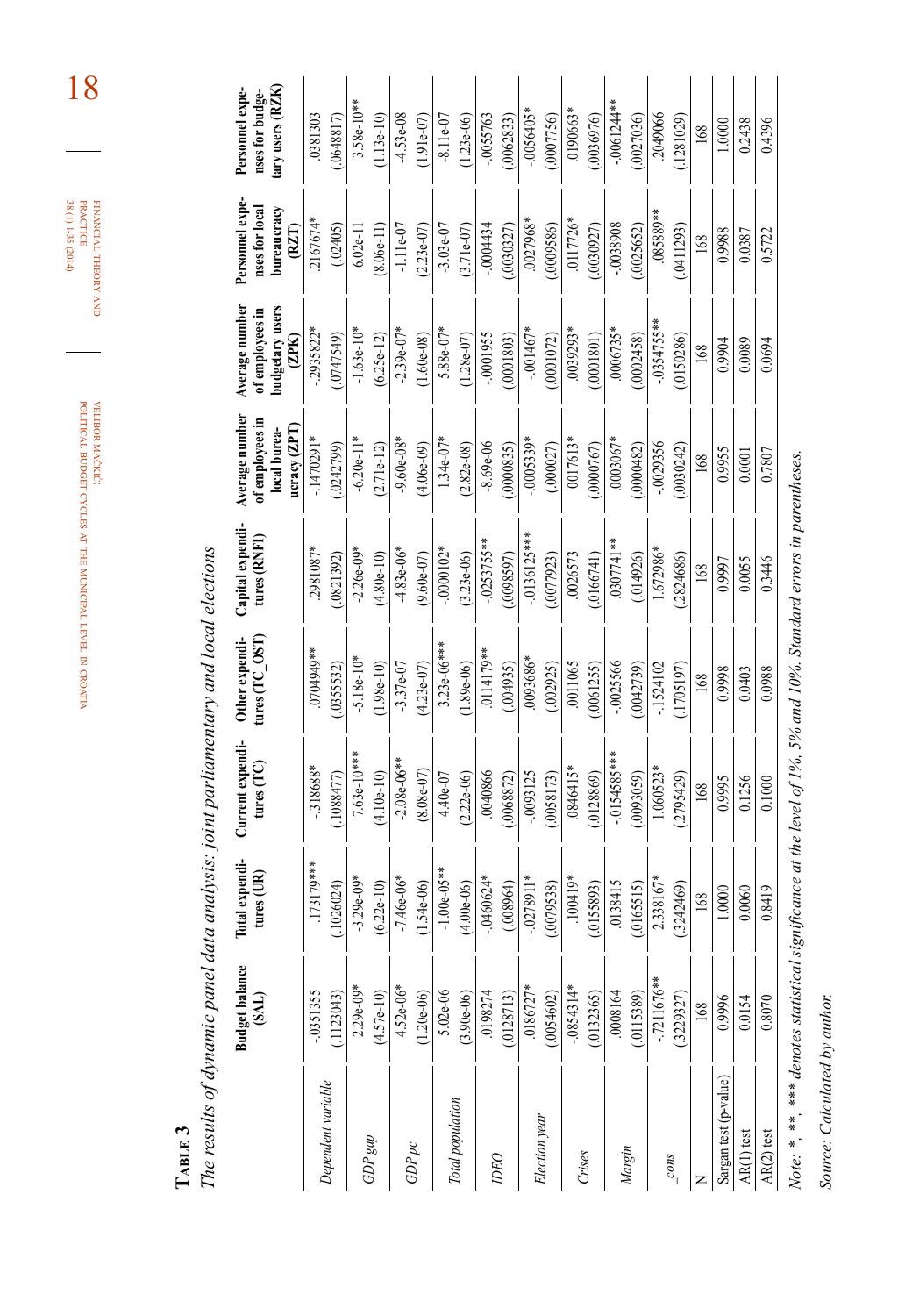financial theory FINANCIAL THEORY AND<br>PRACTICE<br>38 (1) 1-35 (2014) 38 (1) 1-35 (2014) practice

18

velibor mačkić: political budget cycles at the municipal level in croatia

**table 3**

The results of dynamic panel data analysis: joint parliamentary and local elections *The results of dynamic panel data analysis: joint parliamentary and local elections*

|                                                                                                                   | <b>Budget balance</b><br>(SAL) | Total expendi-<br>tures $(IR)$ | Current expendi-<br>tures $(TC)$ | Other expendi-<br>tures (TC_OST) | Capital expendi-<br>tures (RNFI) | Average number<br>of employees in<br>local burea-<br>ucracy (ZPT | Average number<br>oudgetary users<br>of employees in<br>(2PK) | Personnel expe-<br>bureaucracy<br>nses for local<br>(RZT | tary users (RZK)<br>Personnel expe-<br>nses for budge- |
|-------------------------------------------------------------------------------------------------------------------|--------------------------------|--------------------------------|----------------------------------|----------------------------------|----------------------------------|------------------------------------------------------------------|---------------------------------------------------------------|----------------------------------------------------------|--------------------------------------------------------|
| Dependent variable                                                                                                | $-0351355$                     | 173179***                      | .318688                          | 0704949*                         | 2981087*                         | $-1470291*$                                                      | $-2935822$ <sup>*</sup>                                       | 2167674*                                                 | .0381303                                               |
|                                                                                                                   | (1123043)                      | (1026024)                      | 1088477                          | .0355532                         | (0821392)                        | (0242799)                                                        | (0.47549)                                                     | (.02405)                                                 | .0648817                                               |
|                                                                                                                   | $2.29e-09*$                    | $-3.29e-09$                    | 7.63e-10***                      | $-5.18e-10*$                     | $-2.26e-09*$                     | $-6.20e-11*$                                                     | $-1.63e-10*$                                                  | $6.02e-11$                                               | $3.58e-10**$                                           |
| $GDP$ gap                                                                                                         | $(4.57e-10)$                   | $(6.22e-10)$                   | $(4.10e-10)$                     | $(1.98e-10)$                     | $(4.80e-10)$                     | $(2.71e-12)$                                                     | $(6.25e-12)$                                                  | $(8.06e-11)$                                             | $1.13e-10$                                             |
| $GDP$ pc                                                                                                          | $4.52e-06*$                    | $-7.46e-06*$                   | $-2.08e-06**$                    | $-3.37e-07$                      | $-4.83e-06*$                     | $-9.60e-08*$                                                     | $-2.39e-07*$                                                  | $-1.11e-07$                                              | $4.53e-08$                                             |
|                                                                                                                   | $(1.20e-06)$                   | $(1.54e-06)$                   | $(8.08e-07)$                     | $(4.23e-07)$                     | $(9.60e-07)$                     | $(4.06e-09)$                                                     | $(1.60e-08)$                                                  | $(2.23e-07)$                                             | $(1.91e-07)$                                           |
| Total population                                                                                                  | 5.02e-06                       | $-1.00e-05**$                  | 4.40e-07                         | $3.23e-06***$                    | $-0000102*$                      | $1.34e-07*$                                                      | 5.88e-07*                                                     | $-3.03e-07$                                              | $-8.11e-07$                                            |
|                                                                                                                   | $(3.90e-06)$                   | $(4.00e-06)$                   | $(2.22e-06)$                     | $(1.89e-06)$                     | $(3.23e-06)$                     | $(2.82e-0.8)$                                                    | $(1.28e-07)$                                                  | $(3.71e-07)$                                             | $(1.23e-06)$                                           |
| <b>DEO</b>                                                                                                        | 0198274                        | $-0460624*$                    | 0040866                          | .0114179**                       | $-0253755**$                     | $-8.69e-06$                                                      | $-0001955$                                                    | $-0004434$                                               | $-0.0055763$                                           |
|                                                                                                                   | (.0128713)                     | (0.08964)                      | (0.068872)                       | (004935)                         | (70098597)                       | (0000835)                                                        | (.0001803)                                                    | (0.0030327)                                              | (0062833)                                              |
|                                                                                                                   | $.0186727*$                    | $-0278911*$                    | $-0093125$                       | 0093686*                         | $-0136125***$                    | $-0005339*$                                                      | $-0.01467*$                                                   | .0027968*                                                | $-0.0056405*$                                          |
| Election year                                                                                                     | (.0054602)                     | (0079538)                      | (0.058173)                       | (.002925)                        | (.0077923)                       | (.000027)                                                        | (0001072)                                                     | (.0009586)                                               | (0007756)                                              |
| Crises                                                                                                            | $-0854314*$                    | $-100419*$                     | $-0846415*$                      | .0011065                         | .0026573                         | 0017613*                                                         | $0.0039293*$                                                  | $.0117726*$                                              | $0.190663*$                                            |
|                                                                                                                   | (.0132365)                     | (0155893)                      | 0128869)                         | .0061255)                        | (0166741)                        | .0000767                                                         | 0001801)                                                      | (0.0030927)                                              | .0036976)                                              |
|                                                                                                                   | $-0008164$                     | 0138415                        | $-0154585***$                    | $-0025566$                       | $0307741**$                      | 0003067*                                                         | 0006735*                                                      | -.0038908                                                | $-0061244**$                                           |
| Margin                                                                                                            | (.0115389)                     | .0165515)                      | (0093059)                        | (.0042739)                       | (.014926)                        | (0000482)                                                        | (0002458)                                                     | (0025652)                                                | (0027036)                                              |
|                                                                                                                   | $-7211676***$                  | 2.338167*                      | 1.060523*                        | $-1524102$                       | 1.672986*                        | $-0029356$                                                       | $-0354755**$                                                  | $085889**$                                               | 2049066                                                |
| cons                                                                                                              | (.3229327)                     | .3242469                       | (2795429)                        | (1705197)                        | .2824686                         | 0030242                                                          | (0150286)                                                     | (0411293)                                                | (.1281029)                                             |
| z                                                                                                                 | 168                            | 168                            | 168                              | 168                              | 168                              | 168                                                              | 168                                                           | 168                                                      | 168                                                    |
| Sargan test (p-value)                                                                                             | 0.9996                         | 1.0000                         | 0.9995                           | 0.9998                           | 0.9997                           | 0.9955                                                           | 0.9904                                                        | 88660                                                    | 1.0000                                                 |
| AR(1) test                                                                                                        | 0.0154                         | 0.0060                         | 0.1256                           | 0.0403                           | 0.0055                           | 0.0001                                                           | 0.0089                                                        | 0.0387                                                   | 0.2438                                                 |
| AR(2) test                                                                                                        | 0.8070                         | 0.8419                         | 0.1000                           | 0.0988                           | 0.3446                           | 0.7807                                                           | 0.0694                                                        | 0.5722                                                   | 0.4396                                                 |
| Note: *, **, *** denotes statistical significance at the level of 1%, 5% and 10%. Standard errors in parentheses. |                                |                                |                                  |                                  |                                  |                                                                  |                                                               |                                                          |                                                        |

*Source: Calculated by author.*

Source: Calculated by author.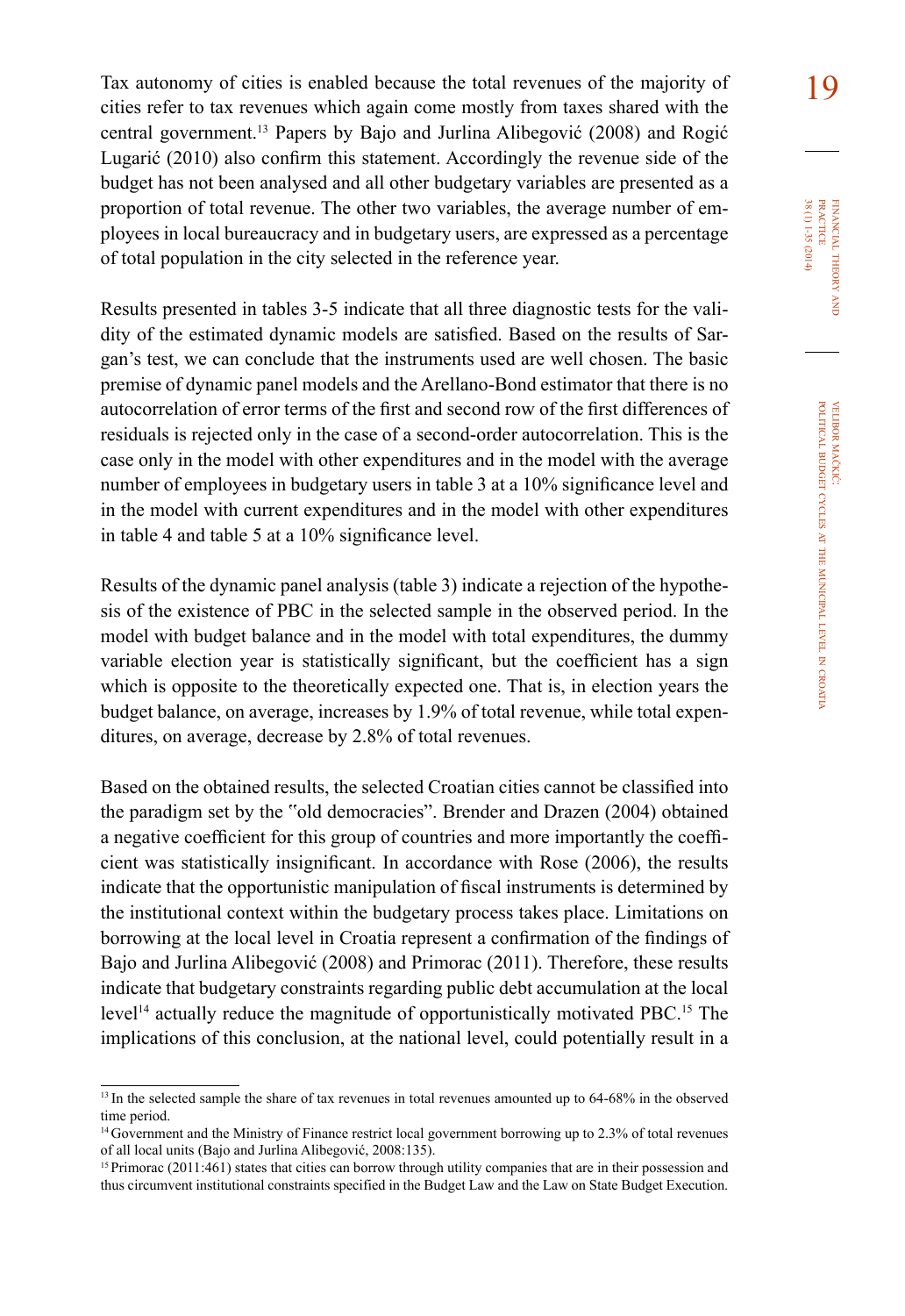Tax autonomy of cities is enabled because the total revenues of the majority of cities refer to tax revenues which again come mostly from taxes shared with the central government.<sup>13</sup> Papers by Bajo and Jurlina Alibegović (2008) and Rogić Lugarić (2010) also confirm this statement. Accordingly the revenue side of the budget has not been analysed and all other budgetary variables are presented as a proportion of total revenue. The other two variables, the average number of employees in local bureaucracy and in budgetary users, are expressed as a percentage of total population in the city selected in the reference year.

Results presented in tables 3-5 indicate that all three diagnostic tests for the validity of the estimated dynamic models are satisfied. Based on the results of Sargan's test, we can conclude that the instruments used are well chosen. The basic premise of dynamic panel models and the Arellano-Bond estimator that there is no autocorrelation of error terms of the first and second row of the first differences of residuals is rejected only in the case of a second-order autocorrelation. This is the case only in the model with other expenditures and in the model with the average number of employees in budgetary users in table 3 at a 10% significance level and in the model with current expenditures and in the model with other expenditures in table 4 and table 5 at a 10% significance level.

Results of the dynamic panel analysis (table 3) indicate a rejection of the hypothesis of the existence of PBC in the selected sample in the observed period. In the model with budget balance and in the model with total expenditures, the dummy variable election year is statistically significant, but the coefficient has a sign which is opposite to the theoretically expected one. That is, in election years the budget balance, on average, increases by 1.9% of total revenue, while total expenditures, on average, decrease by 2.8% of total revenues.

Based on the obtained results, the selected Croatian cities cannot be classified into the paradigm set by the "old democracies". Brender and Drazen (2004) obtained a negative coefficient for this group of countries and more importantly the coefficient was statistically insignificant. In accordance with Rose (2006), the results indicate that the opportunistic manipulation of fiscal instruments is determined by the institutional context within the budgetary process takes place. Limitations on borrowing at the local level in Croatia represent a confirmation of the findings of Bajo and Jurlina Alibegović (2008) and Primorac (2011). Therefore, these results indicate that budgetary constraints regarding public debt accumulation at the local level<sup>14</sup> actually reduce the magnitude of opportunistically motivated PBC.<sup>15</sup> The implications of this conclusion, at the national level, could potentially result in a

<sup>&</sup>lt;sup>13</sup> In the selected sample the share of tax revenues in total revenues amounted up to 64-68% in the observed time period.

<sup>&</sup>lt;sup>14</sup> Government and the Ministry of Finance restrict local government borrowing up to 2.3% of total revenues of all local units (Bajo and Jurlina Alibegović, 2008:135).

<sup>&</sup>lt;sup>15</sup> Primorac (2011:461) states that cities can borrow through utility companies that are in their possession and thus circumvent institutional constraints specified in the Budget Law and the Law on State Budget Execution.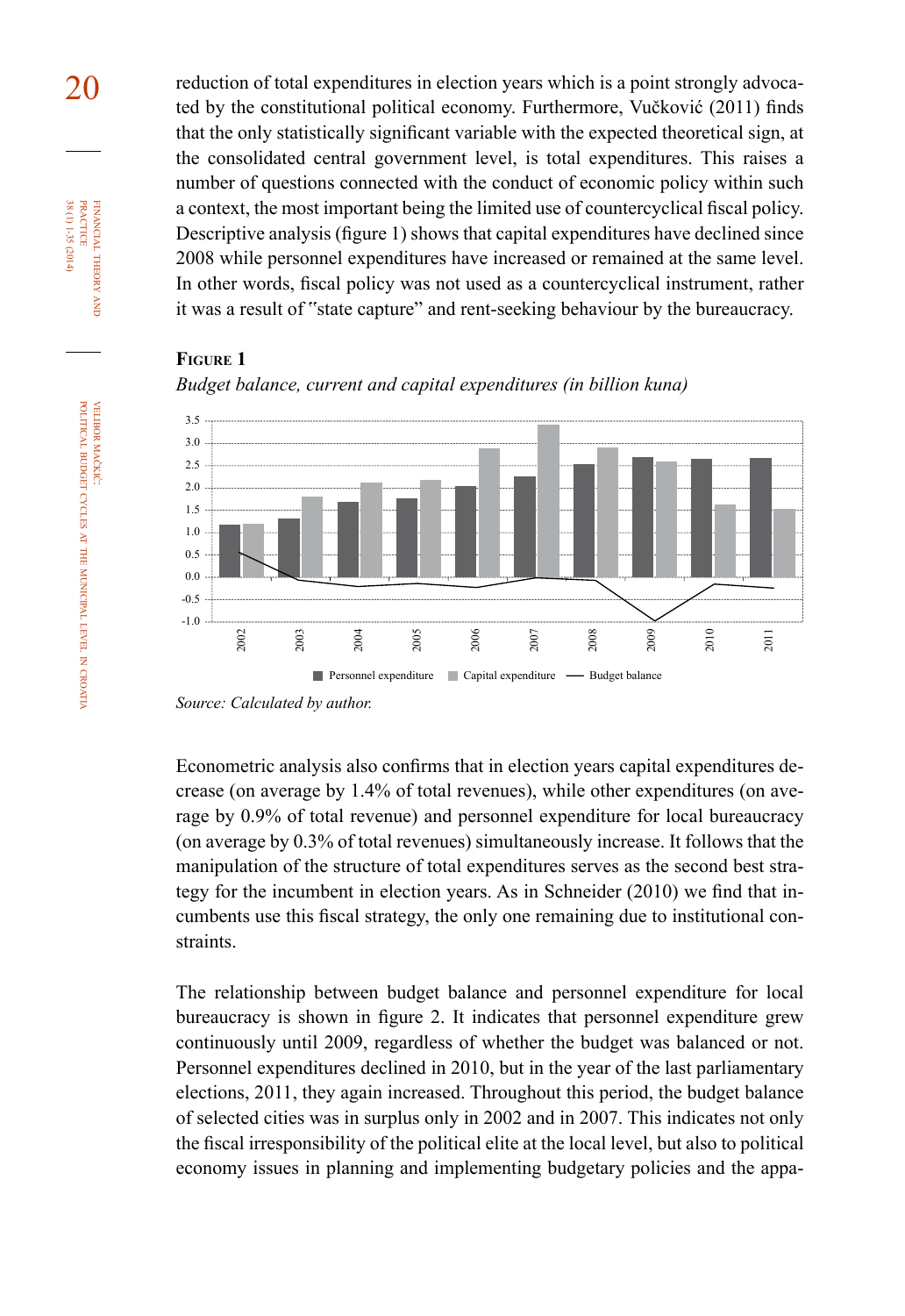20 reduction of total expenditures in election years which is a point strongly advocated by the constitutional political economy. Furthermore, Vučković (2011) finds that the only statistically significant variable with the expected theoretical sign, at the consolidated central government level, is total expenditures. This raises a number of questions connected with the conduct of economic policy within such a context, the most important being the limited use of countercyclical fiscal policy. Descriptive analysis (figure 1) shows that capital expenditures have declined since 2008 while personnel expenditures have increased or remained at the same level. In other words, fiscal policy was not used as a countercyclical instrument, rather it was a result of "state capture" and rent-seeking behaviour by the bureaucracy.

## **figure 1**



*Budget balance, current and capital expenditures (in billion kuna)*

Econometric analysis also confirms that in election years capital expenditures decrease (on average by 1.4% of total revenues), while other expenditures (on average by 0.9% of total revenue) and personnel expenditure for local bureaucracy (on average by 0.3% of total revenues) simultaneously increase. It follows that the manipulation of the structure of total expenditures serves as the second best strategy for the incumbent in election years. As in Schneider (2010) we find that incumbents use this fiscal strategy, the only one remaining due to institutional constraints.

The relationship between budget balance and personnel expenditure for local bureaucracy is shown in figure 2. It indicates that personnel expenditure grew continuously until 2009, regardless of whether the budget was balanced or not. Personnel expenditures declined in 2010, but in the year of the last parliamentary elections, 2011, they again increased. Throughout this period, the budget balance of selected cities was in surplus only in 2002 and in 2007. This indicates not only the fiscal irresponsibility of the political elite at the local level, but also to political economy issues in planning and implementing budgetary policies and the appa-

financial

FINANCIAL THEORY<br>PRACTICE 38 (1) 1-35 (2014)

38 (1) 1-35 (2014) practice

theory and

*Source: Calculated by author.*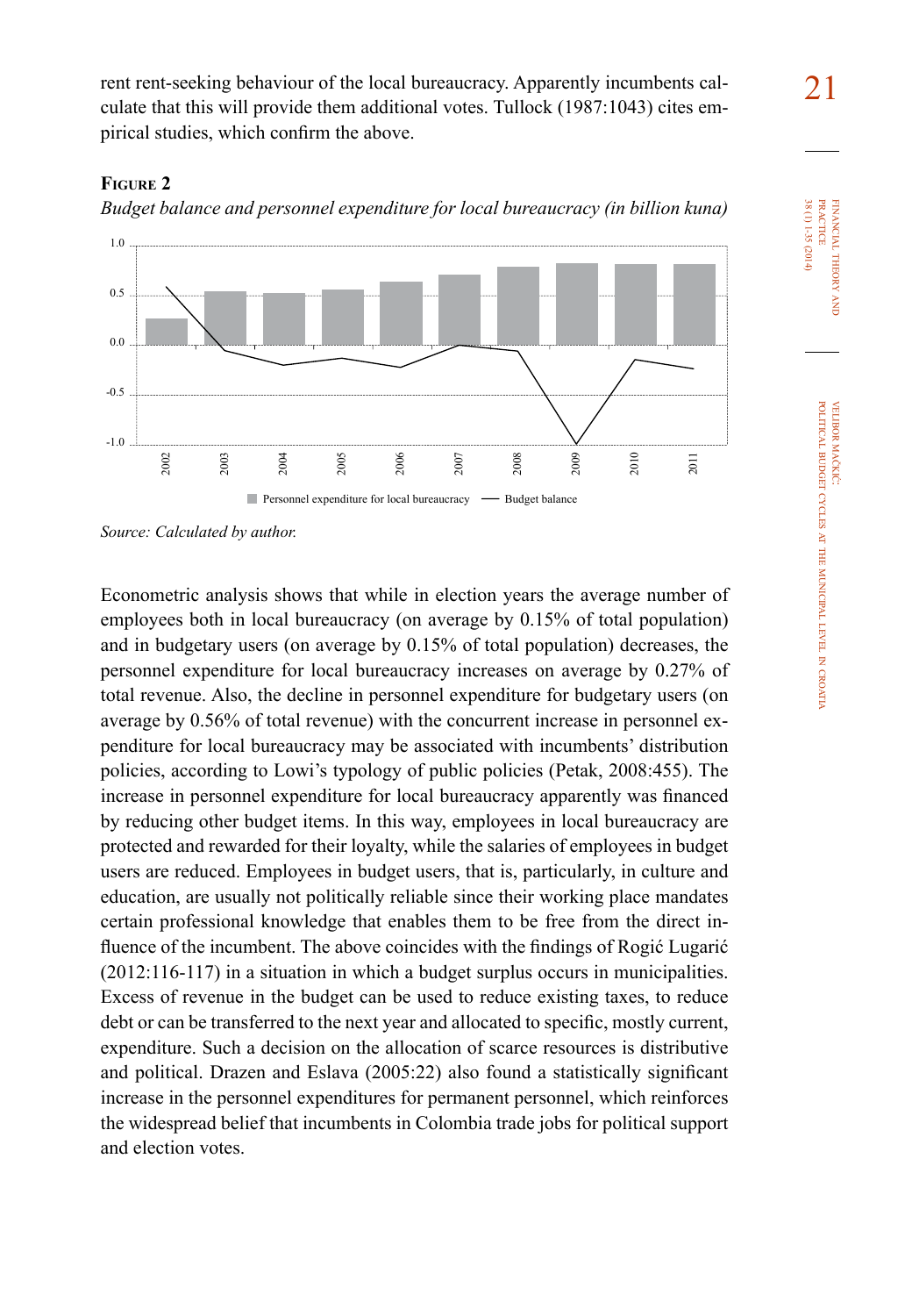rent rent-seeking behaviour of the local bureaucracy. Apparently incumbents calculate that this will provide them additional votes. Tullock (1987:1043) cites empirical studies, which confirm the above.

## **figure 2**

*Budget balance and personnel expenditure for local bureaucracy (in billion kuna)*



*Source: Calculated by author.*

Econometric analysis shows that while in election years the average number of employees both in local bureaucracy (on average by 0.15% of total population) and in budgetary users (on average by 0.15% of total population) decreases, the personnel expenditure for local bureaucracy increases on average by 0.27% of total revenue. Also, the decline in personnel expenditure for budgetary users (on average by 0.56% of total revenue) with the concurrent increase in personnel expenditure for local bureaucracy may be associated with incumbents' distribution policies, according to Lowi's typology of public policies (Petak, 2008:455). The increase in personnel expenditure for local bureaucracy apparently was financed by reducing other budget items. In this way, employees in local bureaucracy are protected and rewarded for their loyalty, while the salaries of employees in budget users are reduced. Employees in budget users, that is, particularly, in culture and education, are usually not politically reliable since their working place mandates certain professional knowledge that enables them to be free from the direct influence of the incumbent. The above coincides with the findings of Rogić Lugarić (2012:116-117) in a situation in which a budget surplus occurs in municipalities. Excess of revenue in the budget can be used to reduce existing taxes, to reduce debt or can be transferred to the next year and allocated to specific, mostly current, expenditure. Such a decision on the allocation of scarce resources is distributive and political. Drazen and Eslava (2005:22) also found a statistically significant increase in the personnel expenditures for permanent personnel, which reinforces the widespread belief that incumbents in Colombia trade jobs for political support and election votes.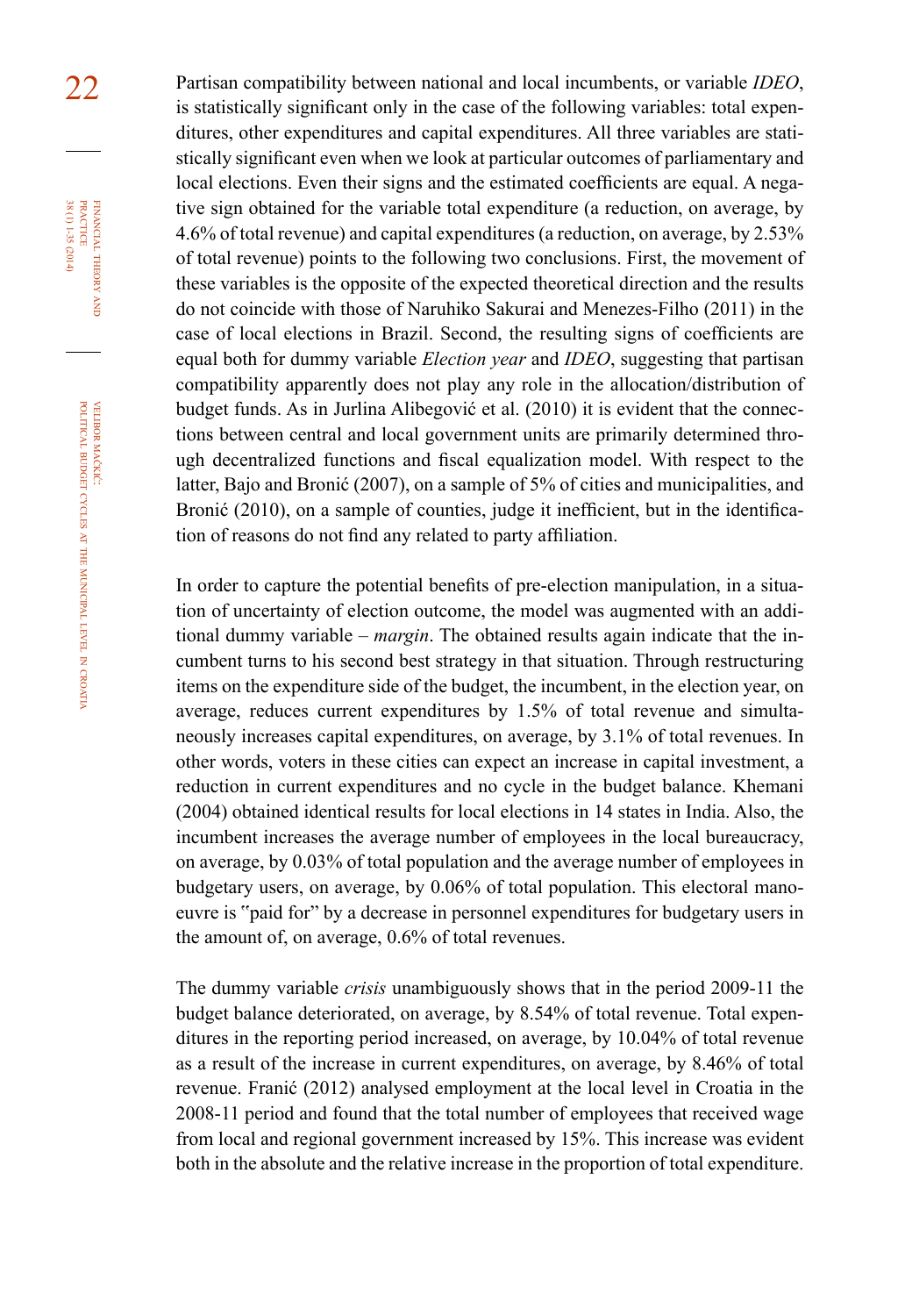22 Partisan compatibility between national and local incumbents, or variable *IDEO*, is statistically significant only in the case of the following variables: total expenditures, other expenditures and capital expenditures. All three variables are statistically significant even when we look at particular outcomes of parliamentary and local elections. Even their signs and the estimated coefficients are equal. A negative sign obtained for the variable total expenditure (a reduction, on average, by 4.6% of total revenue) and capital expenditures (a reduction, on average, by 2.53% of total revenue) points to the following two conclusions. First, the movement of these variables is the opposite of the expected theoretical direction and the results do not coincide with those of Naruhiko Sakurai and Menezes-Filho (2011) in the case of local elections in Brazil. Second, the resulting signs of coefficients are equal both for dummy variable *Election year* and *IDEO*, suggesting that partisan compatibility apparently does not play any role in the allocation/distribution of budget funds. As in Jurlina Alibegović et al. (2010) it is evident that the connections between central and local government units are primarily determined through decentralized functions and fiscal equalization model. With respect to the latter, Bajo and Bronić (2007), on a sample of 5% of cities and municipalities, and Bronić (2010), on a sample of counties, judge it inefficient, but in the identification of reasons do not find any related to party affiliation.

> In order to capture the potential benefits of pre-election manipulation, in a situation of uncertainty of election outcome, the model was augmented with an additional dummy variable – *margin*. The obtained results again indicate that the incumbent turns to his second best strategy in that situation. Through restructuring items on the expenditure side of the budget, the incumbent, in the election year, on average, reduces current expenditures by 1.5% of total revenue and simultaneously increases capital expenditures, on average, by 3.1% of total revenues. In other words, voters in these cities can expect an increase in capital investment, a reduction in current expenditures and no cycle in the budget balance. Khemani (2004) obtained identical results for local elections in 14 states in India. Also, the incumbent increases the average number of employees in the local bureaucracy, on average, by 0.03% of total population and the average number of employees in budgetary users, on average, by 0.06% of total population. This electoral manoeuvre is "paid for" by a decrease in personnel expenditures for budgetary users in the amount of, on average, 0.6% of total revenues.

> The dummy variable *crisis* unambiguously shows that in the period 2009-11 the budget balance deteriorated, on average, by 8.54% of total revenue. Total expenditures in the reporting period increased, on average, by 10.04% of total revenue as a result of the increase in current expenditures, on average, by 8.46% of total revenue. Franić (2012) analysed employment at the local level in Croatia in the 2008-11 period and found that the total number of employees that received wage from local and regional government increased by 15%. This increase was evident both in the absolute and the relative increase in the proportion of total expenditure.

financial

FINANCIAL THEORY PRACTICE 38 (1) 1-35 (2014)

38 (1) 1-35 (2014) practice

theory and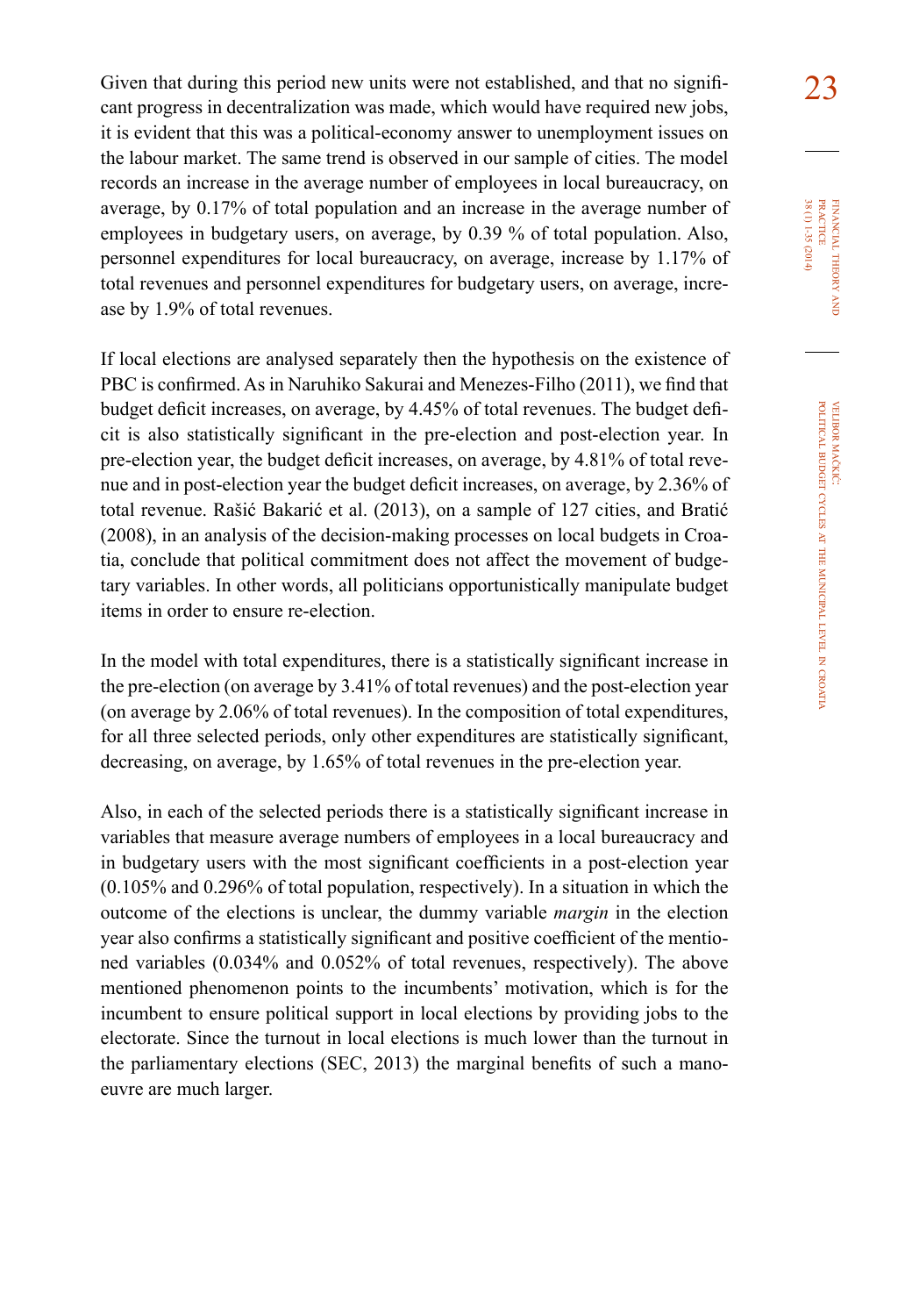Given that during this period new units were not established, and that no signifi- $23$ cant progress in decentralization was made, which would have required new jobs, it is evident that this was a political-economy answer to unemployment issues on the labour market. The same trend is observed in our sample of cities. The model records an increase in the average number of employees in local bureaucracy, on average, by 0.17% of total population and an increase in the average number of employees in budgetary users, on average, by 0.39 % of total population. Also, personnel expenditures for local bureaucracy, on average, increase by 1.17% of total revenues and personnel expenditures for budgetary users, on average, increase by 1.9% of total revenues.

If local elections are analysed separately then the hypothesis on the existence of PBC is confirmed. As in Naruhiko Sakurai and Menezes-Filho (2011), we find that budget deficit increases, on average, by 4.45% of total revenues. The budget deficit is also statistically significant in the pre-election and post-election year. In pre-election year, the budget deficit increases, on average, by 4.81% of total revenue and in post-election year the budget deficit increases, on average, by 2.36% of total revenue. Rašić Bakarić et al. (2013), on a sample of 127 cities, and Bratić (2008), in an analysis of the decision-making processes on local budgets in Croatia, conclude that political commitment does not affect the movement of budgetary variables. In other words, all politicians opportunistically manipulate budget items in order to ensure re-election.

In the model with total expenditures, there is a statistically significant increase in the pre-election (on average by 3.41% of total revenues) and the post-election year (on average by 2.06% of total revenues). In the composition of total expenditures, for all three selected periods, only other expenditures are statistically significant, decreasing, on average, by 1.65% of total revenues in the pre-election year.

Also, in each of the selected periods there is a statistically significant increase in variables that measure average numbers of employees in a local bureaucracy and in budgetary users with the most significant coefficients in a post-election year (0.105% and 0.296% of total population, respectively). In a situation in which the outcome of the elections is unclear, the dummy variable *margin* in the election year also confirms a statistically significant and positive coefficient of the mentioned variables (0.034% and 0.052% of total revenues, respectively). The above mentioned phenomenon points to the incumbents' motivation, which is for the incumbent to ensure political support in local elections by providing jobs to the electorate. Since the turnout in local elections is much lower than the turnout in the parliamentary elections (SEC, 2013) the marginal benefits of such a manoeuvre are much larger.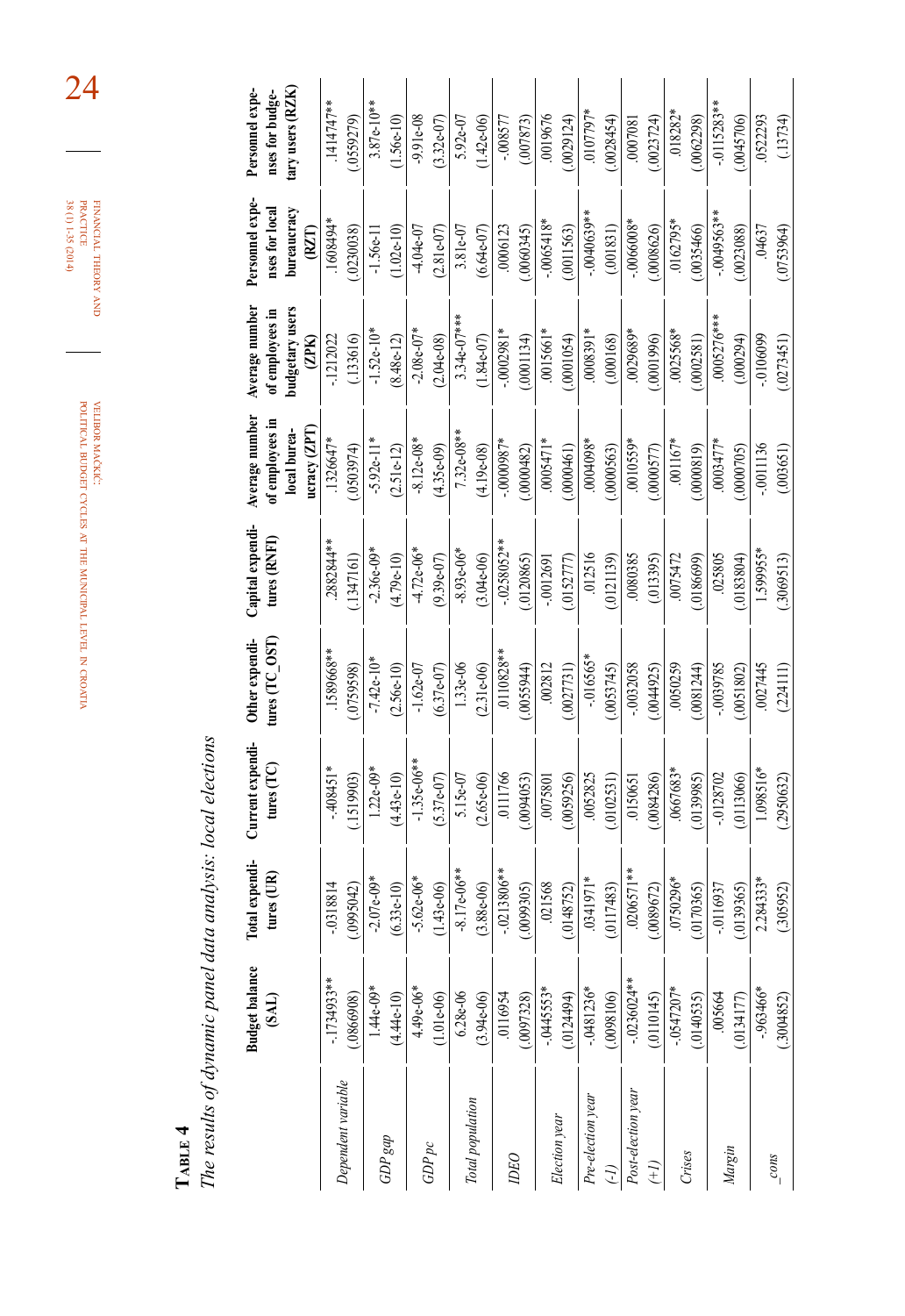|                    | <b>Budget balance</b><br>(M) | Total expendi-<br>tures $(UR)$ | Current expendi-<br>tures $(TC)$ | Other expendi-<br>tures ( $TC\_OST$ | Capital expendi-<br>tures (RNFI) | Average number<br>of employees in<br>ucracy (ZPT<br>local burea- | Average number<br>budgetary users<br>of employees in<br>(2PK) | Personnel expe-<br>nses for local<br>bureaucracy<br>(RZI) | tary users (RZK)<br>Personnel expe-<br>nses for budge- |
|--------------------|------------------------------|--------------------------------|----------------------------------|-------------------------------------|----------------------------------|------------------------------------------------------------------|---------------------------------------------------------------|-----------------------------------------------------------|--------------------------------------------------------|
| Dependent variable | $-1734933**$                 | $-0318814$                     | $-408451*$                       | .1589668**                          | 2882844**                        | 1326647*                                                         | $-1212022$                                                    | *1608494                                                  | 1414747**                                              |
|                    | 0866908)                     | (2095042)                      | (1519903)                        | (0759598)                           | (1347161)                        | 0503974)                                                         | (.133616)                                                     | (0.230038)                                                | 0559279)                                               |
|                    | $1.44e-09*$                  | $-2.07e-09*$                   | $1.22e-09*$                      | $-7.42e-10*$                        | $-2.36e-09*$                     | $-5.92e-11*$                                                     | $-1.52e-10*$                                                  | $-1.56e-11$                                               | $3.87e-10**$                                           |
| $GDP$ gap          | $(4.44e-10)$                 | $(6.33e-10)$                   | $(4.43e-10)$                     | $(2.56e-10)$                        | $(4.79e-10)$                     | $(2.51e-12)$                                                     | $(8.48e-12)$                                                  | $(1.02e-10)$                                              | $1.56e-10$                                             |
|                    | $4.49e-06*$                  | $-5.62e-06*$                   | $-1.35e-06**$                    | $-1.62e-07$                         | $-4.72e-06*$                     | $-8.12e-08*$                                                     | $-2.08e-07*$                                                  | $-4.04e-07$                                               | $-9.91e-08$                                            |
| GDPpc              | $(1.01e-0.6)$                | $(1.43e-06)$                   | $(5.37e-07)$                     | $(6.37e-07)$                        | $(9.39e-07)$                     | $(4.35e-09)$                                                     | $(2.04e-0.8)$                                                 | $(2.81e-07)$                                              | $(3.32e-07)$                                           |
|                    | $6.28e-06$                   | $-8.17e-06**$                  | 5.15e-07                         | $1.33e-06$                          | $-8.93e-06*$                     | $7.32e-08**$                                                     | $3.34e-07***$                                                 | 3.81e-07                                                  | $5.92e-07$                                             |
| Total population   | $(3.94e-06)$                 | $(3.88e-06)$                   | $(2.65e-06)$                     | $(2.31e-06)$                        | $(3.04e-06)$                     | $(4.19e-08)$                                                     | $(1.84e-07)$                                                  | $(6.64e-07)$                                              | $(1.42e-06)$                                           |
| DEO                | 0116954                      | $-0213806**$                   | .0111766                         | $.0110828**$                        | $-0258052**$                     | $-0000087*$                                                      | $-0.0002981*$                                                 | .0006123                                                  | $-008577$                                              |
|                    | (0097328)                    | .0099305)                      | (.0094053)                       | (.0055944)                          | (0120865)                        | (.0000482)                                                       | (.0001134)                                                    | (.0060345)                                                | (007873)                                               |
|                    | $-0.445553*$                 | .021568                        | .0075801                         | .002812                             | $-0012691$                       | $0005471*$                                                       | .0015661*                                                     | $-.0065418*$                                              | .0019676                                               |
| Election year      | .0124494)                    | (0148752)                      | (.0059256)                       | (.0027731)                          | (.0152777)                       | (.0000461)                                                       | (.0001054)                                                    | (.0011563)                                                | (.0029124)                                             |
| Pre-election year  | $-0481236*$                  | .0341971*                      | .0052825                         | $-0.16565*$                         | 012516                           | $0004098*$                                                       | $0008391*$                                                    | $-.0040639**$                                             | $-0107797*$                                            |
|                    | (.0098106)                   | (0117483)                      | (.0102531)                       | (.0053745)                          | (.0121139)                       | (.0000563)                                                       | (.000168)                                                     | (.001831)                                                 | (.0028454)                                             |
| Post-election year | $-0236024**$                 | $.0206571**$                   | .0150651                         | $-0.032058$                         | 0080385                          | 0010559*                                                         | .0029689*                                                     | $-.0066008*$                                              | 1807000.                                               |
| î+                 | (0.110145)                   | 0089672)                       | (084286)                         | (0044925)                           | (013395)                         | .0000577                                                         | (9661000)                                                     | .0008626                                                  | (0023724)                                              |
|                    | $-0.0547207*$                | 0750296*                       | 0667683*                         | 0050259                             | .0075472                         | $.001167*$                                                       | .0025568*                                                     | $.0162795*$                                               | $.018282*$                                             |
| Crises             | (.0140535)                   | 0170365)                       | (0139985)                        | .0081244                            | .0186699)                        | (6180000)                                                        | (1852000)                                                     | (0035466)                                                 | (0062298)                                              |
|                    | .005664                      | $-0.116937$                    | $-0128702$                       | -.0039785                           | .025805                          | 0003477*                                                         | $0005276***$                                                  | $-0049563**$                                              | $-0115283**$                                           |
| Margin             | (0.134177)                   | 0139365)                       | (.0113066)                       | (0.0051802)                         | 0183804)                         | .0000705)                                                        | (000294)                                                      | (.0023088)                                                | .0045706                                               |
|                    | $-.963466*$                  | 2.284333*                      | 1.098516*                        | 0027445                             | 1.599955*                        | $-0011136$                                                       | $-0106099$                                                    | .04637                                                    | 0522293                                                |
| $\frac{const}{1}$  | (.3004852)                   | (.305952)                      | (2950632)                        | (224111)                            | (.3069513)                       | (00365]                                                          | (0273451)                                                     | (.0753964)                                                | (.13734)                                               |

velibor mačkić: political budget cycles at the municipal level in croatia

**TABLE 4**<br>The results of dynamic panel data analysis: local elections *The results of dynamic panel data analysis: local elections*

24

financial

theory FINANCIAL THEORY AND<br>PRACTICE<br>38 (1) 1-35 (2014) 38 (1) 1-35 (2014) practice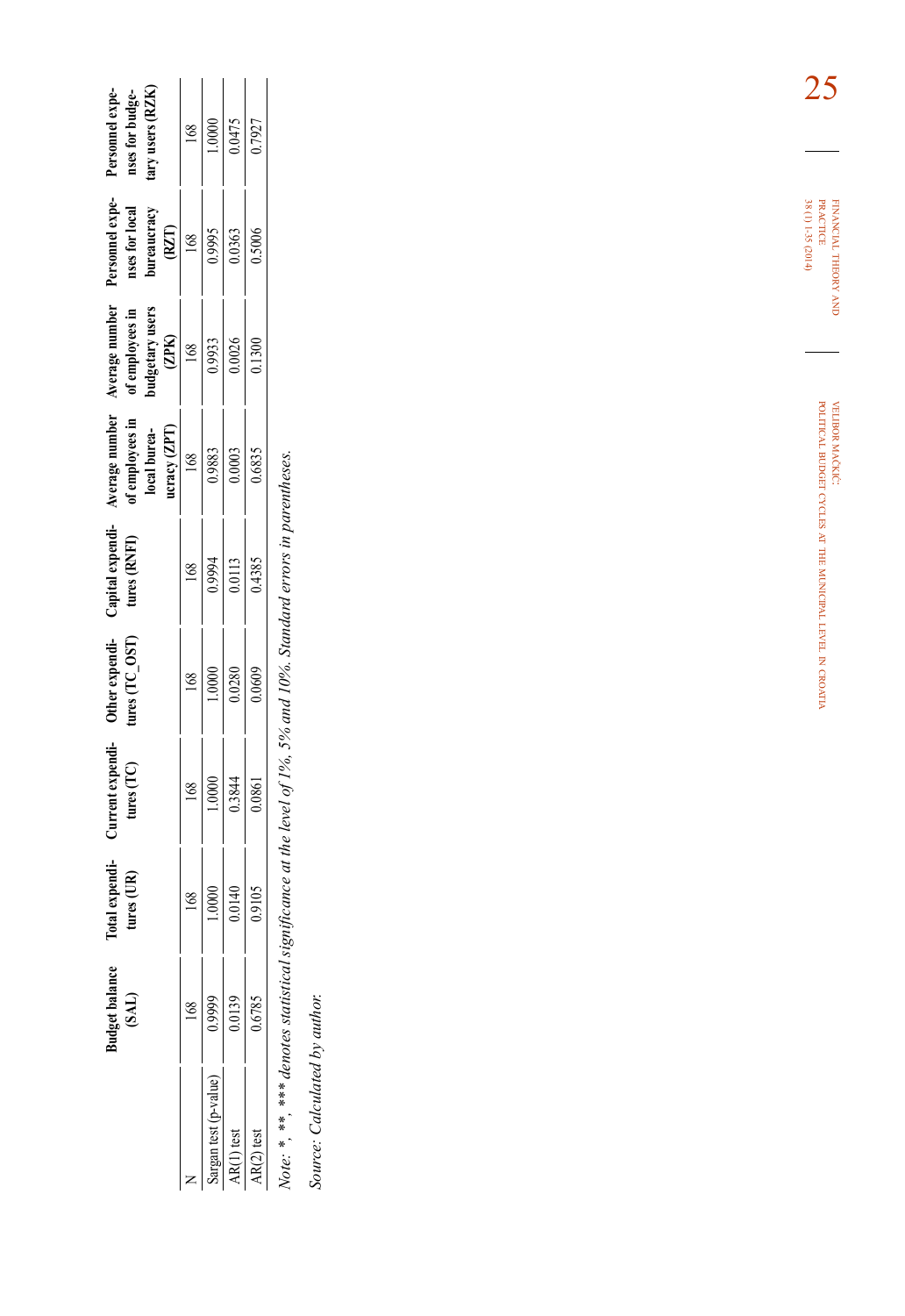|                    |                         | Total expendi-<br>tures (UR)                                                                         | Current expendi-<br>tures (TC)                                                                           | Other expendi-<br>tures (TC_OST)                                                                                   | Capital expenditures (RNFI)                                                       |                                                                                                                          |                                                                                                                       |                                                                                                                          |                                                                                                                             |
|--------------------|-------------------------|------------------------------------------------------------------------------------------------------|----------------------------------------------------------------------------------------------------------|--------------------------------------------------------------------------------------------------------------------|-----------------------------------------------------------------------------------|--------------------------------------------------------------------------------------------------------------------------|-----------------------------------------------------------------------------------------------------------------------|--------------------------------------------------------------------------------------------------------------------------|-----------------------------------------------------------------------------------------------------------------------------|
|                    |                         |                                                                                                      |                                                                                                          |                                                                                                                    |                                                                                   |                                                                                                                          |                                                                                                                       |                                                                                                                          |                                                                                                                             |
|                    |                         |                                                                                                      |                                                                                                          |                                                                                                                    |                                                                                   |                                                                                                                          |                                                                                                                       |                                                                                                                          |                                                                                                                             |
|                    |                         |                                                                                                      |                                                                                                          |                                                                                                                    |                                                                                   |                                                                                                                          |                                                                                                                       |                                                                                                                          |                                                                                                                             |
|                    |                         |                                                                                                      |                                                                                                          |                                                                                                                    |                                                                                   |                                                                                                                          |                                                                                                                       |                                                                                                                          |                                                                                                                             |
| rgan test (p-value |                         | $\begin{array}{r l}\n 168 \\  \hline\n 1.0000 \\  \hline\n 0.0140 \\  \hline\n 0.9105\n \end{array}$ | $\begin{array}{r l} & 168 & \\ \hline 1.0000 & \\ & 0.3844 & \\ \hline & 0.0861 & \\ \hline \end{array}$ | $\begin{array}{r l} & 168 \ \hline 1.0000 & & \\ \hline & 0.0280 & & \\ \hline & 0.0280 & & \\ \hline \end{array}$ | $\begin{array}{r} 168 \\ 0.9994 \\ \hline 0.0113 \\ \hline 0.4385 \\ \end{array}$ | Werage number<br>of employees in<br>local burea-<br>local bureacy <i>(ZPT</i> )<br>$\frac{168}{168}$<br>0.0003<br>0.0003 | Average number<br>of employees in<br>of employees in<br>budgetary uses<br>$\frac{(ZPK)}{168}$<br>$\frac{168}{0.9933}$ | Personnel experiments<br>anses for local<br>meraucracy<br>hureaucracy<br>(RZT)<br>$\frac{168}{168}$<br>0.59955<br>0.5006 | Personnel experiment<br>anse for budge-<br>hary uses (RZK)<br>any uses (RZK)<br>$\frac{168}{1000}$<br>$\frac{1000}{0.7927}$ |
|                    | $\frac{0.9999}{0.0139}$ |                                                                                                      |                                                                                                          |                                                                                                                    |                                                                                   |                                                                                                                          |                                                                                                                       |                                                                                                                          |                                                                                                                             |
|                    |                         |                                                                                                      |                                                                                                          |                                                                                                                    |                                                                                   |                                                                                                                          |                                                                                                                       |                                                                                                                          |                                                                                                                             |
|                    |                         |                                                                                                      |                                                                                                          |                                                                                                                    |                                                                                   |                                                                                                                          |                                                                                                                       |                                                                                                                          |                                                                                                                             |

Note: \*, \*\*, \*\*\* denotes statistical significance at the level of 1%, 5% and 10%. Standard errors in parentheses. *Note: \*, \*\*, \*\*\* denotes statistical significance at the level of 1%, 5% and 10%. Standard errors in parentheses.*

Source: Calculated by author. *Source: Calculated by author.*

financial theory FINANCIAL THEORY AND<br>PRACTICE<br>38 (1) 1-35 (2014) 38 (1) 1-35 (2014) practice

> velibor mačkić: political budget cycles at the municipal level in croatia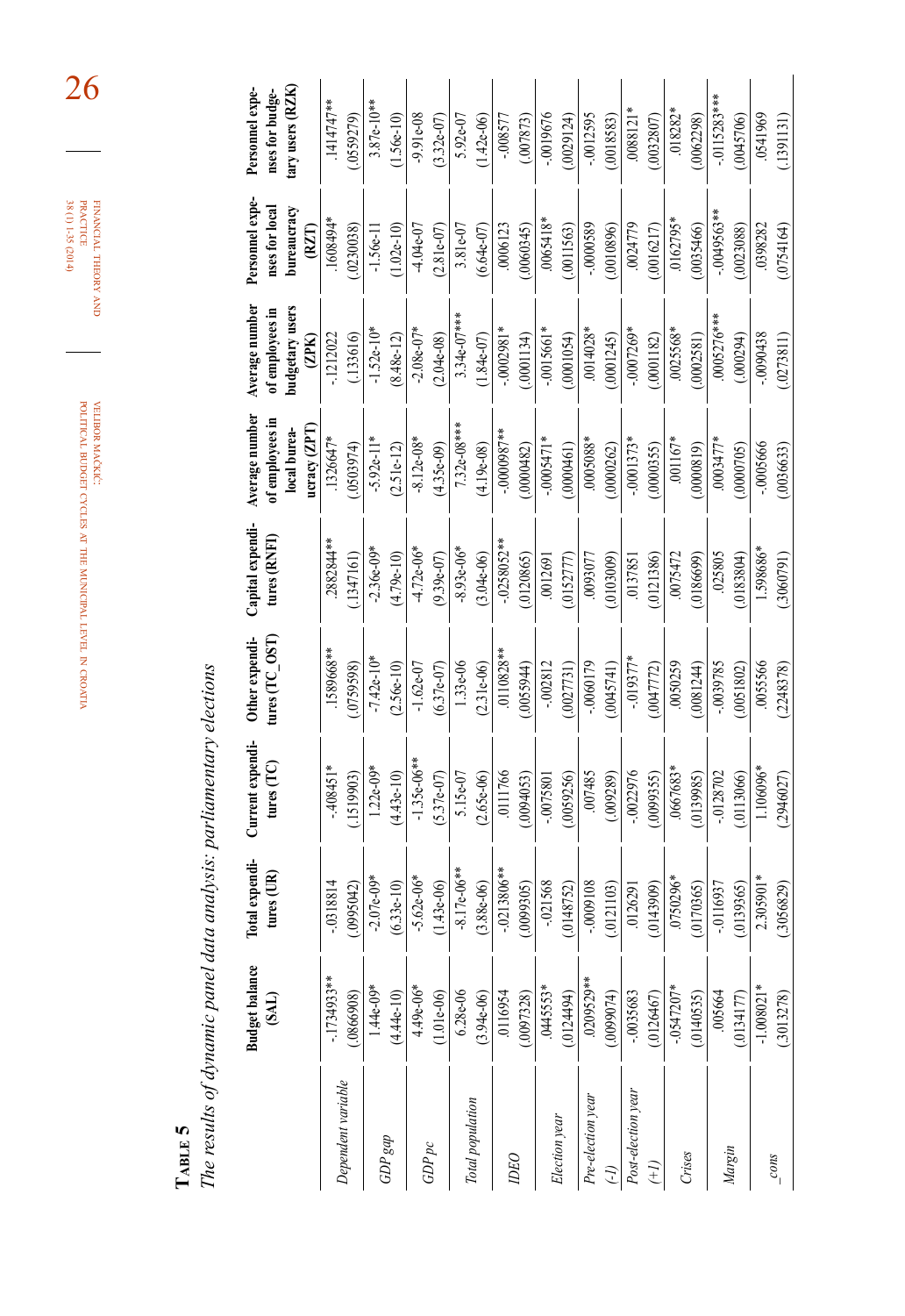|                    | <b>Budget balance</b><br>(BAI) | Total expendi-<br>tures $(IR)$ | Current expendi-<br>tures $(TC)$ | Other expendi-<br>tures $(TC_$ OST | Capital expendi-<br>tures (RNFI) | Average number<br>of employees in<br>ucracy (ZPT<br>local burea- | Average number<br>budgetary users<br>of employees in<br>(2PK) | Personnel expe-<br>nses for local<br>bureaucracy<br>(RI) | tary users (RZK)<br>nses for budge-<br>Personnel expe- |
|--------------------|--------------------------------|--------------------------------|----------------------------------|------------------------------------|----------------------------------|------------------------------------------------------------------|---------------------------------------------------------------|----------------------------------------------------------|--------------------------------------------------------|
|                    | $-1734933**$                   | $-0.318814$                    | $-408451*$                       | 1589668**                          | 2882844**                        | 1326647*                                                         | $-1212022$                                                    | #1608494.                                                | 1414747**                                              |
| Dependent variable | (8069980)                      | (2405600)                      | (1519903)                        | 0759598)                           | (1347161)                        | (40503974)                                                       | (.133616)                                                     | (0.230038)                                               | (0559279)                                              |
|                    | $1.44e-09*$                    | $-2.07e-09*$                   | $1.22e-09*$                      | $-7.42e-10*$                       | $-2.36e-09*$                     | $-5.92e-11*$                                                     | $-1.52e-10*$                                                  | $-1.56e-11$                                              | $3.87e-10**$                                           |
| $GDP$ gap          | $(4.44e-10)$                   | $(6.33e-10)$                   | $(4.43e-10)$                     | $(2.56e-10)$                       | $(4.79e-10)$                     | $(2.51e-12)$                                                     | $(8.48e-12)$                                                  | $(1.02e-10)$                                             | $1.56e-10$                                             |
|                    | $4.49e-06*$                    | $-5.62e-06*$                   | $-1.35e-06**$                    | $-1.62e-07$                        | $-4.72e-06*$                     | $-8.12e-08*$                                                     | $-2.08e-07*$                                                  | $-4.04e-07$                                              | $-9.91e-08$                                            |
| GDPpc              | $1.01e-06$                     | $(1.43e-06)$                   | $(5.37e-07)$                     | $(6.37e-07)$                       | $(9.39e-07)$                     | $(4.35e-09)$                                                     | $(2.04e-08)$                                                  | $(2.81e-07)$                                             | $(3.32e-07)$                                           |
|                    | $6.28e-06$                     | $-8.17e-06**$                  | 5.15e-07                         | 1.33e-06                           | $-8.93e-06*$                     | $7.32e-08***$                                                    | $3.34e-07***$                                                 | 3.81e-07                                                 | 5.92e-07                                               |
| Total population   | $(3.94e-06)$                   | $(3.88e-06)$                   | $(2.65e-06)$                     | $(2.31e-06)$                       | $(3.04e-06)$                     | $(4.19e-08)$                                                     | $(1.84e-07)$                                                  | $(6.64e-07)$                                             | $(1.42e-06)$                                           |
|                    | .0116954                       | $-0213806**$                   | 0111766                          | .0110828**                         | $-0258052***$                    | $***8600000$ -                                                   | $-0002981*$                                                   | .0006123                                                 | $-0.08577$                                             |
| DEO                | (0097328)                      | (5069900)                      | (.0094053)                       | (.0055944)                         | (.0120865)                       | (.0000482)                                                       | (.0001134)                                                    | (.0060345)                                               | (.007873)                                              |
|                    | .0445553*                      | $-.021568$                     | $-.0075801$                      | $-002812$                          | .0012691                         | $-0005471*$                                                      | $-.0015661*$                                                  | .0065418*                                                | $-0019676$                                             |
| Election year      | (0124494)                      | (0.0148752)                    | (0.059256)                       | (.0027731)                         | (.0152777)                       | (0000461)                                                        | (.0001054)                                                    | (.0011563)                                               | (.0029124)                                             |
| Pre-election year  | .0209529**                     | $-0000108$                     | 007485                           | $-0060179$                         | .0093077                         | \$8005000.                                                       | .0014028*                                                     | $-0000589$                                               | $-0.012595$                                            |
|                    | (400000)                       | (.0121103)                     | (0.009289)                       | (0.045741)                         | (6005000)                        | (0000262)                                                        | (.0001245)                                                    | (.0010896)                                               | (.0018583)                                             |
| Post-election year | -.0035683                      | .0126291                       | $-0022976$                       | $-0.019377*$                       | .0137851                         | $-.0001373*$                                                     | $-0007269*$                                                   | .0024779                                                 | $.0088121*$                                            |
| $\widetilde{(+)}$  | .0126467                       | 0143909)                       | (009935)                         | .0047772                           | .0121386)                        | (0000355)                                                        | (281182)                                                      | (0016217)                                                | (0032807)                                              |
|                    | $-0.0547207*$                  | 0750296*                       | .0667683*                        | .0050259                           | 0075472                          | $.001167*$                                                       | .0025568*                                                     | .0162795*                                                | $.018282*$                                             |
| Crises             | (.0140535)                     | .0170365                       | (0.139985)                       | .0081244                           | .0186699)                        | (0.0000819)                                                      | 0002581)                                                      | (0035466)                                                | (0062298)                                              |
|                    | .005664                        | $-0.116937$                    | $-.0128702$                      | -.0039785                          | .025805                          | $-0003477*$                                                      | $0005276***$                                                  | $-0.0049563**$                                           | $-0115283***$                                          |
| Margin             | (0.134177)                     | (0139365)                      | (.0113066)                       | (.0051802)                         | (183804)                         | (.0000705)                                                       | (000294)                                                      | (.0023088)                                               | (0.045706)                                             |
|                    | $-1.008021*$                   | 2.305901*                      | 1.106096*                        | .0055566                           | 1.598686*                        | .0005666                                                         | 8\$40600.                                                     | .0398282                                                 | 0541969                                                |
| $\frac{cons}{}}$   | (.3013278)                     | (.3056829)                     | (2946027)                        | (2248378)                          | (.3060791)                       | (.0036633)                                                       | (.0273811)                                                    | (0.0754164)                                              | (1391131)                                              |

**table 5**

*The results of dynamic panel data analysis: parliamentary elections*

The results of dynamic panel data analysis: parliamentary elections

financial FINANCIAL THEORY AND<br>PRACTICE<br>38 (1) 1-35 (2014) 38 (1) 1-35 (2014) practice

26

theory

velibor mačkić: political budget cycles at the municipal level in

croatia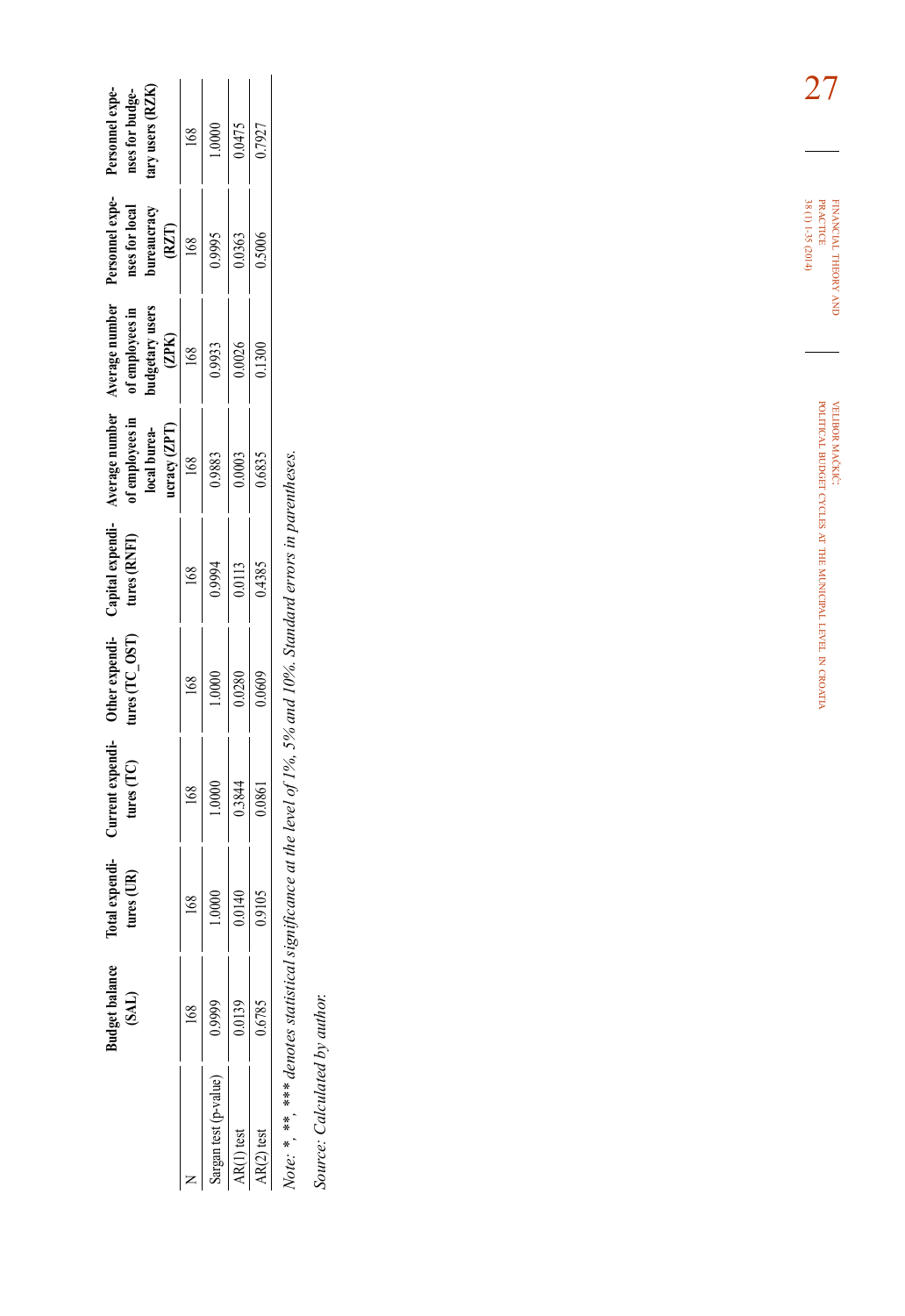|                     | ıdget balan             | Total expendi-<br>tures (UR)                                                                                                        | Current expendi-<br>tures (TC)                                                                  | Other expendi-<br>tures (TC_OST)                                                                   | Capital expendi-<br>tures (RNFI)                                           | Nverage number<br>of employees in<br>local burea-<br>local bureacy (ZPT)<br>$\frac{168}{0.9883}$<br>0.0003<br>0.0003 | Werage number<br>of employees in<br>of employees in<br>budgetary users<br>$\frac{(ZPK)}{168}$<br>$\frac{168}{0.0933}$<br>$\frac{0.9933}{0.026}$ | Personnel experience<br><b>nses for local</b><br><b>bureaucracy</b><br>$\frac{(RZT)}{168}$<br>$\frac{168}{0.9995}$<br>0.5006 | Personnel expe<br>nses for budge-<br>nry users (RZK                                                |
|---------------------|-------------------------|-------------------------------------------------------------------------------------------------------------------------------------|-------------------------------------------------------------------------------------------------|----------------------------------------------------------------------------------------------------|----------------------------------------------------------------------------|----------------------------------------------------------------------------------------------------------------------|-------------------------------------------------------------------------------------------------------------------------------------------------|------------------------------------------------------------------------------------------------------------------------------|----------------------------------------------------------------------------------------------------|
|                     |                         |                                                                                                                                     |                                                                                                 |                                                                                                    |                                                                            |                                                                                                                      |                                                                                                                                                 |                                                                                                                              |                                                                                                    |
| urgan test (p-value | 0.9999                  | $\begin{array}{r l} & 168 \ \hline 1.0000 & & \\ \hline 1.0000 & & \\ \hline 0.0140 & & \\ \hline 0.9105 & & \\ \hline \end{array}$ | $\begin{array}{r l} & 168 & \\ \hline 1.0000 & \\ & 0.3844 & \\ \hline 0.0861 & \\ \end{array}$ | $\begin{array}{r}\n 168 \\  \hline\n 1.0000 \\  \hline\n 0.0280 \\  \hline\n 0.0609\n \end{array}$ | $\begin{array}{r} 168 \\ 0.9994 \\ \hline 0.0113 \\ 0.0113 \\ \end{array}$ |                                                                                                                      |                                                                                                                                                 |                                                                                                                              | $\begin{array}{r}\n 168 \\  \hline\n 1.0000 \\  \hline\n 0.0475 \\  \hline\n 0.7927\n \end{array}$ |
|                     | $\frac{0.0139}{0.6785}$ |                                                                                                                                     |                                                                                                 |                                                                                                    |                                                                            |                                                                                                                      |                                                                                                                                                 |                                                                                                                              |                                                                                                    |
|                     |                         |                                                                                                                                     |                                                                                                 |                                                                                                    |                                                                            |                                                                                                                      |                                                                                                                                                 |                                                                                                                              |                                                                                                    |

Note: \*, \*\*, \*\*\* denotes statistical significance at the level of 1%, 5% and 10%. Standard errors in parentheses. *Note: \*, \*\*, \*\*\* denotes statistical significance at the level of 1%, 5% and 10%. Standard errors in parentheses.*

Source: Calculated by author. *Source: Calculated by author.*

financial theory FINANCIAL THEORY AND<br>PRACTICE<br>38 (1) 1-35 (2014) 38 (1) 1-35 (2014) practice

> velibor mačkić: political budget cycles at the municipal level in croatia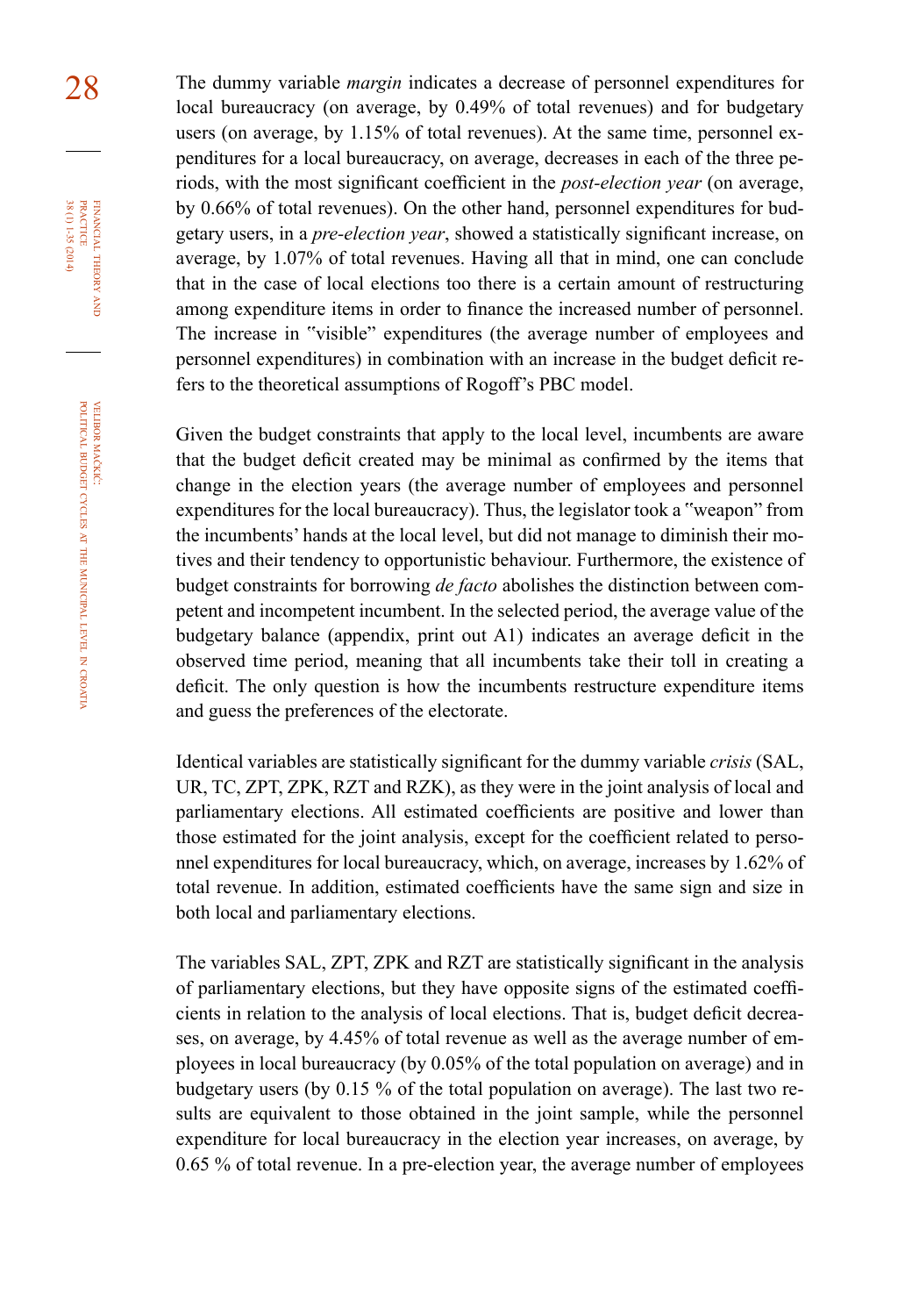28 The dummy variable *margin* indicates a decrease of personnel expenditures for local bureaucracy (on average, by 0.49% of total revenues) and for budgetary users (on average, by 1.15% of total revenues). At the same time, personnel expenditures for a local bureaucracy, on average, decreases in each of the three periods, with the most significant coefficient in the *post-election year* (on average, by 0.66% of total revenues). On the other hand, personnel expenditures for budgetary users, in a *pre-election year*, showed a statistically significant increase, on average, by 1.07% of total revenues. Having all that in mind, one can conclude that in the case of local elections too there is a certain amount of restructuring among expenditure items in order to finance the increased number of personnel. The increase in "visible" expenditures (the average number of employees and personnel expenditures) in combination with an increase in the budget deficit refers to the theoretical assumptions of Rogoff's PBC model.

> Given the budget constraints that apply to the local level, incumbents are aware that the budget deficit created may be minimal as confirmed by the items that change in the election years (the average number of employees and personnel expenditures for the local bureaucracy). Thus, the legislator took a "weapon" from the incumbents' hands at the local level, but did not manage to diminish their motives and their tendency to opportunistic behaviour. Furthermore, the existence of budget constraints for borrowing *de facto* abolishes the distinction between competent and incompetent incumbent. In the selected period, the average value of the budgetary balance (appendix, print out A1) indicates an average deficit in the observed time period, meaning that all incumbents take their toll in creating a deficit. The only question is how the incumbents restructure expenditure items and guess the preferences of the electorate.

> Identical variables are statistically significant for the dummy variable *crisis* (SAL, UR, TC, ZPT, ZPK, RZT and RZK), as they were in the joint analysis of local and parliamentary elections. All estimated coefficients are positive and lower than those estimated for the joint analysis, except for the coefficient related to personnel expenditures for local bureaucracy, which, on average, increases by 1.62% of total revenue. In addition, estimated coefficients have the same sign and size in both local and parliamentary elections.

> The variables SAL, ZPT, ZPK and RZT are statistically significant in the analysis of parliamentary elections, but they have opposite signs of the estimated coefficients in relation to the analysis of local elections. That is, budget deficit decreases, on average, by 4.45% of total revenue as well as the average number of employees in local bureaucracy (by 0.05% of the total population on average) and in budgetary users (by 0.15 % of the total population on average). The last two results are equivalent to those obtained in the joint sample, while the personnel expenditure for local bureaucracy in the election year increases, on average, by 0.65 % of total revenue. In a pre-election year, the average number of employees

financial

FINANCIAL THEORY PRACTICE 38 (1) 1-35 (2014)

38 (1) 1-35 (2014) practice

theory and

croatia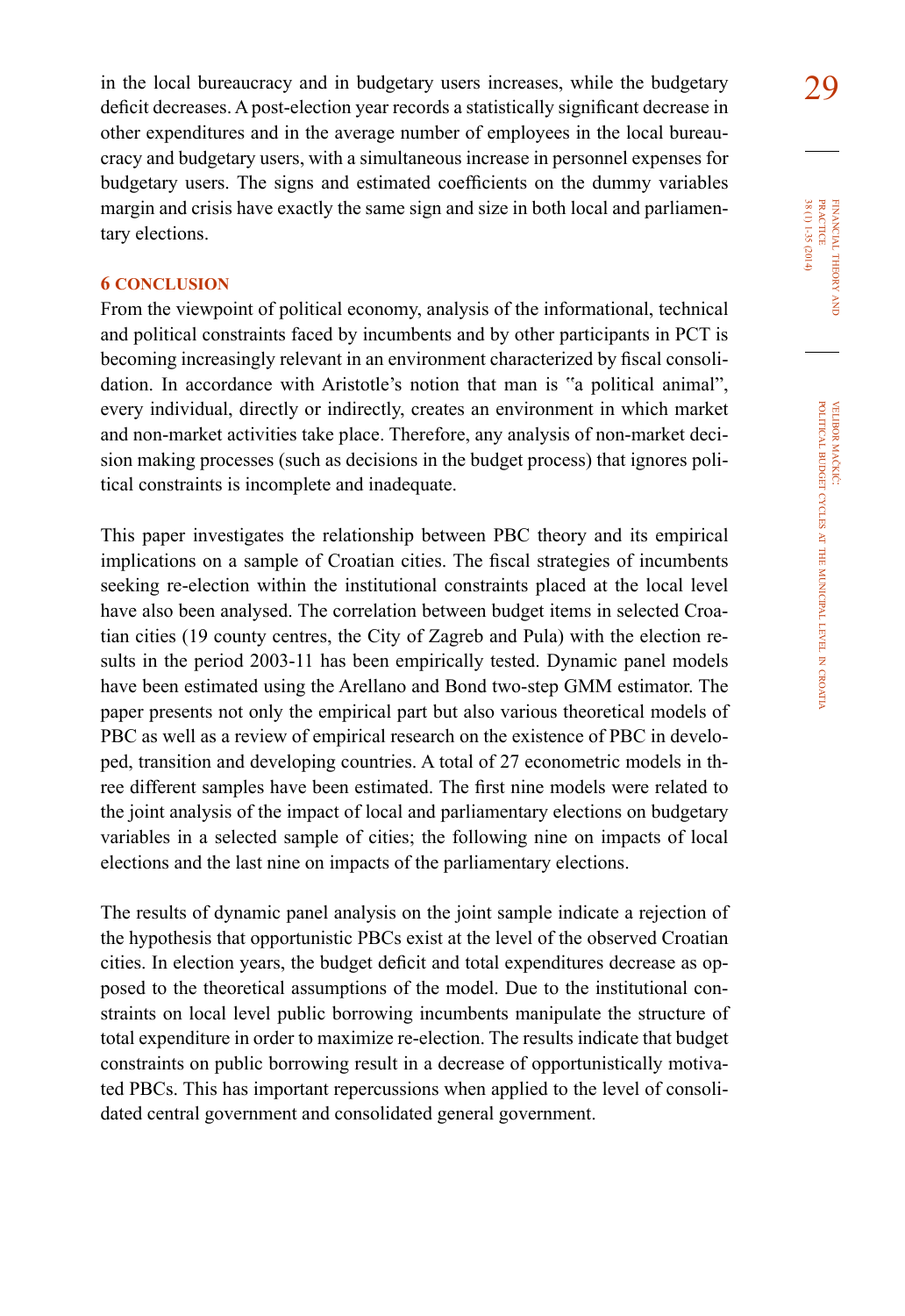in the local bureaucracy and in budgetary users increases, while the budgetary  $29$ deficit decreases. A post-election year records a statistically significant decrease in other expenditures and in the average number of employees in the local bureaucracy and budgetary users, with a simultaneous increase in personnel expenses for budgetary users. The signs and estimated coefficients on the dummy variables margin and crisis have exactly the same sign and size in both local and parliamentary elections.

## **6 conclusion**

From the viewpoint of political economy, analysis of the informational, technical and political constraints faced by incumbents and by other participants in PCT is becoming increasingly relevant in an environment characterized by fiscal consolidation. In accordance with Aristotle's notion that man is "a political animal", every individual, directly or indirectly, creates an environment in which market and non-market activities take place. Therefore, any analysis of non-market decision making processes (such as decisions in the budget process) that ignores political constraints is incomplete and inadequate.

This paper investigates the relationship between PBC theory and its empirical implications on a sample of Croatian cities. The fiscal strategies of incumbents seeking re-election within the institutional constraints placed at the local level have also been analysed. The correlation between budget items in selected Croatian cities (19 county centres, the City of Zagreb and Pula) with the election results in the period 2003-11 has been empirically tested. Dynamic panel models have been estimated using the Arellano and Bond two-step GMM estimator. The paper presents not only the empirical part but also various theoretical models of PBC as well as a review of empirical research on the existence of PBC in developed, transition and developing countries. A total of 27 econometric models in three different samples have been estimated. The first nine models were related to the joint analysis of the impact of local and parliamentary elections on budgetary variables in a selected sample of cities; the following nine on impacts of local elections and the last nine on impacts of the parliamentary elections.

The results of dynamic panel analysis on the joint sample indicate a rejection of the hypothesis that opportunistic PBCs exist at the level of the observed Croatian cities. In election years, the budget deficit and total expenditures decrease as opposed to the theoretical assumptions of the model. Due to the institutional constraints on local level public borrowing incumbents manipulate the structure of total expenditure in order to maximize re-election. The results indicate that budget constraints on public borrowing result in a decrease of opportunistically motivated PBCs. This has important repercussions when applied to the level of consolidated central government and consolidated general government.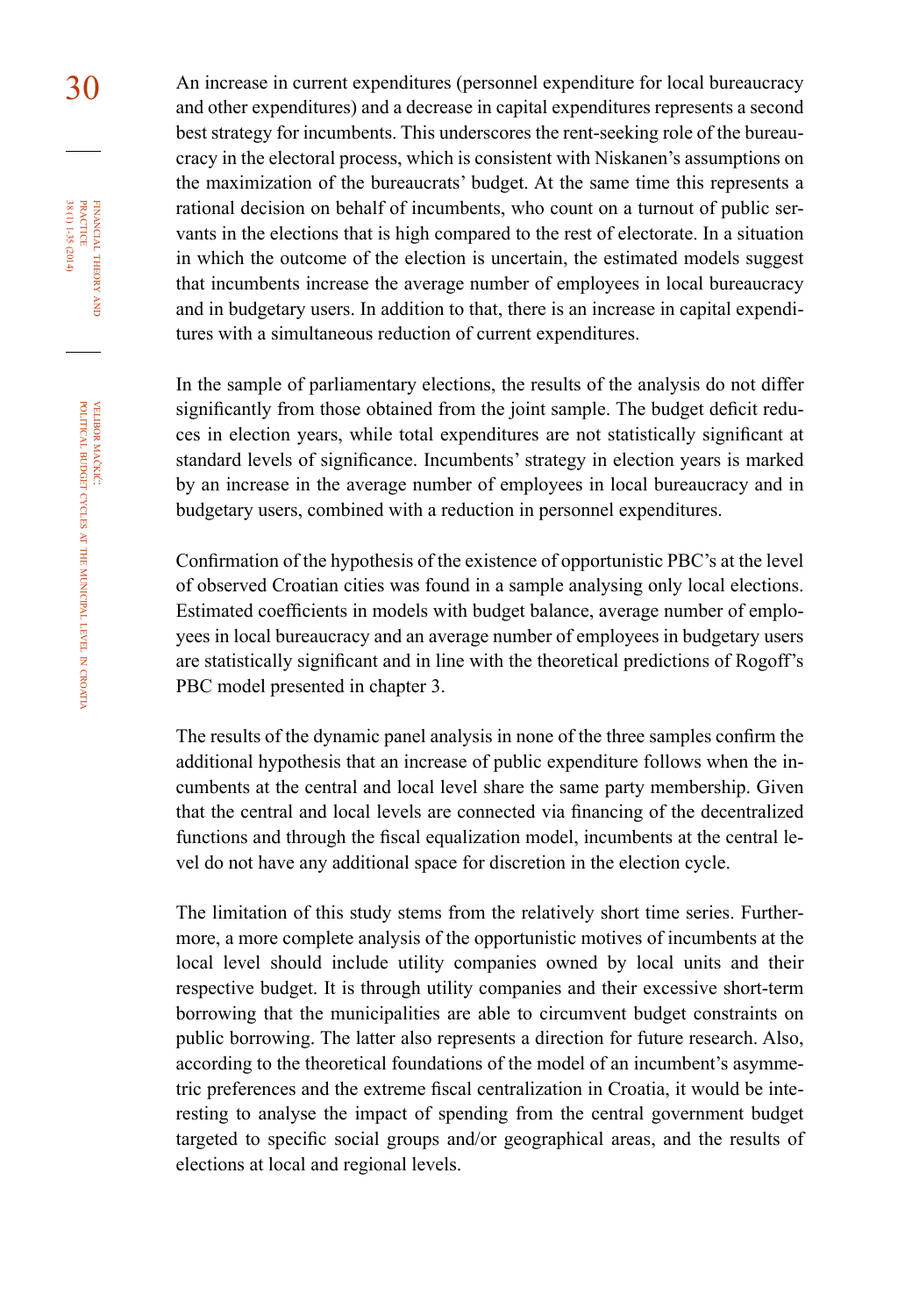30 An increase in current expenditures (personnel expenditure for local bureaucracy and other expenditures) and a decrease in capital expenditures represents a second best strategy for incumbents. This underscores the rent-seeking role of the bureaucracy in the electoral process, which is consistent with Niskanen's assumptions on the maximization of the bureaucrats' budget. At the same time this represents a rational decision on behalf of incumbents, who count on a turnout of public servants in the elections that is high compared to the rest of electorate. In a situation in which the outcome of the election is uncertain, the estimated models suggest that incumbents increase the average number of employees in local bureaucracy and in budgetary users. In addition to that, there is an increase in capital expenditures with a simultaneous reduction of current expenditures.

> In the sample of parliamentary elections, the results of the analysis do not differ significantly from those obtained from the joint sample. The budget deficit reduces in election years, while total expenditures are not statistically significant at standard levels of significance. Incumbents' strategy in election years is marked by an increase in the average number of employees in local bureaucracy and in budgetary users, combined with a reduction in personnel expenditures.

> Confirmation of the hypothesis of the existence of opportunistic PBC's at the level of observed Croatian cities was found in a sample analysing only local elections. Estimated coefficients in models with budget balance, average number of employees in local bureaucracy and an average number of employees in budgetary users are statistically significant and in line with the theoretical predictions of Rogoff's PBC model presented in chapter 3.

> The results of the dynamic panel analysis in none of the three samples confirm the additional hypothesis that an increase of public expenditure follows when the incumbents at the central and local level share the same party membership. Given that the central and local levels are connected via financing of the decentralized functions and through the fiscal equalization model, incumbents at the central level do not have any additional space for discretion in the election cycle.

> The limitation of this study stems from the relatively short time series. Furthermore, a more complete analysis of the opportunistic motives of incumbents at the local level should include utility companies owned by local units and their respective budget. It is through utility companies and their excessive short-term borrowing that the municipalities are able to circumvent budget constraints on public borrowing. The latter also represents a direction for future research. Also, according to the theoretical foundations of the model of an incumbent's asymmetric preferences and the extreme fiscal centralization in Croatia, it would be interesting to analyse the impact of spending from the central government budget targeted to specific social groups and/or geographical areas, and the results of elections at local and regional levels.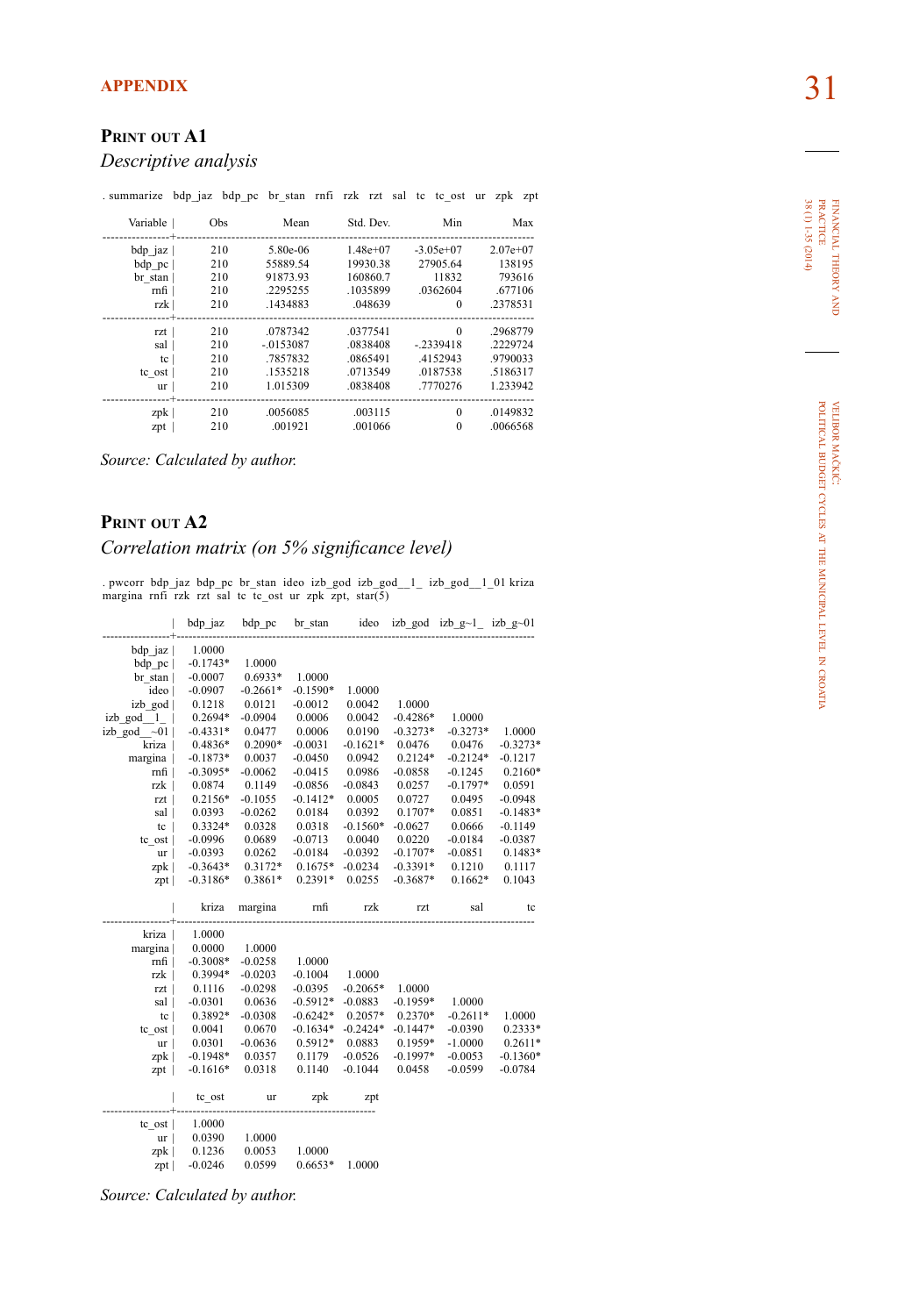# **print out a1**

#### *Descriptive analysis*

. summarize bdp\_jaz bdp\_pc br\_stan rnfi rzk rzt sal tc tc\_ost ur zpk zpt

| Variable | Obs | Mean       | Std. Dev.  | Min         | Max        |
|----------|-----|------------|------------|-------------|------------|
| bdp jaz  | 210 | 5.80e-06   | $1.48e+07$ | $-3.05e+07$ | $2.07e+07$ |
| bdp pc   | 210 | 55889.54   | 19930.38   | 27905.64    | 138195     |
| br stan  | 210 | 91873.93   | 160860.7   | 11832       | 793616     |
| rnfi     | 210 | 2295255    | .1035899   | .0362604    | .677106    |
| rzk      | 210 | .1434883   | .048639    | 0           | .2378531   |
|          |     |            |            |             |            |
| rzt      | 210 | .0787342   | .0377541   | $\Omega$    | .2968779   |
| sal      | 210 | $-0153087$ | .0838408   | $-2339418$  | .2229724   |
| tc       | 210 | .7857832   | .0865491   | .4152943    | .9790033   |
| tc ost   | 210 | .1535218   | .0713549   | .0187538    | .5186317   |
| ur       | 210 | 1.015309   | .0838408   | .7770276    | 1.233942   |
|          |     |            |            |             |            |
| zpk      | 210 | .0056085   | .003115    | $\Omega$    | .0149832   |
| zpt      | 210 | .001921    | .001066    | $\theta$    | .0066568   |

*Source: Calculated by author.*

## **print out a2**

## *Correlation matrix (on 5% significance level)*

. pwcorr bdp\_jaz bdp\_pc br\_stan ideo izb\_god izb\_god\_\_1\_ izb\_god\_\_1\_01 kriza margina rnfi rzk rzt sal tc tc\_ost ur zpk zpt, star(5)

|                   | bdp jaz             | bdp pc           | br stan             | ideo       |            | izb god izb $g$ ~1 izb $g$ ~01 |            |
|-------------------|---------------------|------------------|---------------------|------------|------------|--------------------------------|------------|
| $bdp_jaz \mid$    | 1.0000              |                  |                     |            |            |                                |            |
| bdp pc            | $-0.1743*$          | 1.0000           |                     |            |            |                                |            |
| br stan           | $-0.0007$           | $0.6933*$        | 1.0000              |            |            |                                |            |
| ideo              | $-0.0907$           | $-0.2661*$       | $-0.1590*$          | 1.0000     |            |                                |            |
| izb god           | 0.1218              | 0.0121           | $-0.0012$           | 0.0042     | 1.0000     |                                |            |
| izb_god_1         | 0.2694*             | $-0.0904$        | 0.0006              | 0.0042     | $-0.4286*$ | 1.0000                         |            |
| izb god $\sim 01$ | $-0.4331*$          | 0.0477           | 0.0006              | 0.0190     | $-0.3273*$ | $-0.3273*$                     | 1.0000     |
| kriza             | 0.4836*             | 0.2090*          | $-0.0031$           | $-0.1621*$ | 0.0476     | 0.0476                         | $-0.3273*$ |
| margina           | $-0.1873*$          | 0.0037           | $-0.0450$           | 0.0942     | $0.2124*$  | $-0.2124*$                     | $-0.1217$  |
| mfi               | $-0.3095*$          | $-0.0062$        | $-0.0415$           | 0.0986     | $-0.0858$  | $-0.1245$                      | $0.2160*$  |
| rzk               | 0.0874              | 0.1149           | $-0.0856$           | $-0.0843$  | 0.0257     | $-0.1797*$                     | 0.0591     |
| rzt               | 0.2156*             | $-0.1055$        | $-0.1412*$          | 0.0005     | 0.0727     | 0.0495                         | $-0.0948$  |
| sal               | 0.0393              | $-0.0262$        | 0.0184              | 0.0392     | $0.1707*$  | 0.0851                         | $-0.1483*$ |
| tc                | 0.3324*             | 0.0328           | 0.0318              | $-0.1560*$ | $-0.0627$  | 0.0666                         | $-0.1149$  |
| tc ost            | $-0.0996$           | 0.0689           | $-0.0713$           | 0.0040     | 0.0220     | $-0.0184$                      | $-0.0387$  |
| ur <sub>l</sub>   | $-0.0393$           | 0.0262           | $-0.0184$           | $-0.0392$  | $-0.1707*$ | $-0.0851$                      | $0.1483*$  |
| zpk               | $-0.3643*$          | 0.3172*          | $0.1675*$           | $-0.0234$  | $-0.3391*$ | 0.1210                         | 0.1117     |
| zpt               | $-0.3186*$          | 0.3861*          | 0.2391*             | 0.0255     | $-0.3687*$ | $0.1662*$                      | 0.1043     |
|                   |                     |                  |                     |            |            |                                |            |
|                   |                     |                  |                     |            |            |                                |            |
|                   | kriza               | margina          | rnfi                | rzk        | rzt        | sal                            | tc         |
| kriza             | 1.0000              |                  |                     |            |            |                                |            |
| margina           | 0.0000              | 1.0000           |                     |            |            |                                |            |
| rnfi              | $-0.3008*$          | $-0.0258$        | 1.0000              |            |            |                                |            |
| rzk               | 0.3994*             | $-0.0203$        | $-0.1004$           | 1.0000     |            |                                |            |
| rzt               | 0.1116              | $-0.0298$        | $-0.0395$           | $-0.2065*$ | 1.0000     |                                |            |
| sal               | $-0.0301$           | 0.0636           | $-0.5912*$          | $-0.0883$  | $-0.1959*$ | 1.0000                         |            |
| tc                | 0.3892*             | $-0.0308$        | $-0.6242*$          | $0.2057*$  | $0.2370*$  | $-0.2611*$                     | 1.0000     |
| tc ost            | 0.0041              | 0.0670           | $-0.1634*$          | $-0.2424*$ | $-0.1447*$ | $-0.0390$                      | $0.2333*$  |
| ur                | 0.0301              | $-0.0636$        | 0.5912*             | 0.0883     | 0.1959*    | $-1.0000$                      | $0.2611*$  |
| zpk               | $-0.1948*$          | 0.0357           | 0.1179              | $-0.0526$  | $-0.1997*$ | $-0.0053$                      | $-0.1360*$ |
| $zpt$             | $-0.1616*$          | 0.0318           | 0.1140              | $-0.1044$  | 0.0458     | $-0.0599$                      | $-0.0784$  |
|                   | tc_ost              | ur               | zpk                 | zpt        |            |                                |            |
|                   |                     |                  |                     |            |            |                                |            |
| tc ost            | 1.0000              |                  |                     |            |            |                                |            |
| ur <sub>l</sub>   | 0.0390              | 1.0000           |                     |            |            |                                |            |
| zpk  <br>zpt      | 0.1236<br>$-0.0246$ | 0.0053<br>0.0599 | 1.0000<br>$0.6653*$ | 1.0000     |            |                                |            |

*Source: Calculated by author.*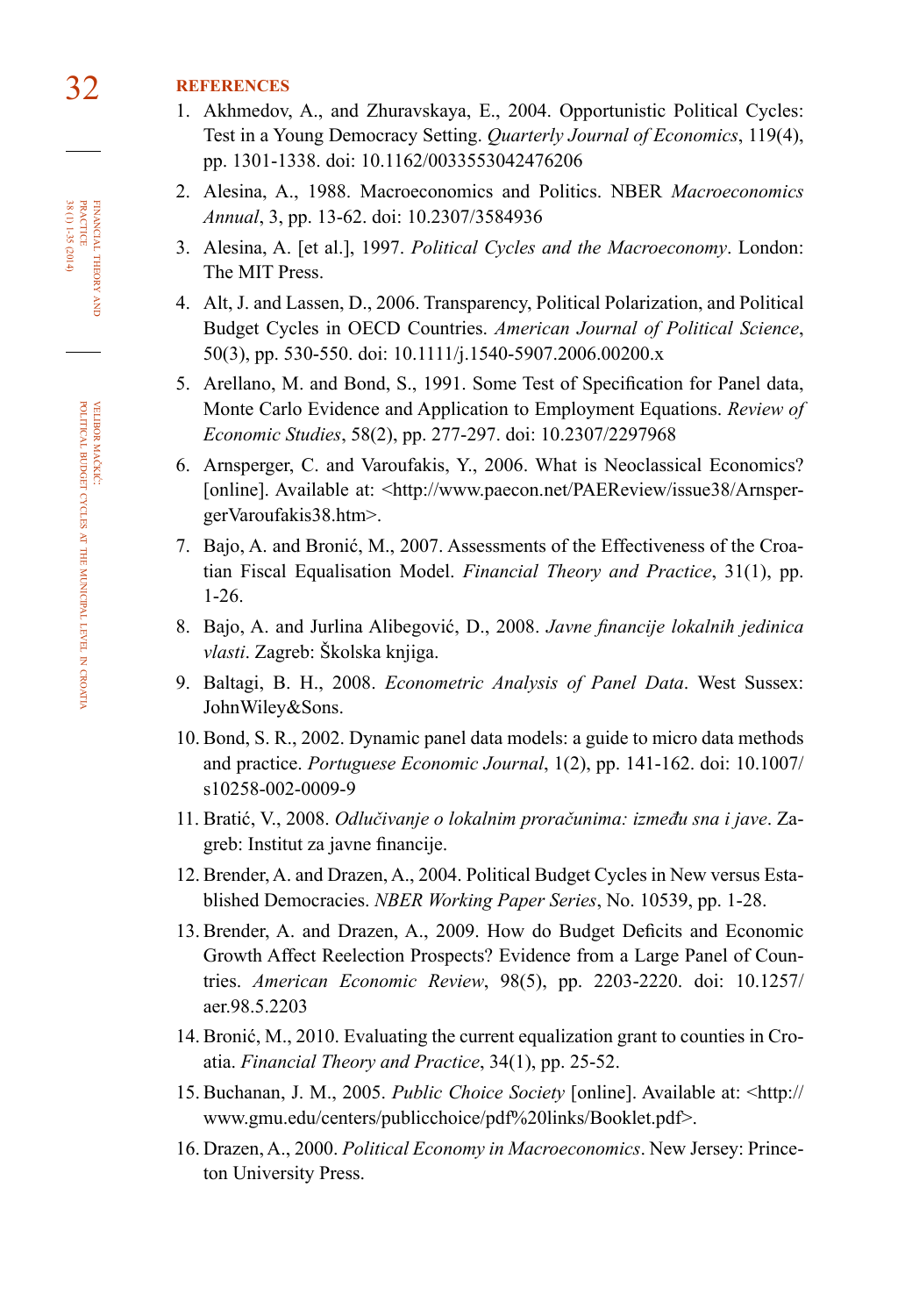# 32 **references**

- 1. Akhmedov, A., and Zhuravskaya, E., 2004. Opportunistic Political Cycles: Test in a Young Democracy Setting. *Quarterly Journal of Economics*, 119(4), pp. 1301-1338. doi: [10.1162/0033553042476206](http://dx.doi.org/10.1162/0033553042476206)
- 2. Alesina, A., 1988. Macroeconomics and Politics. NBER *Macroeconomics Annual*, 3, pp. 13-62. doi: [10.2307/3584936](http://dx.doi.org/10.2307/3584936)
- 3. Alesina, A. [et al.], 1997. *Political Cycles and the Macroeconomy*. London: The MIT Press.
- 4. Alt, J. and Lassen, D., 2006. Transparency, Political Polarization, and Political Budget Cycles in OECD Countries. *American Journal of Political Science*, 50(3), pp. 530-550. doi: [10.1111/j.1540-5907.2006.00200.x](http://dx.doi.org/10.1111/j.1540-5907.2006.00200.x)
- 5. Arellano, M. and Bond, S., 1991. Some Test of Specification for Panel data, Monte Carlo Evidence and Application to Employment Equations. *Review of Economic Studies*, 58(2), pp. 277-297. doi: [10.2307/2297968](http://dx.doi.org/10.2307/2297968)
- 6. Arnsperger, C. and Varoufakis, Y., 2006. What is Neoclassical Economics? [online]. Available at: [<http://www.paecon.net/PAEReview/issue38/Arnsper](http://www.paecon.net/PAEReview/issue38/ArnspergerVaroufakis38.htm)[gerVaroufakis38.htm>](http://www.paecon.net/PAEReview/issue38/ArnspergerVaroufakis38.htm).
- 7. Bajo, A. and Bronić, M., 2007. Assessments of the Effectiveness of the Croatian Fiscal Equalisation Model. *Financial Theory and Practice*, 31(1), pp. 1-26.
- 8. Bajo, A. and Jurlina Alibegović, D., 2008. *Javne financije lokalnih jedinica vlasti*. Zagreb: Školska knjiga.
- 9. Baltagi, B. H., 2008. *Econometric Analysis of Panel Data*. West Sussex: JohnWiley&Sons.
- 10. Bond, S. R., 2002. Dynamic panel data models: a guide to micro data methods and practice. *Portuguese Economic Journal*, 1(2), pp. 141-162. doi: [10.1007/](http://dx.doi.org/10.1007/s10258-002-0009-9) [s10258-002-0009-9](http://dx.doi.org/10.1007/s10258-002-0009-9)
- 11. Bratić, V., 2008. *Odlučivanje o lokalnim proračunima: između sna i jave*. Zagreb: Institut za javne financije.
- 12. Brender, A. and Drazen, A., 2004. Political Budget Cycles in New versus Established Democracies. *NBER Working Paper Series*, No. 10539, pp. 1-28.
- 13. Brender, A. and Drazen, A., 2009. How do Budget Deficits and Economic Growth Affect Reelection Prospects? Evidence from a Large Panel of Countries. *American Economic Review*, 98(5), pp. 2203-2220. doi: [10.1257/](http://dx.doi.org/10.1257/aer.98.5.2203) [aer.98.5.2203](http://dx.doi.org/10.1257/aer.98.5.2203)
- 14. Bronić, M., 2010. Evaluating the current equalization grant to counties in Croatia. *Financial Theory and Practice*, 34(1), pp. 25-52.
- 15. Buchanan, J. M., 2005. *Public Choice Society* [online]. Available at: <http:// www.gmu.edu/centers/publicchoice/pdf%20links/Booklet.pdf>.
- 16. Drazen, A., 2000. *Political Economy in Macroeconomics*. New Jersey: Princeton University Press.

FINANCIAL THEORY<br>PRACTICE  $38(1)1-35(2014)$ 38 (1) 1-35 (2014) practice financial theory and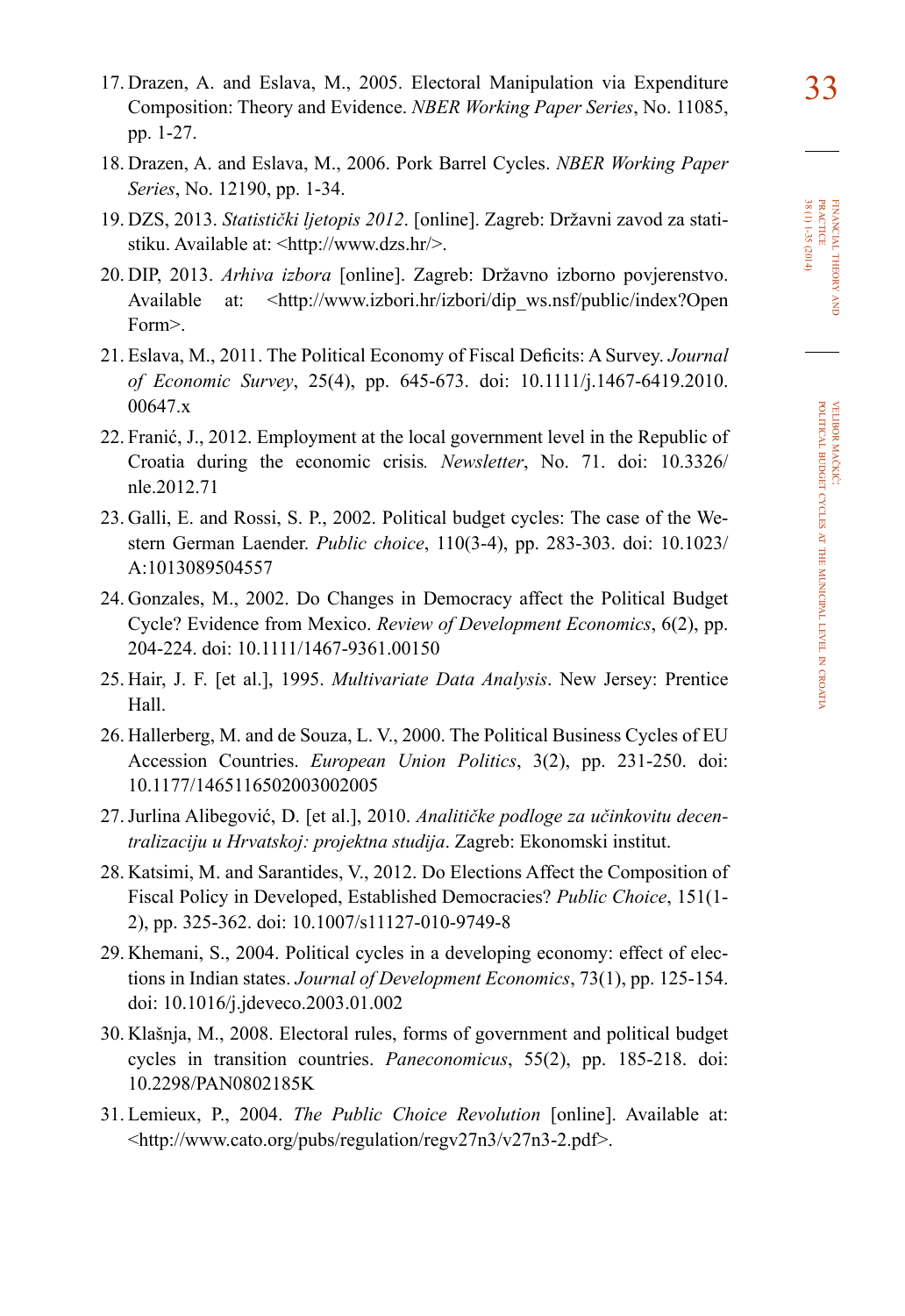- 18. Drazen, A. and Eslava, M., 2006. Pork Barrel Cycles. *NBER Working Paper Series*, No. 12190, pp. 1-34.
- 19. DZS, 2013. *Statistički ljetopis 2012*. [online]. Zagreb: Državni zavod za statistiku. Available at: <http://www.dzs.hr/>.
- 20. DIP, 2013. *Arhiva izbora* [online]. Zagreb: Državno izborno povjerenstvo. Available at: <[http://www.izbori.hr/izbori/dip\\_ws.nsf/public/index?Open](http://www.izbori.hr/izbori/dip_ws.nsf/public/index?OpenForm) [Form>](http://www.izbori.hr/izbori/dip_ws.nsf/public/index?OpenForm).
- 21. Eslava, M., 2011. The Political Economy of Fiscal Deficits: A Survey. *Journal of Economic Survey*, 25(4), pp. 645-673. doi: [10.1111/j.1467-6419.2010.](http://dx.doi.org/10.1111/j.1467-6419.2010.00647.x) [00647.x](http://dx.doi.org/10.1111/j.1467-6419.2010.00647.x)
- 22. Franić, J., 2012. Employment at the local government level in the Republic of Croatia during the economic crisis*. Newsletter*, No. 71. doi: [10.3326/](http://dx.doi.org/10.3326/nle.2012.71) [nle.2012.71](http://dx.doi.org/10.3326/nle.2012.71)
- 23. Galli, E. and Rossi, S. P., 2002. Political budget cycles: The case of the Western German Laender. *Public choice*, 110(3-4), pp. 283-303. doi: [10.1023/](http://dx.doi.org/10.1023/A:1013089504557) [A:1013089504557](http://dx.doi.org/10.1023/A:1013089504557)
- 24. Gonzales, M., 2002. Do Changes in Democracy affect the Political Budget Cycle? Evidence from Mexico. *Review of Development Economics*, 6(2), pp. 204-224. doi: [10.1111/1467-9361.00150](http://dx.doi.org/10.1111/1467-9361.00150)
- 25. Hair, J. F. [et al.], 1995. *Multivariate Data Analysis*. New Jersey: Prentice Hall.
- 26. Hallerberg, M. and de Souza, L. V., 2000. The Political Business Cycles of EU Accession Countries. *European Union Politics*, 3(2), pp. 231-250. doi: [10.1177/1465116502003002005](http://dx.doi.org/10.1177/1465116502003002005)
- 27. Jurlina Alibegović, D. [et al.], 2010. *Analitičke podloge za učinkovitu decentralizaciju u Hrvatskoj: projektna studija*. Zagreb: Ekonomski institut.
- 28. Katsimi, M. and Sarantides, V., 2012. Do Elections Affect the Composition of Fiscal Policy in Developed, Established Democracies? *Public Choice*, 151(1- 2), pp. 325-362. doi: [10.1007/s11127-010-9749-8](http://dx.doi.org/10.1007/s11127-010-9749-8)
- 29. Khemani, S., 2004. Political cycles in a developing economy: effect of elections in Indian states. *Journal of Development Economics*, 73(1), pp. 125-154. doi: [10.1016/j.jdeveco.2003.01.002](http://dx.doi.org/10.1016/j.jdeveco.2003.01.002)
- 30. Klašnja, M., 2008. Electoral rules, forms of government and political budget cycles in transition countries. *Paneconomicus*, 55(2), pp. 185-218. doi: [10.2298/PAN0802185K](http://dx.doi.org/10.2298/PAN0802185K)
- 31. Lemieux, P., 2004. *The Public Choice Revolution* [online]. Available at: <http://www.cato.org/pubs/regulation/regv27n3/v27n3-2.pdf>.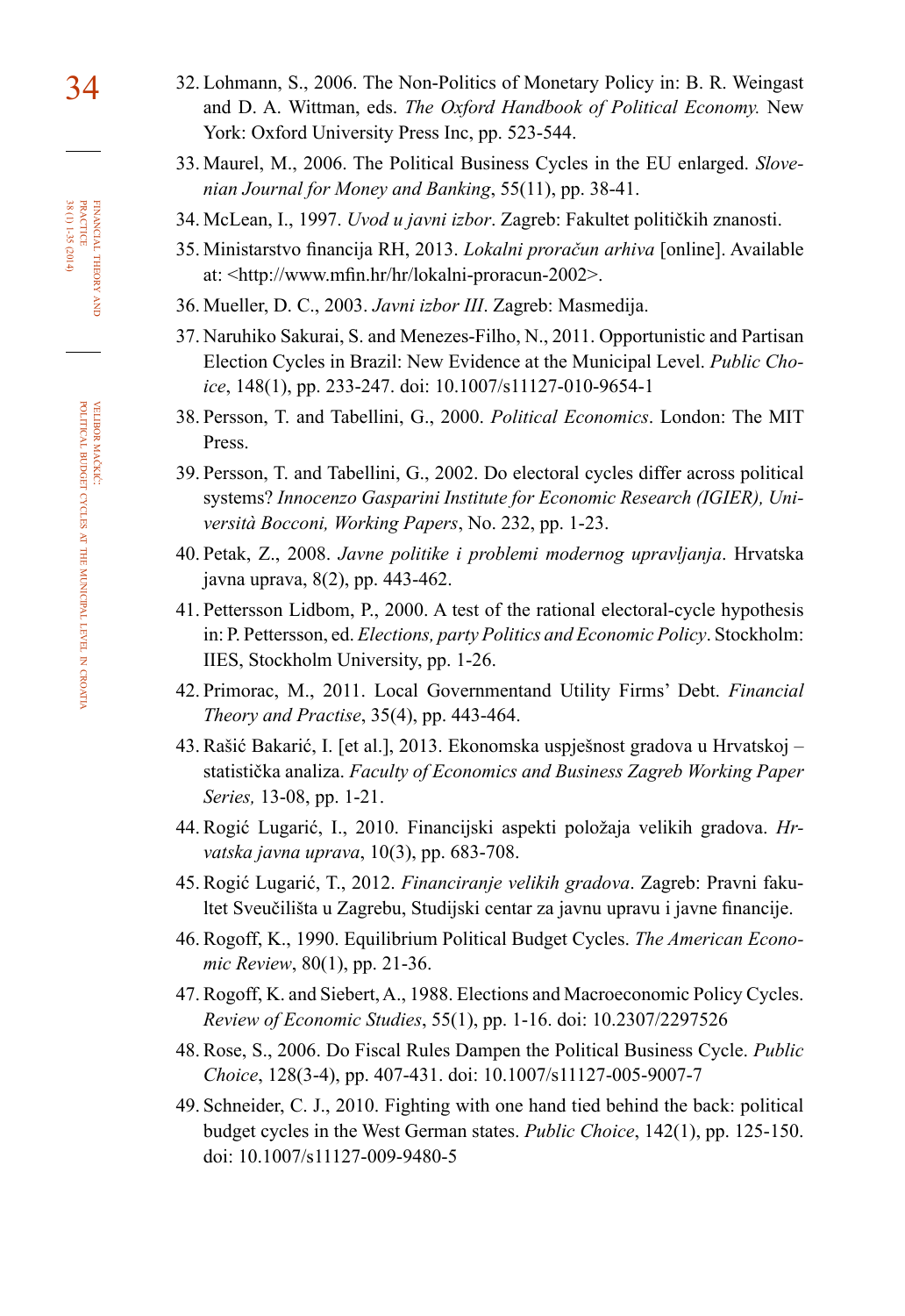- 34 32. Lohmann, S., 2006. The Non-Politics of Monetary Policy in: B. R. Weingast and D. A. Wittman, eds. *The Oxford Handbook of Political Economy.* New York: Oxford University Press Inc, pp. 523-544.
	- 33. Maurel, M., 2006. The Political Business Cycles in the EU enlarged. *Slovenian Journal for Money and Banking*, 55(11), pp. 38-41.
	- 34. McLean, I., 1997. *Uvod u javni izbor*. Zagreb: Fakultet političkih znanosti.
	- 35. Ministarstvo financija RH, 2013. *Lokalni proračun arhiva* [online]. Available at: [<http://www.mfin.hr/hr/lokalni-proracun-2002>](http://www.mfin.hr/hr/lokalni-proracun-2002).
	- 36. Mueller, D. C., 2003. *Javni izbor III*. Zagreb: Masmedija.
	- 37. Naruhiko Sakurai, S. and Menezes-Filho, N., 2011. Opportunistic and Partisan Election Cycles in Brazil: New Evidence at the Municipal Level. *Public Choice*, 148(1), pp. 233-247. doi: [10.1007/s11127-010-9654-1](http://dx.doi.org/10.1007/s11127-010-9654-1)
	- 38. Persson, T. and Tabellini, G., 2000. *Political Economics*. London: The MIT Press.
	- 39. Persson, T. and Tabellini, G., 2002. Do electoral cycles differ across political systems? *Innocenzo Gasparini Institute for Economic Research (IGIER), Università Bocconi, Working Papers*, No. 232, pp. 1-23.
	- 40. Petak, Z., 2008. *Javne politike i problemi modernog upravljanja*. Hrvatska javna uprava, 8(2), pp. 443-462.
	- 41. Pettersson Lidbom, P., 2000. A test of the rational electoral-cycle hypothesis in: P. Pettersson, ed. *Elections, party Politics and Economic Policy*. Stockholm: IIES, Stockholm University, pp. 1-26.
	- 42. Primorac, M., 2011. Local Governmentand Utility Firms' Debt. *Financial Theory and Practise*, 35(4), pp. 443-464.
	- 43. Rašić Bakarić, I. [et al.], 2013. Ekonomska uspješnost gradova u Hrvatskoj statistička analiza. *Faculty of Economics and Business Zagreb Working Paper Series,* 13-08, pp. 1-21.
	- 44. Rogić Lugarić, I., 2010. Financijski aspekti položaja velikih gradova. *Hrvatska javna uprava*, 10(3), pp. 683-708.
	- 45. Rogić Lugarić, T., 2012. *Financiranje velikih gradova*. Zagreb: Pravni faku ltet Sveučilišta u Zagrebu, Studijski centar za javnu upravu i javne financije.
	- 46. Rogoff, K., 1990. Equilibrium Political Budget Cycles. *The American Economic Review*, 80(1), pp. 21-36.
	- 47. Rogoff, K. and Siebert, A., 1988. Elections and Macroeconomic Policy Cycles. *Review of Economic Studies*, 55(1), pp. 1-16. doi: [10.2307/2297526](http://dx.doi.org/10.2307/2297526)
	- 48. Rose, S., 2006. Do Fiscal Rules Dampen the Political Business Cycle. *Public Choice*, 128(3-4), pp. 407-431. doi: [10.1007/s11127-005-9007-7](http://dx.doi.org/10.1007/s11127-005-9007-7)
	- 49. Schneider, C. J., 2010. Fighting with one hand tied behind the back: political budget cycles in the West German states. *Public Choice*, 142(1), pp. 125-150. doi: [10.1007/s11127-009-9480-5](http://dx.doi.org/10.1007/s11127-009-9480-5)

financial theory FINANCIAL THEORY AND<br>PRACTICE<br>BRACTICE<br>38 (1) 1-35 (2014) 38 (1) 1-35 (2014) practice